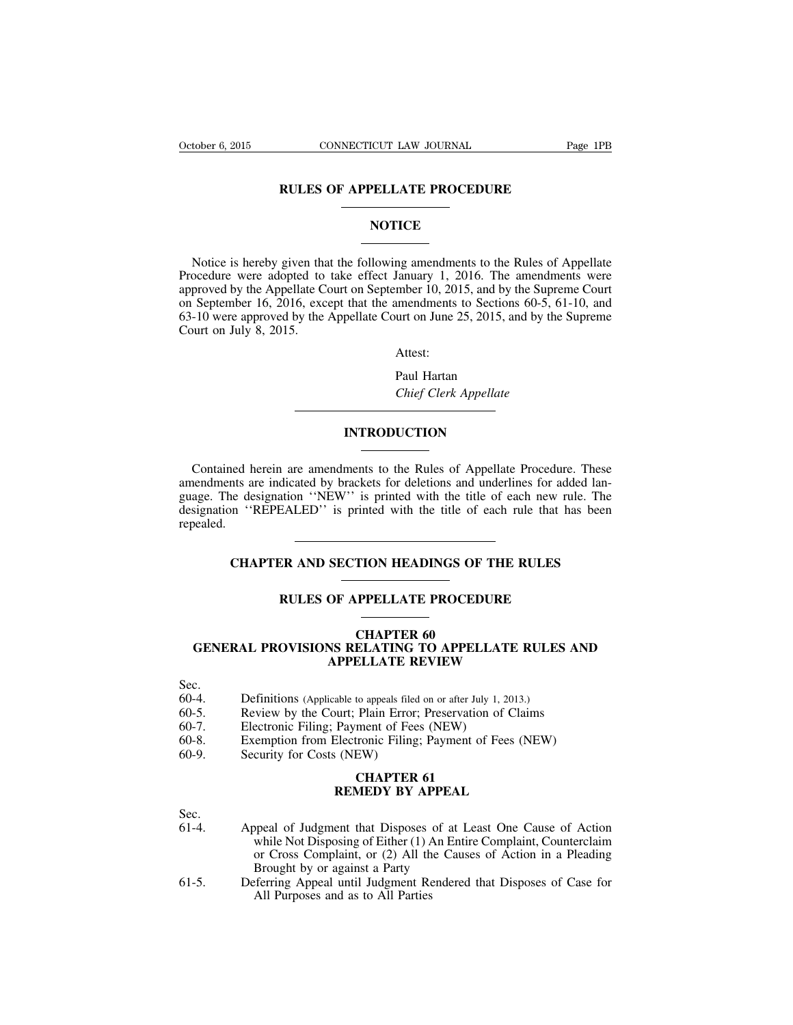## **RULES OF APPELLATE PROCEDURE**

# **NOTICE**

Notice is hereby given that the following amendments to the Rules of Appellate Procedure were adopted to take effect January 1, 2016. The amendments were approved by the Appellate Court on September 10, 2015, and by the Supreme Court on September 16, 2016, except that the amendments to Sections 60-5, 61-10, and 63-10 were approved by the Appellate Court on June 25, 2015, and by the Supreme Court on July 8, 2015.

Attest:

Paul Hartan *Chief Clerk Appellate*

# **INTRODUCTION**

Contained herein are amendments to the Rules of Appellate Procedure. These amendments are indicated by brackets for deletions and underlines for added language. The designation ''NEW'' is printed with the title of each new rule. The designation ''REPEALED'' is printed with the title of each rule that has been repealed.

# **CHAPTER AND SECTION HEADINGS OF THE RULES**

## **RULES OF APPELLATE PROCEDURE**

# **CHAPTER 60 GENERAL PROVISIONS RELATING TO APPELLATE RULES AND APPELLATE REVIEW**

- Sec.
- 60-4. Definitions (Applicable to appeals filed on or after July 1, 2013.)<br>60-5. Review by the Court: Plain Error: Preservation of Clair
- Review by the Court; Plain Error; Preservation of Claims
- 60-7. Electronic Filing; Payment of Fees (NEW)
- 60-8. Exemption from Electronic Filing; Payment of Fees (NEW)
- 60-9. Security for Costs (NEW)

#### **CHAPTER 61 REMEDY BY APPEAL**

Sec.<br>61-4.

- Appeal of Judgment that Disposes of at Least One Cause of Action while Not Disposing of Either (1) An Entire Complaint, Counterclaim or Cross Complaint, or (2) All the Causes of Action in a Pleading Brought by or against a Party
- 61-5. Deferring Appeal until Judgment Rendered that Disposes of Case for All Purposes and as to All Parties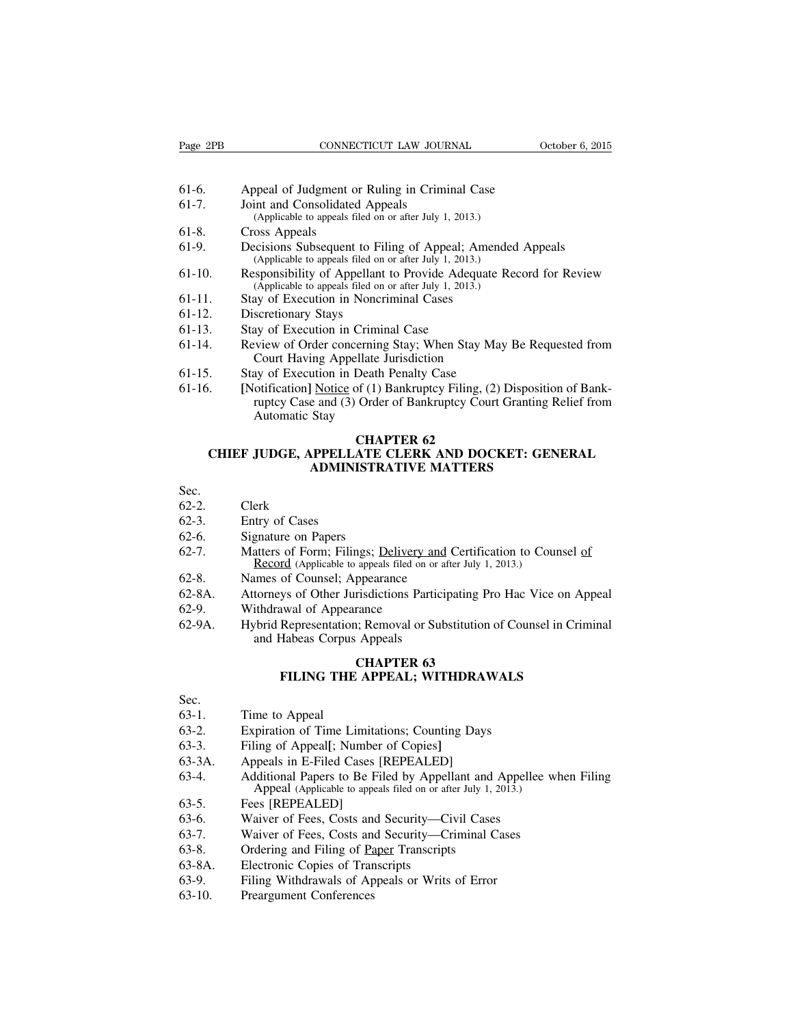- 61-6. Appeal of Judgment or Ruling in Criminal Case
- 61-7. Joint and Consolidated Appeals (Applicable to appeals filed on or after July 1, 2013.)
- 61-8. Cross Appeals
- 61-9. Decisions Subsequent to Filing of Appeal; Amended Appeals (Applicable to appeals filed on or after July 1, 2013.)
- 61-10. Responsibility of Appellant to Provide Adequate Record for Review (Applicable to appeals filed on or after July 1, 2013.)
- 61-11. Stay of Execution in Noncriminal Cases
- 61-12. Discretionary Stays
- 61-13. Stay of Execution in Criminal Case
- 61-14. Review of Order concerning Stay; When Stay May Be Requested from Court Having Appellate Jurisdiction
- 61-15. Stay of Execution in Death Penalty Case
- 61-16. **[**Notification**]** Notice of (1) Bankruptcy Filing, (2) Disposition of Bankruptcy Case and (3) Order of Bankruptcy Court Granting Relief from Automatic Stay

# **CHAPTER 62**

# **CHIEF JUDGE, APPELLATE CLERK AND DOCKET: GENERAL ADMINISTRATIVE MATTERS**

# Sec.

- 62-2. Clerk
- 62-3. Entry of Cases
- 62-6. Signature on Papers
- 62-7. Matters of Form; Filings; Delivery and Certification to Counsel of Record (Applicable to appeals filed on or after July 1, 2013.)
- 62-8. Names of Counsel; Appearance
- 62-8A. Attorneys of Other Jurisdictions Participating Pro Hac Vice on Appeal
- 62-9. Withdrawal of Appearance
- 62-9A. Hybrid Representation; Removal or Substitution of Counsel in Criminal and Habeas Corpus Appeals

# **CHAPTER 63 FILING THE APPEAL; WITHDRAWALS**

#### Sec.

- 63-1. Time to Appeal
- 63-2. Expiration of Time Limitations; Counting Days
- 63-3. Filing of Appeal**[**; Number of Copies**]**
- 63-3A. Appeals in E-Filed Cases [REPEALED]
- 63-4. Additional Papers to Be Filed by Appellant and Appellee when Filing Appeal (Applicable to appeals filed on or after July 1, 2013.)
- 63-5. Fees [REPEALED]
- 63-6. Waiver of Fees, Costs and Security—Civil Cases
- 63-7. Waiver of Fees, Costs and Security—Criminal Cases
- 63-8. Ordering and Filing of Paper Transcripts
- 63-8A. Electronic Copies of Transcripts
- 63-9. Filing Withdrawals of Appeals or Writs of Error
- 63-10. Preargument Conferences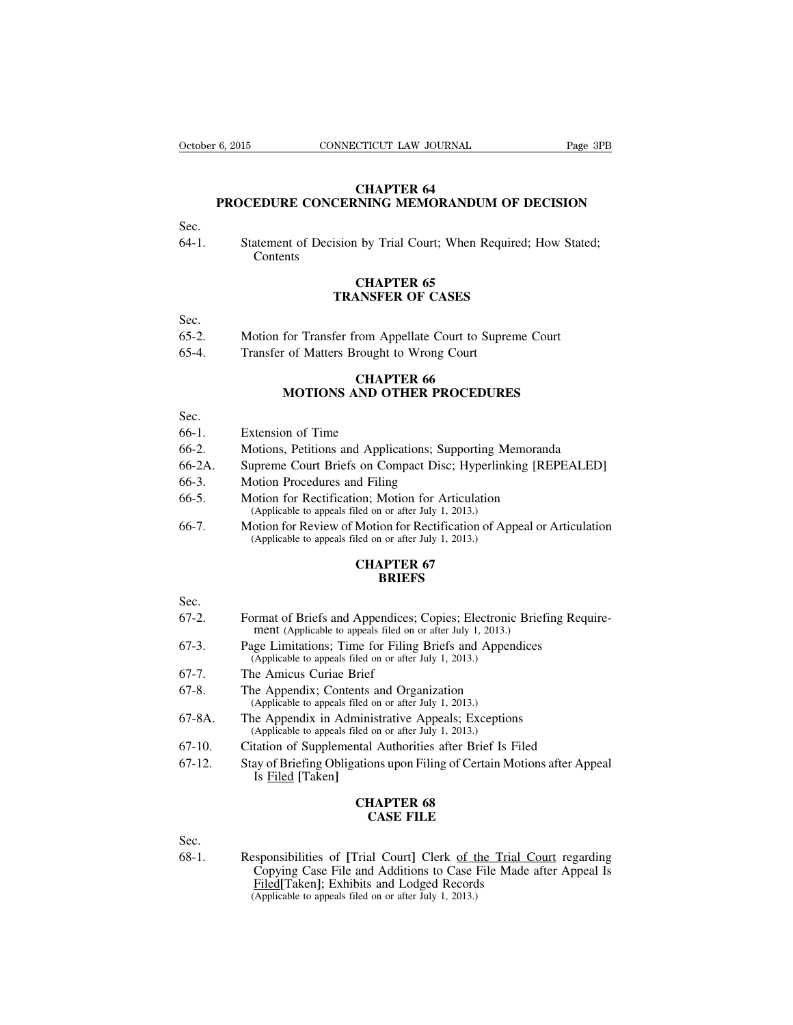# **CHAPTER 64 PROCEDURE CONCERNING MEMORANDUM OF DECISION**

Sec.

64-1. Statement of Decision by Trial Court; When Required; How Stated; **Contents** 

# **CHAPTER 65 TRANSFER OF CASES**

Sec.

- 65-2. Motion for Transfer from Appellate Court to Supreme Court
- 65-4. Transfer of Matters Brought to Wrong Court

# **CHAPTER 66 MOTIONS AND OTHER PROCEDURES**

Sec.

- 66-1. Extension of Time
- 66-2. Motions, Petitions and Applications; Supporting Memoranda
- 66-2A. Supreme Court Briefs on Compact Disc; Hyperlinking [REPEALED]
- 66-3. Motion Procedures and Filing
- 66-5. Motion for Rectification; Motion for Articulation (Applicable to appeals filed on or after July 1, 2013.)
- 66-7. Motion for Review of Motion for Rectification of Appeal or Articulation (Applicable to appeals filed on or after July 1, 2013.)

# **CHAPTER 67 BRIEFS**

Sec.

- 67-2. Format of Briefs and Appendices; Copies; Electronic Briefing Requirement (Applicable to appeals filed on or after July 1, 2013.)
- 67-3. Page Limitations; Time for Filing Briefs and Appendices (Applicable to appeals filed on or after July 1, 2013.)
- 67-7. The Amicus Curiae Brief
- 67-8. The Appendix; Contents and Organization (Applicable to appeals filed on or after July 1, 2013.)
- 67-8A. The Appendix in Administrative Appeals; Exceptions (Applicable to appeals filed on or after July 1, 2013.)
- 67-10. Citation of Supplemental Authorities after Brief Is Filed
- 67-12. Stay of Briefing Obligations upon Filing of Certain Motions after Appeal Is Filed **[**Taken**]**

# **CHAPTER 68 CASE FILE**

Sec.

68-1. Responsibilities of **[**Trial Court**]** Clerk of the Trial Court regarding Copying Case File and Additions to Case File Made after Appeal Is Filed**[**Taken**]**; Exhibits and Lodged Records (Applicable to appeals filed on or after July 1, 2013.)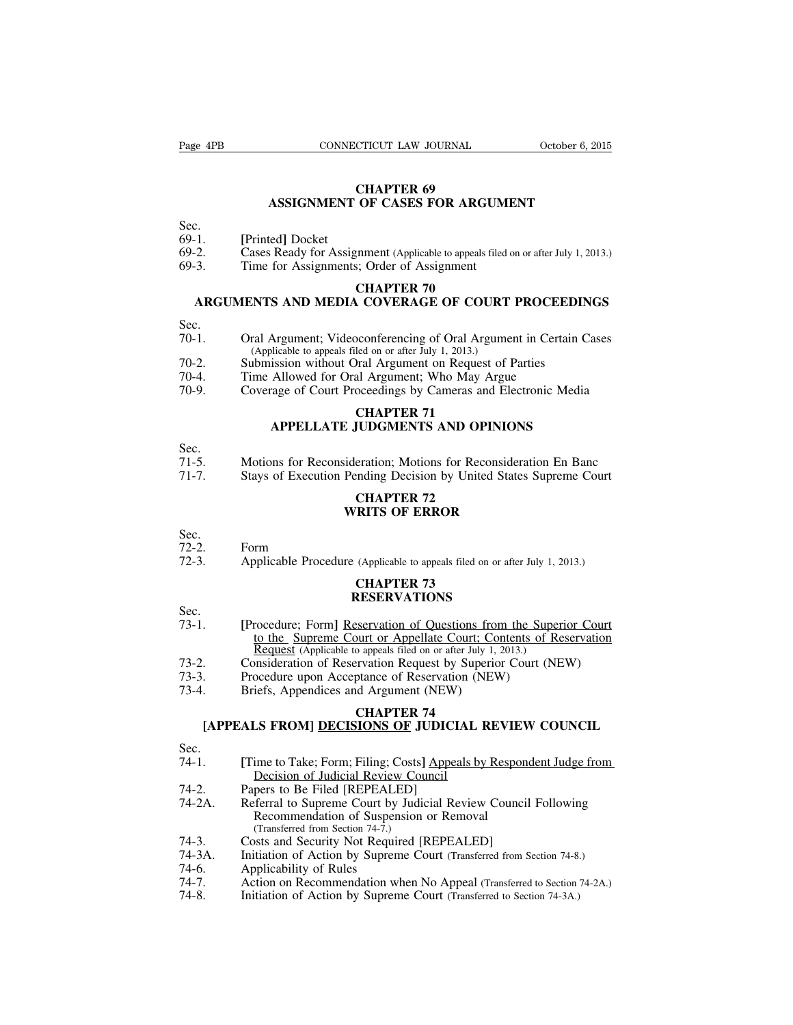# **CHAPTER 69 ASSIGNMENT OF CASES FOR ARGUMENT**

# Sec.

- 69-1. **[**Printed**]** Docket
- 69-2. Cases Ready for Assignment (Applicable to appeals filed on or after July 1, 2013.)
- 69-3. Time for Assignments; Order of Assignment

# **CHAPTER 70**

# **ARGUMENTS AND MEDIA COVERAGE OF COURT PROCEEDINGS**

# Sec.

- 70-1. Oral Argument; Videoconferencing of Oral Argument in Certain Cases (Applicable to appeals filed on or after July 1, 2013.)
- 70-2. Submission without Oral Argument on Request of Parties
- 70-4. Time Allowed for Oral Argument; Who May Argue
- 70-9. Coverage of Court Proceedings by Cameras and Electronic Media

# **CHAPTER 71 APPELLATE JUDGMENTS AND OPINIONS**

- Sec.
- 71-5. Motions for Reconsideration; Motions for Reconsideration En Banc
- 71-7. Stays of Execution Pending Decision by United States Supreme Court

# **CHAPTER 72 WRITS OF ERROR**

# Sec.

- 72-2. Form
- 72-3. Applicable Procedure (Applicable to appeals filed on or after July 1, 2013.)

# **CHAPTER 73 RESERVATIONS**

- Sec.
- 73-1. **[**Procedure; Form**]** Reservation of Questions from the Superior Court to the Supreme Court or Appellate Court; Contents of Reservation Request (Applicable to appeals filed on or after July 1, 2013.)
- 73-2. Consideration of Reservation Request by Superior Court (NEW)
- 73-3. Procedure upon Acceptance of Reservation (NEW)<br>73-4 Briefs Appendices and Argument (NEW)
- Briefs, Appendices and Argument (NEW)

# **CHAPTER 74**

# **[APPEALS FROM] DECISIONS OF JUDICIAL REVIEW COUNCIL**

# Sec.

- 74-1. **[**Time to Take; Form; Filing; Costs**]** Appeals by Respondent Judge from Decision of Judicial Review Council
- 74-2. Papers to Be Filed [REPEALED]<br>74-2A Referral to Supreme Court by Jud
- Referral to Supreme Court by Judicial Review Council Following Recommendation of Suspension or Removal (Transferred from Section 74-7.)
- 74-3. Costs and Security Not Required [REPEALED]<br>74-3A. Initiation of Action by Supreme Court (Transferred
- 74-3A. Initiation of Action by Supreme Court (Transferred from Section 74-8.)
- 74-6. Applicability of Rules<br>74-7. Action on Recommend
- Action on Recommendation when No Appeal (Transferred to Section 74-2A.)
- 74-8. Initiation of Action by Supreme Court (Transferred to Section 74-3A.)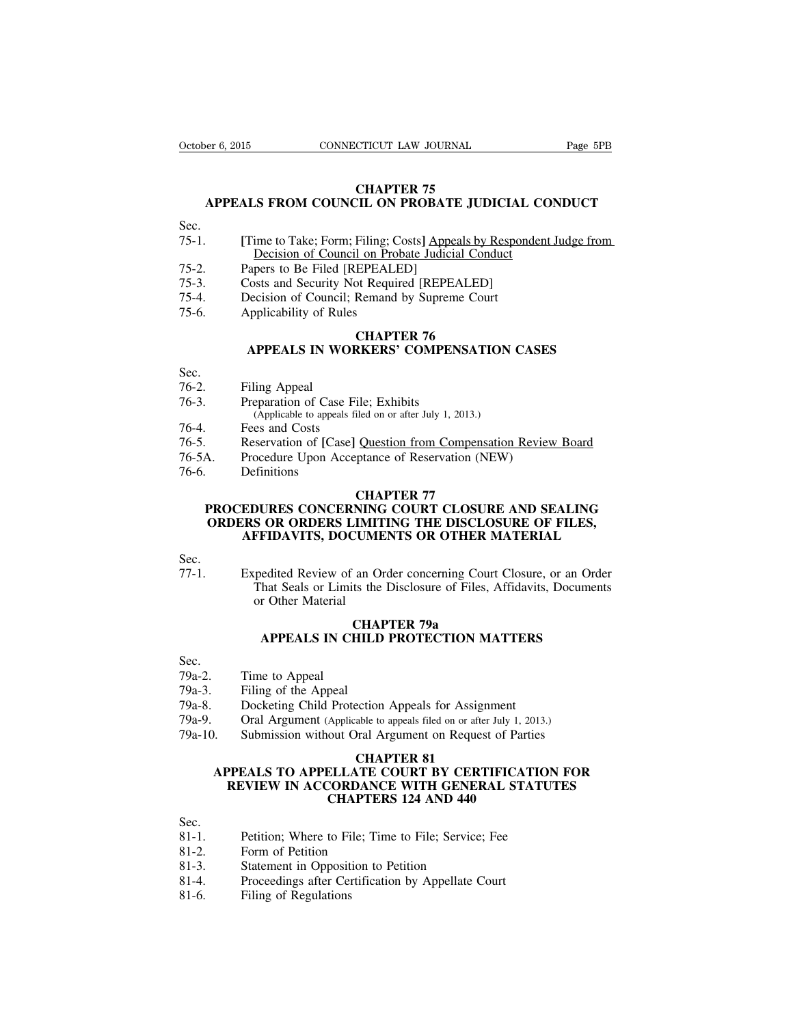# **CHAPTER 75**

# **APPEALS FROM COUNCIL ON PROBATE JUDICIAL CONDUCT**

Sec.

- 75-1. **[**Time to Take; Form; Filing; Costs**]** Appeals by Respondent Judge from Decision of Council on Probate Judicial Conduct
- 75-2. Papers to Be Filed [REPEALED]
- 75-3. Costs and Security Not Required [REPEALED]
- 75-4. Decision of Council; Remand by Supreme Court
- 75-6. Applicability of Rules

# **CHAPTER 76 APPEALS IN WORKERS' COMPENSATION CASES**

- Sec.
- 76-2. Filing Appeal
- 76-3. Preparation of Case File; Exhibits (Applicable to appeals filed on or after July 1, 2013.)
- 76-4. Fees and Costs
- 76-5. Reservation of **[**Case**]** Question from Compensation Review Board
- Procedure Upon Acceptance of Reservation (NEW)
- 76-6. Definitions

# **CHAPTER 77**

# **PROCEDURES CONCERNING COURT CLOSURE AND SEALING ORDERS OR ORDERS LIMITING THE DISCLOSURE OF FILES, AFFIDAVITS, DOCUMENTS OR OTHER MATERIAL**

Sec.<br>77-1 Expedited Review of an Order concerning Court Closure, or an Order That Seals or Limits the Disclosure of Files, Affidavits, Documents or Other Material

# **CHAPTER 79a APPEALS IN CHILD PROTECTION MATTERS**

Sec.

- 79a-2. Time to Appeal
- 79a-3. Filing of the Appeal
- 79a-8. Docketing Child Protection Appeals for Assignment
- 79a-9. Oral Argument (Applicable to appeals filed on or after July 1, 2013.)
- 79a-10. Submission without Oral Argument on Request of Parties

# **CHAPTER 81**

# **APPEALS TO APPELLATE COURT BY CERTIFICATION FOR REVIEW IN ACCORDANCE WITH GENERAL STATUTES CHAPTERS 124 AND 440**

Sec.

- 81-1. Petition; Where to File; Time to File; Service; Fee
- 81-2. Form of Petition
- 81-3. Statement in Opposition to Petition
- 81-4. Proceedings after Certification by Appellate Court
- 81-6. Filing of Regulations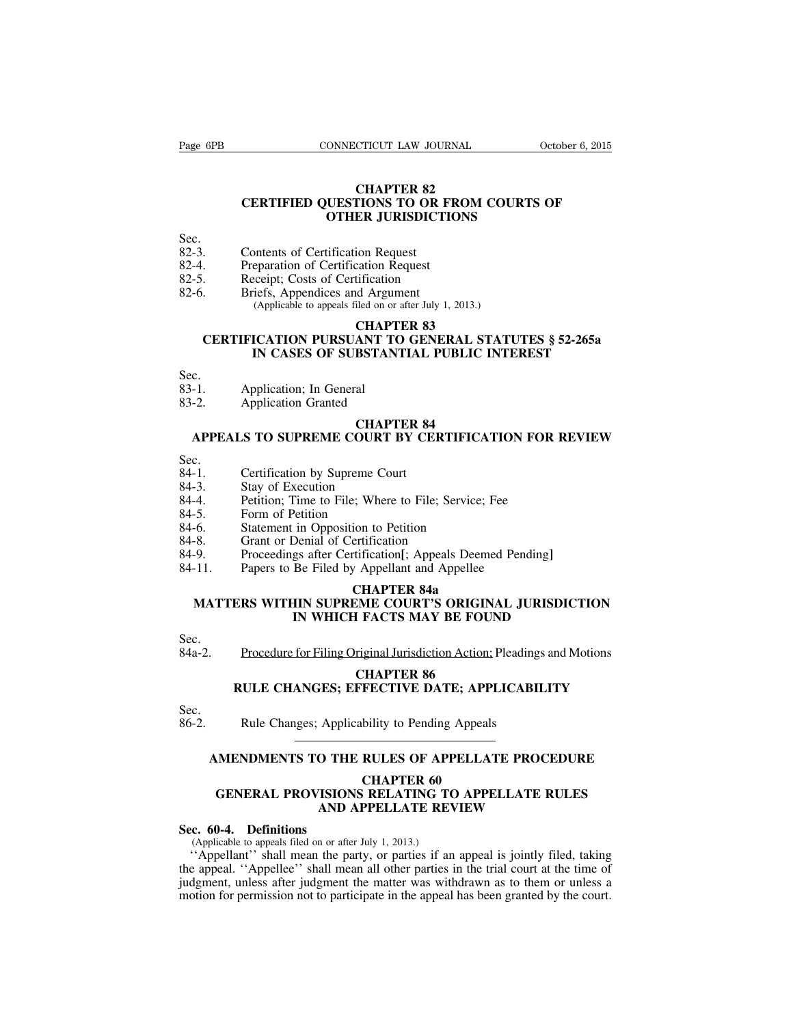# **CHAPTER 82 CERTIFIED QUESTIONS TO OR FROM COURTS OF OTHER JURISDICTIONS**

Sec.<br>82-3.

- 82-3. Contents of Certification Request<br>82-4. Preparation of Certification Reque
- 82-4. Preparation of Certification Request<br>82-5. Receipt: Costs of Certification
- 82-5. Receipt; Costs of Certification<br>82-6. Briefs. Appendices and Argum
- Briefs, Appendices and Argument (Applicable to appeals filed on or after July 1, 2013.)

## **CHAPTER 83**

# **CERTIFICATION PURSUANT TO GENERAL STATUTES § 52-265a IN CASES OF SUBSTANTIAL PUBLIC INTEREST**

- Sec.<br>83-1. Application; In General
- 83-2. Application Granted

# **CHAPTER 84**

# **APPEALS TO SUPREME COURT BY CERTIFICATION FOR REVIEW**

Sec.<br>84-1.

- 84-1. Certification by Supreme Court 84-3. Stay of Execution
- Stay of Execution
- 84-4. Petition; Time to File; Where to File; Service; Fee
- 84-5. Form of Petition
- 84-6. Statement in Opposition to Petition 84-8. Grant or Denial of Certification
- Grant or Denial of Certification
- 84-9. Proceedings after Certification**[**; Appeals Deemed Pending**]**
- 84-11. Papers to Be Filed by Appellant and Appellee

# **CHAPTER 84a**

# **MATTERS WITHIN SUPREME COURT'S ORIGINAL JURISDICTION IN WHICH FACTS MAY BE FOUND**

Sec.

84a-2. Procedure for Filing Original Jurisdiction Action; Pleadings and Motions

# **CHAPTER 86 RULE CHANGES; EFFECTIVE DATE; APPLICABILITY**

Sec.

86-2. Rule Changes; Applicability to Pending Appeals

# **AMENDMENTS TO THE RULES OF APPELLATE PROCEDURE**

**CHAPTER 60**

# **GENERAL PROVISIONS RELATING TO APPELLATE RULES AND APPELLATE REVIEW**

# **Sec. 60-4. Definitions**

(Applicable to appeals filed on or after July 1, 2013.)

''Appellant'' shall mean the party, or parties if an appeal is jointly filed, taking the appeal. ''Appellee'' shall mean all other parties in the trial court at the time of judgment, unless after judgment the matter was withdrawn as to them or unless a motion for permission not to participate in the appeal has been granted by the court.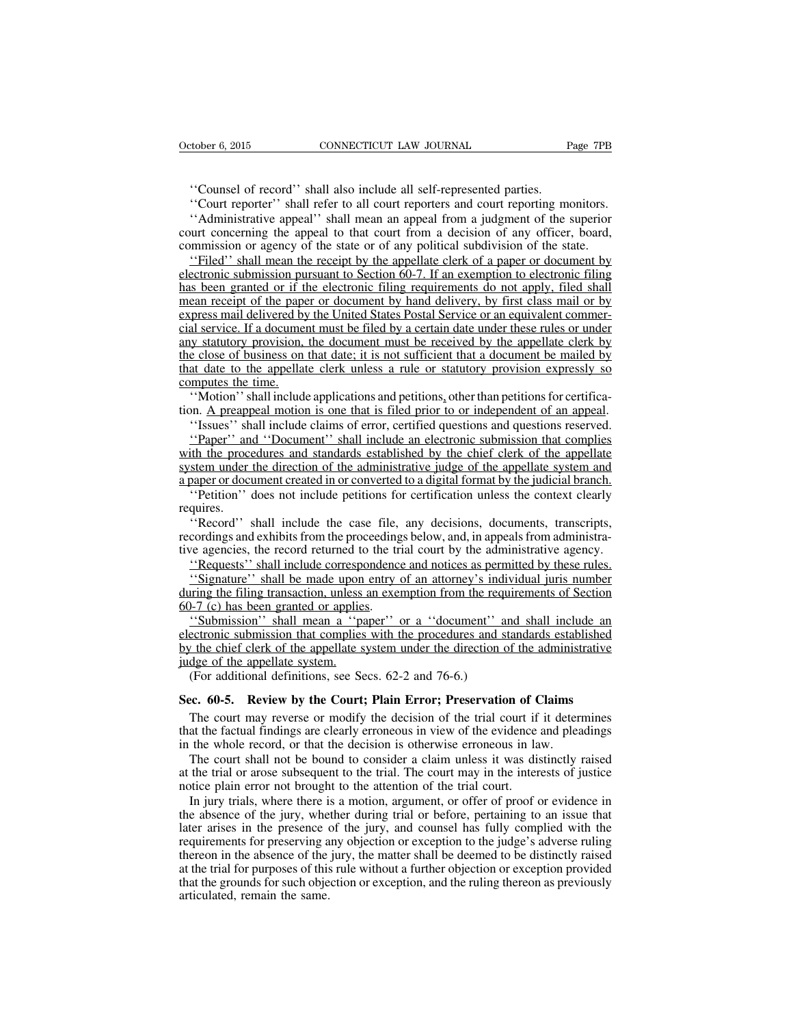''Counsel of record'' shall also include all self-represented parties.

''Court reporter'' shall refer to all court reporters and court reporting monitors.

''Administrative appeal'' shall mean an appeal from a judgment of the superior court concerning the appeal to that court from a decision of any officer, board, commission or agency of the state or of any political subdivision of the state.

''Filed'' shall mean the receipt by the appellate clerk of a paper or document by electronic submission pursuant to Section 60-7. If an exemption to electronic filing has been granted or if the electronic filing requirements do not apply, filed shall mean receipt of the paper or document by hand delivery, by first class mail or by express mail delivered by the United States Postal Service or an equivalent commercial service. If a document must be filed by a certain date under these rules or under any statutory provision, the document must be received by the appellate clerk by the close of business on that date; it is not sufficient that a document be mailed by that date to the appellate clerk unless a rule or statutory provision expressly so computes the time.

''Motion'' shall include applications and petitions, other than petitions for certification. A preappeal motion is one that is filed prior to or independent of an appeal.

''Issues'' shall include claims of error, certified questions and questions reserved.

''Paper'' and ''Document'' shall include an electronic submission that complies with the procedures and standards established by the chief clerk of the appellate system under the direction of the administrative judge of the appellate system and a paper or document created in or converted to a digital format by the judicial branch.

''Petition'' does not include petitions for certification unless the context clearly requires.

"Record" shall include the case file, any decisions, documents, transcripts, recordings and exhibits from the proceedings below, and, in appeals from administrative agencies, the record returned to the trial court by the administrative agency.

''Requests'' shall include correspondence and notices as permitted by these rules.

''Signature'' shall be made upon entry of an attorney's individual juris number during the filing transaction, unless an exemption from the requirements of Section 60-7 (c) has been granted or applies.

''Submission'' shall mean a ''paper'' or a ''document'' and shall include an electronic submission that complies with the procedures and standards established by the chief clerk of the appellate system under the direction of the administrative judge of the appellate system.

(For additional definitions, see Secs. 62-2 and 76-6.)

#### **Sec. 60-5. Review by the Court; Plain Error; Preservation of Claims**

The court may reverse or modify the decision of the trial court if it determines that the factual findings are clearly erroneous in view of the evidence and pleadings in the whole record, or that the decision is otherwise erroneous in law.

The court shall not be bound to consider a claim unless it was distinctly raised at the trial or arose subsequent to the trial. The court may in the interests of justice notice plain error not brought to the attention of the trial court.

In jury trials, where there is a motion, argument, or offer of proof or evidence in the absence of the jury, whether during trial or before, pertaining to an issue that later arises in the presence of the jury, and counsel has fully complied with the requirements for preserving any objection or exception to the judge's adverse ruling thereon in the absence of the jury, the matter shall be deemed to be distinctly raised at the trial for purposes of this rule without a further objection or exception provided that the grounds for such objection or exception, and the ruling thereon as previously articulated, remain the same.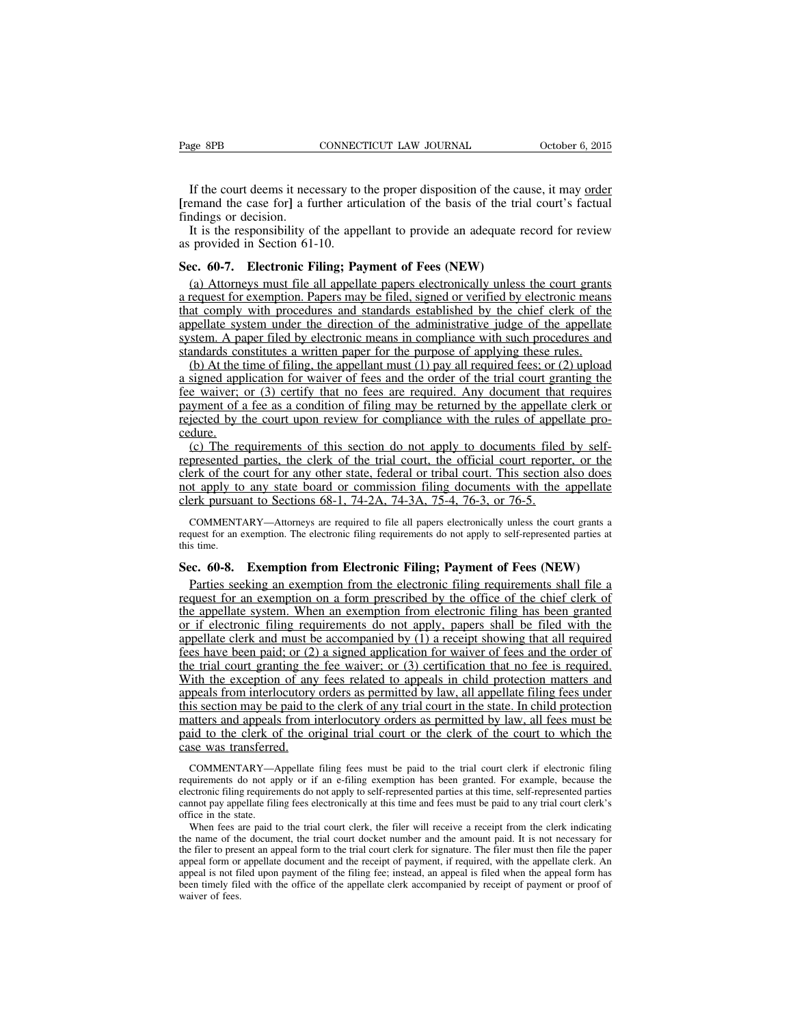If the court deems it necessary to the proper disposition of the cause, it may order **[**remand the case for**]** a further articulation of the basis of the trial court's factual findings or decision.

It is the responsibility of the appellant to provide an adequate record for review as provided in Section 61-10.

# **Sec. 60-7. Electronic Filing; Payment of Fees (NEW)**

(a) Attorneys must file all appellate papers electronically unless the court grants a request for exemption. Papers may be filed, signed or verified by electronic means that comply with procedures and standards established by the chief clerk of the appellate system under the direction of the administrative judge of the appellate system. A paper filed by electronic means in compliance with such procedures and standards constitutes a written paper for the purpose of applying these rules.

(b) At the time of filing, the appellant must (1) pay all required fees; or (2) upload a signed application for waiver of fees and the order of the trial court granting the fee waiver; or (3) certify that no fees are required. Any document that requires payment of a fee as a condition of filing may be returned by the appellate clerk or rejected by the court upon review for compliance with the rules of appellate procedure.

(c) The requirements of this section do not apply to documents filed by selfrepresented parties, the clerk of the trial court, the official court reporter, or the clerk of the court for any other state, federal or tribal court. This section also does not apply to any state board or commission filing documents with the appellate clerk pursuant to Sections 68-1, 74-2A, 74-3A, 75-4, 76-3, or 76-5.

COMMENTARY—Attorneys are required to file all papers electronically unless the court grants a request for an exemption. The electronic filing requirements do not apply to self-represented parties at this time.

# **Sec. 60-8. Exemption from Electronic Filing; Payment of Fees (NEW)**

Parties seeking an exemption from the electronic filing requirements shall file a request for an exemption on a form prescribed by the office of the chief clerk of the appellate system. When an exemption from electronic filing has been granted or if electronic filing requirements do not apply, papers shall be filed with the appellate clerk and must be accompanied by (1) a receipt showing that all required fees have been paid; or (2) a signed application for waiver of fees and the order of the trial court granting the fee waiver; or (3) certification that no fee is required. With the exception of any fees related to appeals in child protection matters and appeals from interlocutory orders as permitted by law, all appellate filing fees under this section may be paid to the clerk of any trial court in the state. In child protection matters and appeals from interlocutory orders as permitted by law, all fees must be paid to the clerk of the original trial court or the clerk of the court to which the case was transferred.

COMMENTARY—Appellate filing fees must be paid to the trial court clerk if electronic filing requirements do not apply or if an e-filing exemption has been granted. For example, because the electronic filing requirements do not apply to self-represented parties at this time, self-represented parties cannot pay appellate filing fees electronically at this time and fees must be paid to any trial court clerk's office in the state.

When fees are paid to the trial court clerk, the filer will receive a receipt from the clerk indicating the name of the document, the trial court docket number and the amount paid. It is not necessary for the filer to present an appeal form to the trial court clerk for signature. The filer must then file the paper appeal form or appellate document and the receipt of payment, if required, with the appellate clerk. An appeal is not filed upon payment of the filing fee; instead, an appeal is filed when the appeal form has been timely filed with the office of the appellate clerk accompanied by receipt of payment or proof of waiver of fees.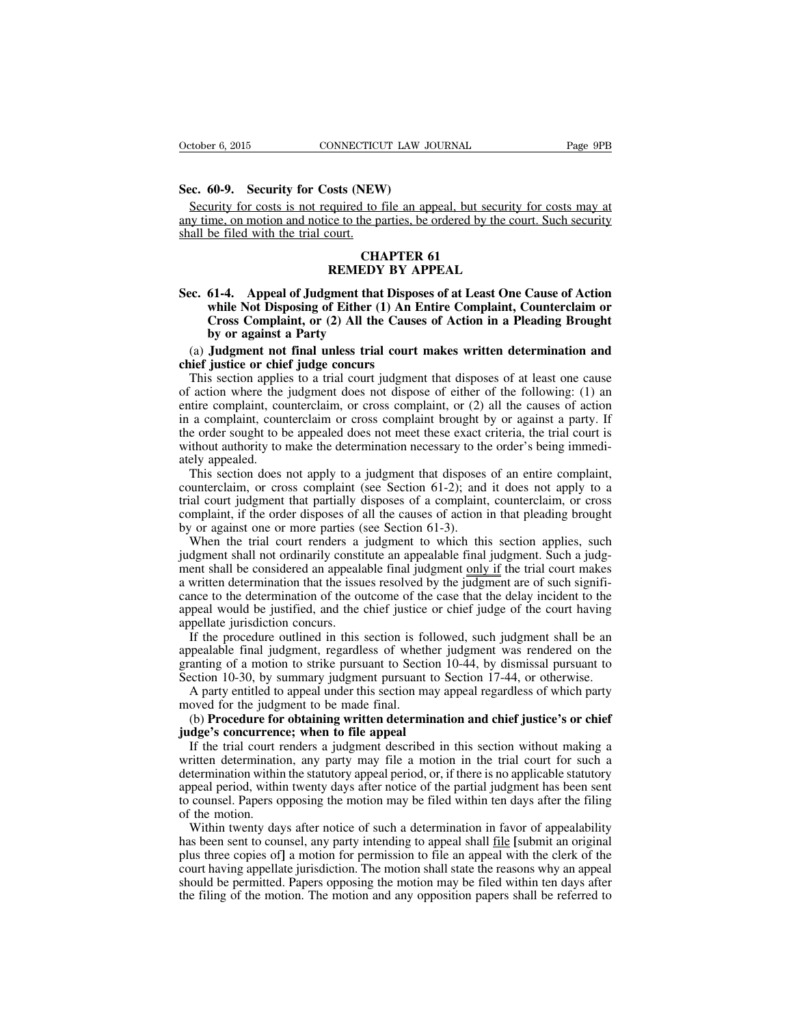#### **Sec. 60-9. Security for Costs (NEW)**

Security for costs is not required to file an appeal, but security for costs may at any time, on motion and notice to the parties, be ordered by the court. Such security shall be filed with the trial court.

# **CHAPTER 61 REMEDY BY APPEAL**

**Sec. 61-4. Appeal of Judgment that Disposes of at Least One Cause of Action while Not Disposing of Either (1) An Entire Complaint, Counterclaim or Cross Complaint, or (2) All the Causes of Action in a Pleading Brought by or against a Party**

(a) **Judgment not final unless trial court makes written determination and chief justice or chief judge concurs**

This section applies to a trial court judgment that disposes of at least one cause of action where the judgment does not dispose of either of the following: (1) an entire complaint, counterclaim, or cross complaint, or (2) all the causes of action in a complaint, counterclaim or cross complaint brought by or against a party. If the order sought to be appealed does not meet these exact criteria, the trial court is without authority to make the determination necessary to the order's being immediately appealed.

This section does not apply to a judgment that disposes of an entire complaint, counterclaim, or cross complaint (see Section 61-2); and it does not apply to a trial court judgment that partially disposes of a complaint, counterclaim, or cross complaint, if the order disposes of all the causes of action in that pleading brought by or against one or more parties (see Section 61-3).

When the trial court renders a judgment to which this section applies, such judgment shall not ordinarily constitute an appealable final judgment. Such a judgment shall be considered an appealable final judgment only if the trial court makes a written determination that the issues resolved by the judgment are of such significance to the determination of the outcome of the case that the delay incident to the appeal would be justified, and the chief justice or chief judge of the court having appellate jurisdiction concurs.

If the procedure outlined in this section is followed, such judgment shall be an appealable final judgment, regardless of whether judgment was rendered on the granting of a motion to strike pursuant to Section 10-44, by dismissal pursuant to Section 10-30, by summary judgment pursuant to Section 17-44, or otherwise.

A party entitled to appeal under this section may appeal regardless of which party moved for the judgment to be made final.

(b) **Procedure for obtaining written determination and chief justice's or chief judge's concurrence; when to file appeal**

If the trial court renders a judgment described in this section without making a written determination, any party may file a motion in the trial court for such a determination within the statutory appeal period, or, if there is no applicable statutory appeal period, within twenty days after notice of the partial judgment has been sent to counsel. Papers opposing the motion may be filed within ten days after the filing of the motion.

Within twenty days after notice of such a determination in favor of appealability has been sent to counsel, any party intending to appeal shall file **[**submit an original plus three copies of**]** a motion for permission to file an appeal with the clerk of the court having appellate jurisdiction. The motion shall state the reasons why an appeal should be permitted. Papers opposing the motion may be filed within ten days after the filing of the motion. The motion and any opposition papers shall be referred to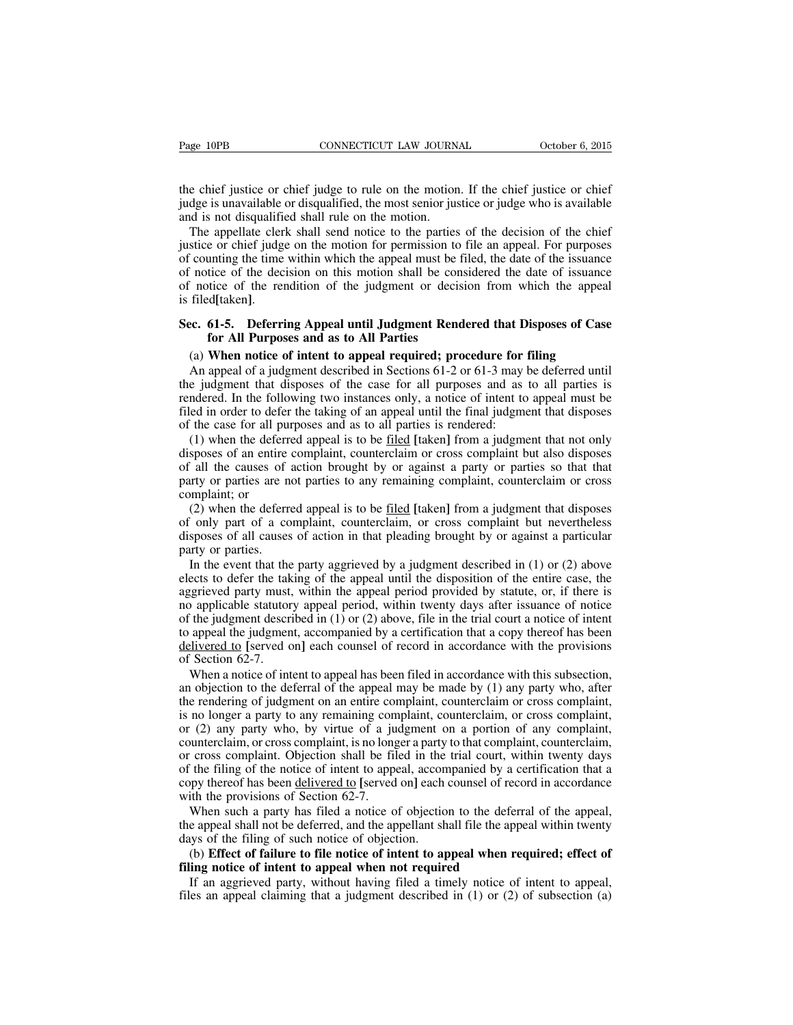the chief justice or chief judge to rule on the motion. If the chief justice or chief judge is unavailable or disqualified, the most senior justice or judge who is available and is not disqualified shall rule on the motion.

The appellate clerk shall send notice to the parties of the decision of the chief justice or chief judge on the motion for permission to file an appeal. For purposes of counting the time within which the appeal must be filed, the date of the issuance of notice of the decision on this motion shall be considered the date of issuance of notice of the rendition of the judgment or decision from which the appeal is filed**[**taken**]**.

## **Sec. 61-5. Deferring Appeal until Judgment Rendered that Disposes of Case for All Purposes and as to All Parties**

#### (a) **When notice of intent to appeal required; procedure for filing**

An appeal of a judgment described in Sections 61-2 or 61-3 may be deferred until the judgment that disposes of the case for all purposes and as to all parties is rendered. In the following two instances only, a notice of intent to appeal must be filed in order to defer the taking of an appeal until the final judgment that disposes of the case for all purposes and as to all parties is rendered:

(1) when the deferred appeal is to be filed **[**taken**]** from a judgment that not only disposes of an entire complaint, counterclaim or cross complaint but also disposes of all the causes of action brought by or against a party or parties so that that party or parties are not parties to any remaining complaint, counterclaim or cross complaint; or

(2) when the deferred appeal is to be filed **[**taken**]** from a judgment that disposes of only part of a complaint, counterclaim, or cross complaint but nevertheless disposes of all causes of action in that pleading brought by or against a particular party or parties.

In the event that the party aggrieved by a judgment described in (1) or (2) above elects to defer the taking of the appeal until the disposition of the entire case, the aggrieved party must, within the appeal period provided by statute, or, if there is no applicable statutory appeal period, within twenty days after issuance of notice of the judgment described in (1) or (2) above, file in the trial court a notice of intent to appeal the judgment, accompanied by a certification that a copy thereof has been delivered to **[**served on**]** each counsel of record in accordance with the provisions of Section 62-7.

When a notice of intent to appeal has been filed in accordance with this subsection, an objection to the deferral of the appeal may be made by (1) any party who, after the rendering of judgment on an entire complaint, counterclaim or cross complaint, is no longer a party to any remaining complaint, counterclaim, or cross complaint, or (2) any party who, by virtue of a judgment on a portion of any complaint, counterclaim, or cross complaint, is no longer a party to that complaint, counterclaim, or cross complaint. Objection shall be filed in the trial court, within twenty days of the filing of the notice of intent to appeal, accompanied by a certification that a copy thereof has been delivered to **[**served on**]** each counsel of record in accordance with the provisions of Section 62-7.

When such a party has filed a notice of objection to the deferral of the appeal, the appeal shall not be deferred, and the appellant shall file the appeal within twenty days of the filing of such notice of objection.

# (b) **Effect of failure to file notice of intent to appeal when required; effect of filing notice of intent to appeal when not required**

If an aggrieved party, without having filed a timely notice of intent to appeal, files an appeal claiming that a judgment described in  $(1)$  or  $(2)$  of subsection  $(a)$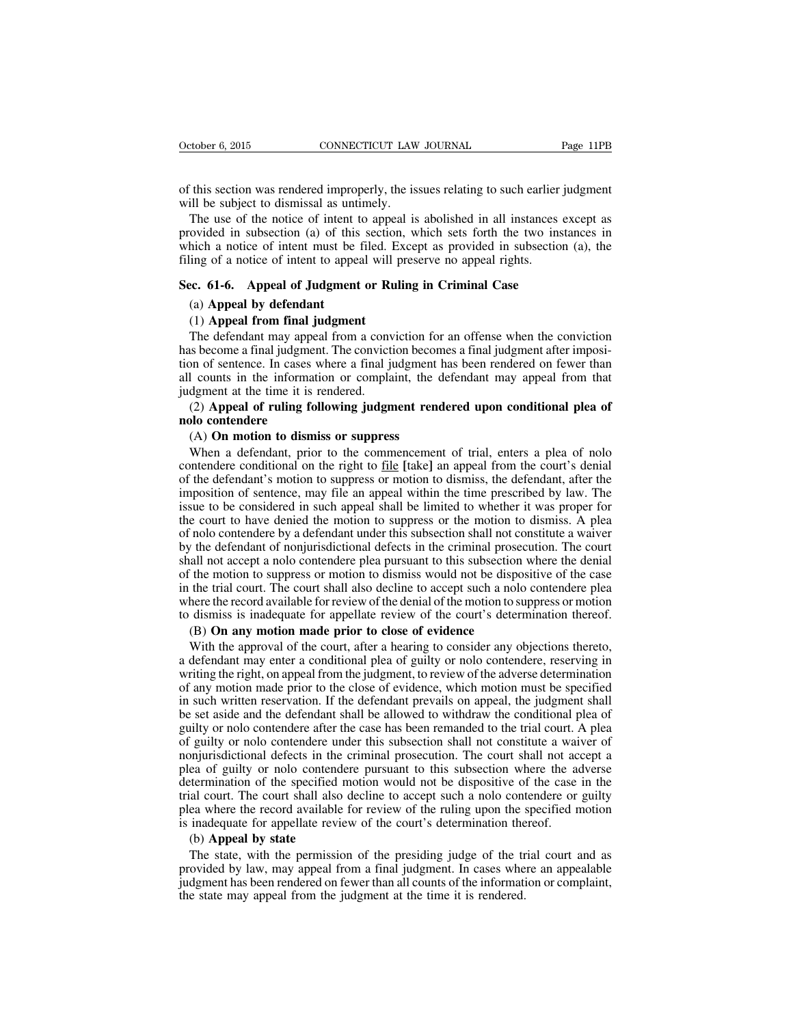of this section was rendered improperly, the issues relating to such earlier judgment will be subject to dismissal as untimely.

The use of the notice of intent to appeal is abolished in all instances except as provided in subsection (a) of this section, which sets forth the two instances in which a notice of intent must be filed. Except as provided in subsection (a), the filing of a notice of intent to appeal will preserve no appeal rights.

## **Sec. 61-6. Appeal of Judgment or Ruling in Criminal Case**

## (a) **Appeal by defendant**

## (1) **Appeal from final judgment**

The defendant may appeal from a conviction for an offense when the conviction has become a final judgment. The conviction becomes a final judgment after imposition of sentence. In cases where a final judgment has been rendered on fewer than all counts in the information or complaint, the defendant may appeal from that judgment at the time it is rendered.

# (2) **Appeal of ruling following judgment rendered upon conditional plea of nolo contendere**

## (A) **On motion to dismiss or suppress**

When a defendant, prior to the commencement of trial, enters a plea of nolo contendere conditional on the right to file **[**take**]** an appeal from the court's denial of the defendant's motion to suppress or motion to dismiss, the defendant, after the imposition of sentence, may file an appeal within the time prescribed by law. The issue to be considered in such appeal shall be limited to whether it was proper for the court to have denied the motion to suppress or the motion to dismiss. A plea of nolo contendere by a defendant under this subsection shall not constitute a waiver by the defendant of nonjurisdictional defects in the criminal prosecution. The court shall not accept a nolo contendere plea pursuant to this subsection where the denial of the motion to suppress or motion to dismiss would not be dispositive of the case in the trial court. The court shall also decline to accept such a nolo contendere plea where the record available for review of the denial of the motion to suppress or motion to dismiss is inadequate for appellate review of the court's determination thereof.

# (B) **On any motion made prior to close of evidence**

With the approval of the court, after a hearing to consider any objections thereto, a defendant may enter a conditional plea of guilty or nolo contendere, reserving in writing the right, on appeal from the judgment, to review of the adverse determination of any motion made prior to the close of evidence, which motion must be specified in such written reservation. If the defendant prevails on appeal, the judgment shall be set aside and the defendant shall be allowed to withdraw the conditional plea of guilty or nolo contendere after the case has been remanded to the trial court. A plea of guilty or nolo contendere under this subsection shall not constitute a waiver of nonjurisdictional defects in the criminal prosecution. The court shall not accept a plea of guilty or nolo contendere pursuant to this subsection where the adverse determination of the specified motion would not be dispositive of the case in the trial court. The court shall also decline to accept such a nolo contendere or guilty plea where the record available for review of the ruling upon the specified motion is inadequate for appellate review of the court's determination thereof.

#### (b) **Appeal by state**

The state, with the permission of the presiding judge of the trial court and as provided by law, may appeal from a final judgment. In cases where an appealable judgment has been rendered on fewer than all counts of the information or complaint, the state may appeal from the judgment at the time it is rendered.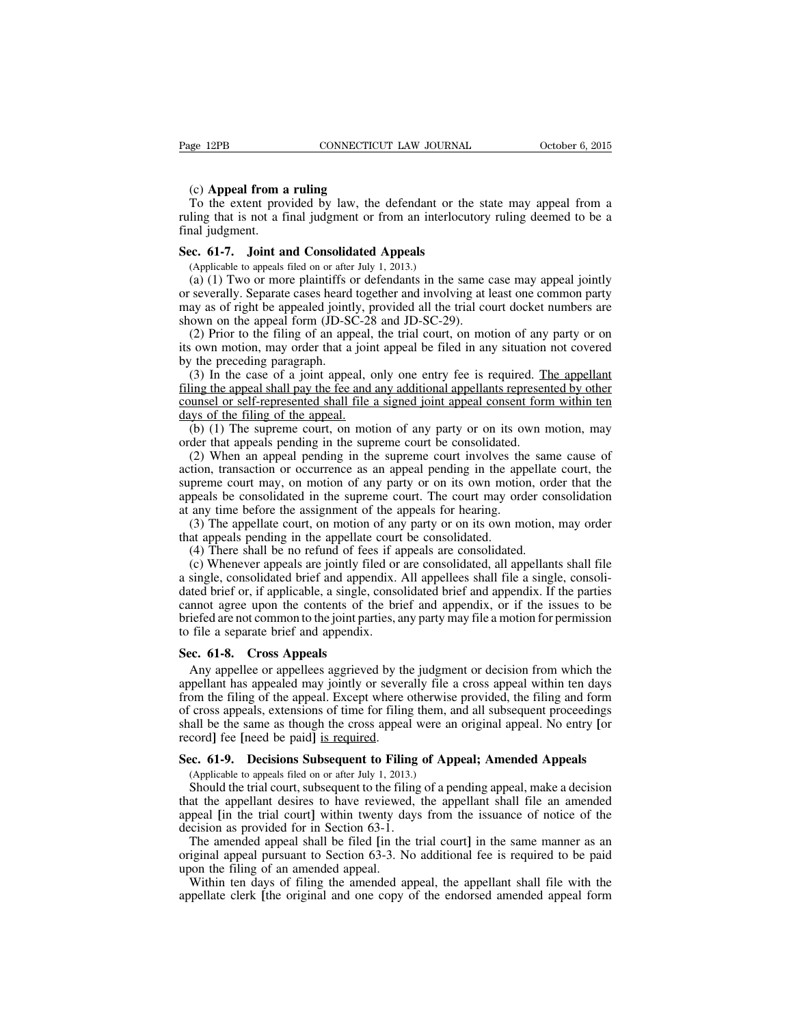#### (c) **Appeal from a ruling**

To the extent provided by law, the defendant or the state may appeal from a ruling that is not a final judgment or from an interlocutory ruling deemed to be a final judgment.

#### **Sec. 61-7. Joint and Consolidated Appeals**

(Applicable to appeals filed on or after July 1, 2013.)

(a) (1) Two or more plaintiffs or defendants in the same case may appeal jointly or severally. Separate cases heard together and involving at least one common party may as of right be appealed jointly, provided all the trial court docket numbers are shown on the appeal form (JD-SC-28 and JD-SC-29).

(2) Prior to the filing of an appeal, the trial court, on motion of any party or on its own motion, may order that a joint appeal be filed in any situation not covered by the preceding paragraph.

(3) In the case of a joint appeal, only one entry fee is required. The appellant filing the appeal shall pay the fee and any additional appellants represented by other counsel or self-represented shall file a signed joint appeal consent form within ten days of the filing of the appeal.

(b) (1) The supreme court, on motion of any party or on its own motion, may order that appeals pending in the supreme court be consolidated.

(2) When an appeal pending in the supreme court involves the same cause of action, transaction or occurrence as an appeal pending in the appellate court, the supreme court may, on motion of any party or on its own motion, order that the appeals be consolidated in the supreme court. The court may order consolidation at any time before the assignment of the appeals for hearing.

(3) The appellate court, on motion of any party or on its own motion, may order that appeals pending in the appellate court be consolidated.

(4) There shall be no refund of fees if appeals are consolidated.

(c) Whenever appeals are jointly filed or are consolidated, all appellants shall file a single, consolidated brief and appendix. All appellees shall file a single, consolidated brief or, if applicable, a single, consolidated brief and appendix. If the parties cannot agree upon the contents of the brief and appendix, or if the issues to be briefed are not common to the joint parties, any party may file a motion for permission to file a separate brief and appendix.

#### **Sec. 61-8. Cross Appeals**

Any appellee or appellees aggrieved by the judgment or decision from which the appellant has appealed may jointly or severally file a cross appeal within ten days from the filing of the appeal. Except where otherwise provided, the filing and form of cross appeals, extensions of time for filing them, and all subsequent proceedings shall be the same as though the cross appeal were an original appeal. No entry **[**or record**]** fee **[**need be paid**]** is required.

#### **Sec. 61-9. Decisions Subsequent to Filing of Appeal; Amended Appeals**

(Applicable to appeals filed on or after July 1, 2013.)

Should the trial court, subsequent to the filing of a pending appeal, make a decision that the appellant desires to have reviewed, the appellant shall file an amended appeal **[**in the trial court**]** within twenty days from the issuance of notice of the decision as provided for in Section 63-1.

The amended appeal shall be filed **[**in the trial court**]** in the same manner as an original appeal pursuant to Section 63-3. No additional fee is required to be paid upon the filing of an amended appeal.

Within ten days of filing the amended appeal, the appellant shall file with the appellate clerk **[**the original and one copy of the endorsed amended appeal form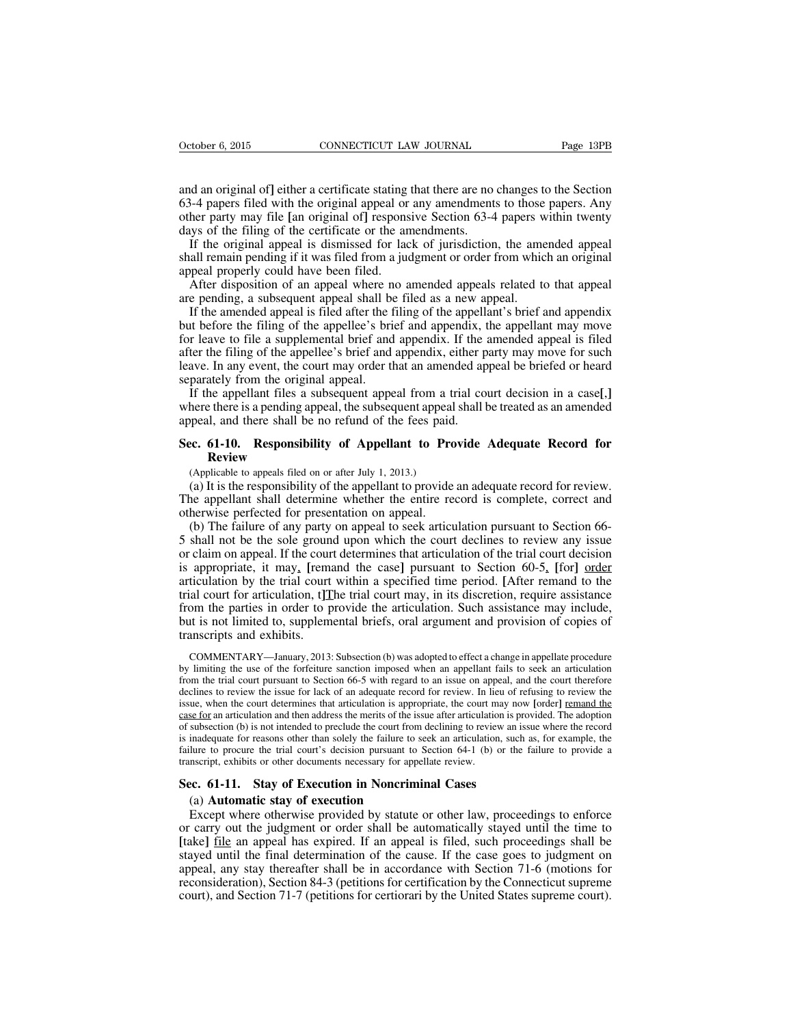and an original of**]** either a certificate stating that there are no changes to the Section 63-4 papers filed with the original appeal or any amendments to those papers. Any other party may file **[**an original of**]** responsive Section 63-4 papers within twenty days of the filing of the certificate or the amendments.

If the original appeal is dismissed for lack of jurisdiction, the amended appeal shall remain pending if it was filed from a judgment or order from which an original appeal properly could have been filed.

After disposition of an appeal where no amended appeals related to that appeal are pending, a subsequent appeal shall be filed as a new appeal.

If the amended appeal is filed after the filing of the appellant's brief and appendix but before the filing of the appellee's brief and appendix, the appellant may move for leave to file a supplemental brief and appendix. If the amended appeal is filed after the filing of the appellee's brief and appendix, either party may move for such leave. In any event, the court may order that an amended appeal be briefed or heard separately from the original appeal.

If the appellant files a subsequent appeal from a trial court decision in a case**[**,**]** where there is a pending appeal, the subsequent appeal shall be treated as an amended appeal, and there shall be no refund of the fees paid.

# **Sec. 61-10. Responsibility of Appellant to Provide Adequate Record for Review**

(Applicable to appeals filed on or after July 1, 2013.)

(a) It is the responsibility of the appellant to provide an adequate record for review. The appellant shall determine whether the entire record is complete, correct and otherwise perfected for presentation on appeal.

(b) The failure of any party on appeal to seek articulation pursuant to Section 66- 5 shall not be the sole ground upon which the court declines to review any issue or claim on appeal. If the court determines that articulation of the trial court decision is appropriate, it may, **[**remand the case**]** pursuant to Section 60-5, **[**for**]** order articulation by the trial court within a specified time period. **[**After remand to the trial court for articulation, t**]**The trial court may, in its discretion, require assistance from the parties in order to provide the articulation. Such assistance may include, but is not limited to, supplemental briefs, oral argument and provision of copies of transcripts and exhibits.

COMMENTARY—January, 2013: Subsection (b) was adopted to effect a change in appellate procedure by limiting the use of the forfeiture sanction imposed when an appellant fails to seek an articulation from the trial court pursuant to Section 66-5 with regard to an issue on appeal, and the court therefore declines to review the issue for lack of an adequate record for review. In lieu of refusing to review the issue, when the court determines that articulation is appropriate, the court may now [order] remand the case for an articulation and then address the merits of the issue after articulation is provided. The adoption of subsection (b) is not intended to preclude the court from declining to review an issue where the record is inadequate for reasons other than solely the failure to seek an articulation, such as, for example, the failure to procure the trial court's decision pursuant to Section 64-1 (b) or the failure to provide a transcript, exhibits or other documents necessary for appellate review.

## **Sec. 61-11. Stay of Execution in Noncriminal Cases**

## (a) **Automatic stay of execution**

Except where otherwise provided by statute or other law, proceedings to enforce or carry out the judgment or order shall be automatically stayed until the time to **[**take**]** file an appeal has expired. If an appeal is filed, such proceedings shall be stayed until the final determination of the cause. If the case goes to judgment on appeal, any stay thereafter shall be in accordance with Section 71-6 (motions for reconsideration), Section 84-3 (petitions for certification by the Connecticut supreme court), and Section 71-7 (petitions for certiorari by the United States supreme court).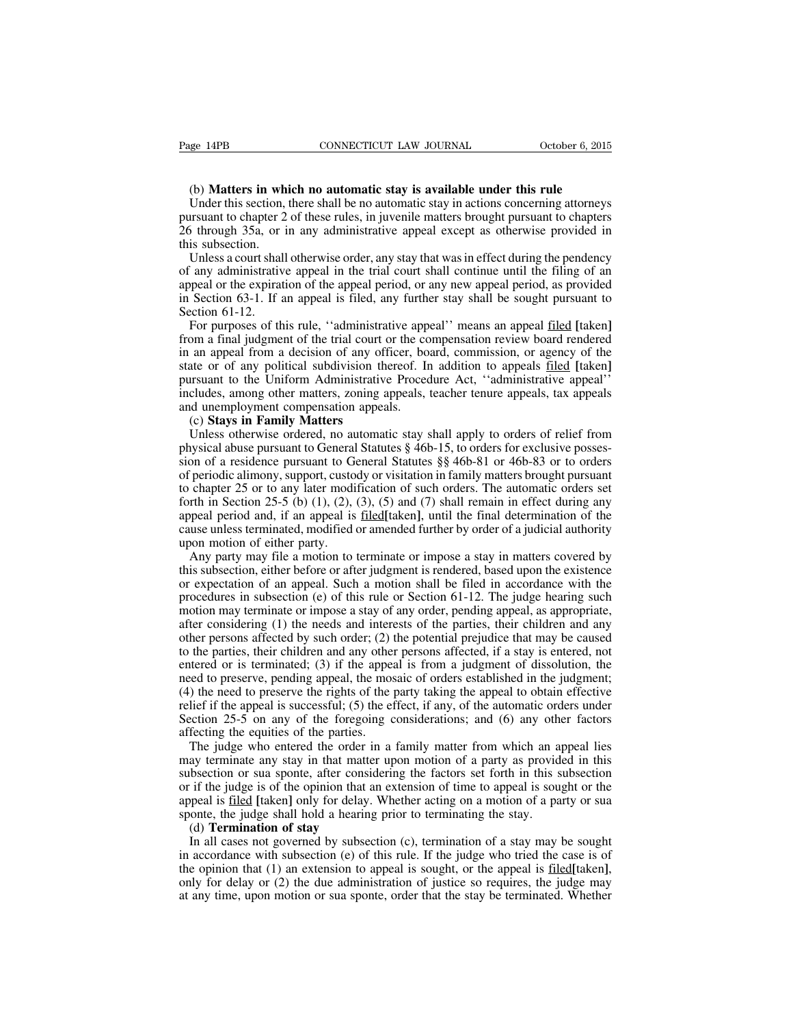#### (b) **Matters in which no automatic stay is available under this rule**

Under this section, there shall be no automatic stay in actions concerning attorneys pursuant to chapter 2 of these rules, in juvenile matters brought pursuant to chapters 26 through 35a, or in any administrative appeal except as otherwise provided in this subsection.

Unless a court shall otherwise order, any stay that was in effect during the pendency of any administrative appeal in the trial court shall continue until the filing of an appeal or the expiration of the appeal period, or any new appeal period, as provided in Section 63-1. If an appeal is filed, any further stay shall be sought pursuant to Section 61-12.

For purposes of this rule, ''administrative appeal'' means an appeal filed **[**taken**]** from a final judgment of the trial court or the compensation review board rendered in an appeal from a decision of any officer, board, commission, or agency of the state or of any political subdivision thereof. In addition to appeals filed **[**taken**]** pursuant to the Uniform Administrative Procedure Act, ''administrative appeal'' includes, among other matters, zoning appeals, teacher tenure appeals, tax appeals and unemployment compensation appeals.

#### (c) **Stays in Family Matters**

Unless otherwise ordered, no automatic stay shall apply to orders of relief from physical abuse pursuant to General Statutes § 46b-15, to orders for exclusive possession of a residence pursuant to General Statutes §§ 46b-81 or 46b-83 or to orders of periodic alimony, support, custody or visitation in family matters brought pursuant to chapter 25 or to any later modification of such orders. The automatic orders set forth in Section 25-5 (b)  $(1)$ ,  $(2)$ ,  $(3)$ ,  $(5)$  and  $(7)$  shall remain in effect during any appeal period and, if an appeal is filed**[**taken**]**, until the final determination of the cause unless terminated, modified or amended further by order of a judicial authority upon motion of either party.

Any party may file a motion to terminate or impose a stay in matters covered by this subsection, either before or after judgment is rendered, based upon the existence or expectation of an appeal. Such a motion shall be filed in accordance with the procedures in subsection (e) of this rule or Section 61-12. The judge hearing such motion may terminate or impose a stay of any order, pending appeal, as appropriate, after considering (1) the needs and interests of the parties, their children and any other persons affected by such order; (2) the potential prejudice that may be caused to the parties, their children and any other persons affected, if a stay is entered, not entered or is terminated; (3) if the appeal is from a judgment of dissolution, the need to preserve, pending appeal, the mosaic of orders established in the judgment; (4) the need to preserve the rights of the party taking the appeal to obtain effective relief if the appeal is successful; (5) the effect, if any, of the automatic orders under Section 25-5 on any of the foregoing considerations; and (6) any other factors affecting the equities of the parties.

The judge who entered the order in a family matter from which an appeal lies may terminate any stay in that matter upon motion of a party as provided in this subsection or sua sponte, after considering the factors set forth in this subsection or if the judge is of the opinion that an extension of time to appeal is sought or the appeal is filed **[**taken**]** only for delay. Whether acting on a motion of a party or sua sponte, the judge shall hold a hearing prior to terminating the stay.

#### (d) **Termination of stay**

In all cases not governed by subsection (c), termination of a stay may be sought in accordance with subsection (e) of this rule. If the judge who tried the case is of the opinion that (1) an extension to appeal is sought, or the appeal is filed**[**taken**]**, only for delay or (2) the due administration of justice so requires, the judge may at any time, upon motion or sua sponte, order that the stay be terminated. Whether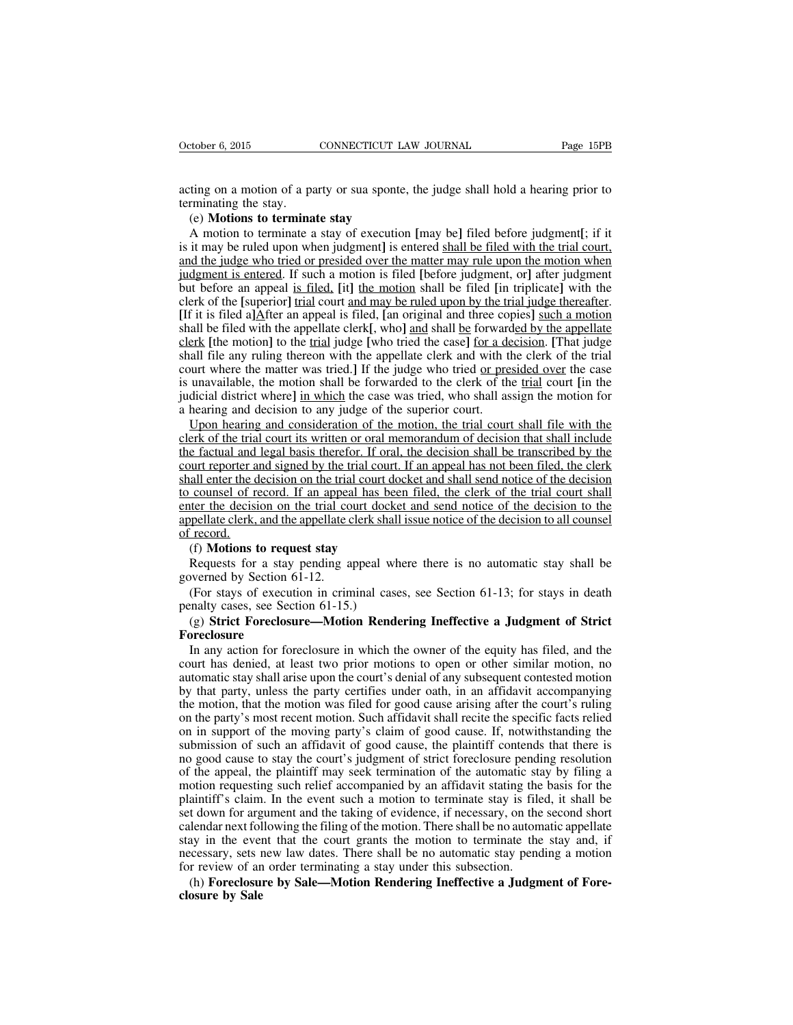acting on a motion of a party or sua sponte, the judge shall hold a hearing prior to terminating the stay.

# (e) **Motions to terminate stay**

A motion to terminate a stay of execution **[**may be**]** filed before judgment**[**; if it is it may be ruled upon when judgment**]** is entered shall be filed with the trial court, and the judge who tried or presided over the matter may rule upon the motion when judgment is entered. If such a motion is filed **[**before judgment, or**]** after judgment but before an appeal is filed, **[**it**]** the motion shall be filed **[**in triplicate**]** with the clerk of the **[**superior**]** trial court and may be ruled upon by the trial judge thereafter. **[**If it is filed a**]**After an appeal is filed, **[**an original and three copies**]** such a motion shall be filed with the appellate clerk**[**, who**]** and shall be forwarded by the appellate clerk **[**the motion**]** to the trial judge **[**who tried the case**]** for a decision. **[**That judge shall file any ruling thereon with the appellate clerk and with the clerk of the trial court where the matter was tried.**]** If the judge who tried <u>or presided over</u> the case is unavailable, the motion shall be forwarded to the clerk of the trial court **[**in the judicial district where**]** in which the case was tried, who shall assign the motion for a hearing and decision to any judge of the superior court.

Upon hearing and consideration of the motion, the trial court shall file with the clerk of the trial court its written or oral memorandum of decision that shall include the factual and legal basis therefor. If oral, the decision shall be transcribed by the court reporter and signed by the trial court. If an appeal has not been filed, the clerk shall enter the decision on the trial court docket and shall send notice of the decision to counsel of record. If an appeal has been filed, the clerk of the trial court shall enter the decision on the trial court docket and send notice of the decision to the appellate clerk, and the appellate clerk shall issue notice of the decision to all counsel of record.

#### (f) **Motions to request stay**

Requests for a stay pending appeal where there is no automatic stay shall be governed by Section 61-12.

(For stays of execution in criminal cases, see Section 61-13; for stays in death penalty cases, see Section 61-15.)

## (g) **Strict Foreclosure—Motion Rendering Ineffective a Judgment of Strict Foreclosure**

In any action for foreclosure in which the owner of the equity has filed, and the court has denied, at least two prior motions to open or other similar motion, no automatic stay shall arise upon the court's denial of any subsequent contested motion by that party, unless the party certifies under oath, in an affidavit accompanying the motion, that the motion was filed for good cause arising after the court's ruling on the party's most recent motion. Such affidavit shall recite the specific facts relied on in support of the moving party's claim of good cause. If, notwithstanding the submission of such an affidavit of good cause, the plaintiff contends that there is no good cause to stay the court's judgment of strict foreclosure pending resolution of the appeal, the plaintiff may seek termination of the automatic stay by filing a motion requesting such relief accompanied by an affidavit stating the basis for the plaintiff's claim. In the event such a motion to terminate stay is filed, it shall be set down for argument and the taking of evidence, if necessary, on the second short calendar next following the filing of the motion. There shall be no automatic appellate stay in the event that the court grants the motion to terminate the stay and, if necessary, sets new law dates. There shall be no automatic stay pending a motion for review of an order terminating a stay under this subsection.

(h) **Foreclosure by Sale—Motion Rendering Ineffective a Judgment of Foreclosure by Sale**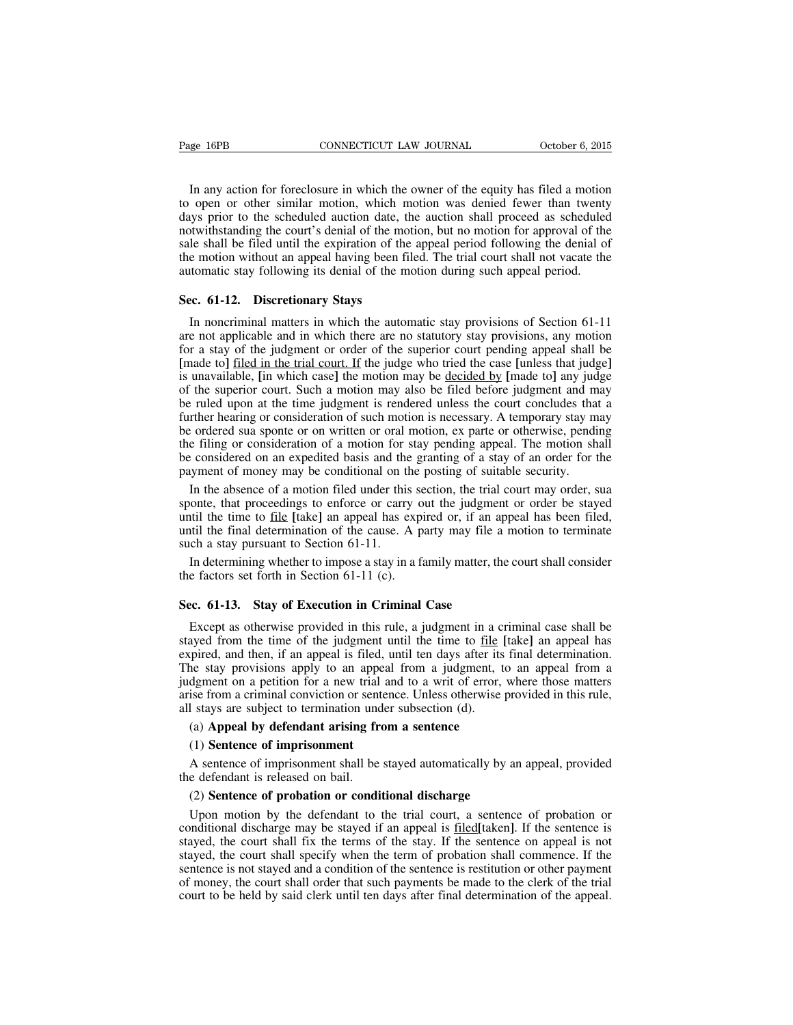In any action for foreclosure in which the owner of the equity has filed a motion to open or other similar motion, which motion was denied fewer than twenty days prior to the scheduled auction date, the auction shall proceed as scheduled notwithstanding the court's denial of the motion, but no motion for approval of the sale shall be filed until the expiration of the appeal period following the denial of the motion without an appeal having been filed. The trial court shall not vacate the automatic stay following its denial of the motion during such appeal period.

#### **Sec. 61-12. Discretionary Stays**

In noncriminal matters in which the automatic stay provisions of Section 61-11 are not applicable and in which there are no statutory stay provisions, any motion for a stay of the judgment or order of the superior court pending appeal shall be **[**made to**]** filed in the trial court. If the judge who tried the case **[**unless that judge**]** is unavailable, **[**in which case**]** the motion may be decided by **[**made to**]** any judge of the superior court. Such a motion may also be filed before judgment and may be ruled upon at the time judgment is rendered unless the court concludes that a further hearing or consideration of such motion is necessary. A temporary stay may be ordered sua sponte or on written or oral motion, ex parte or otherwise, pending the filing or consideration of a motion for stay pending appeal. The motion shall be considered on an expedited basis and the granting of a stay of an order for the payment of money may be conditional on the posting of suitable security.

In the absence of a motion filed under this section, the trial court may order, sua sponte, that proceedings to enforce or carry out the judgment or order be stayed until the time to file **[**take**]** an appeal has expired or, if an appeal has been filed, until the final determination of the cause. A party may file a motion to terminate such a stay pursuant to Section 61-11.

In determining whether to impose a stay in a family matter, the court shall consider the factors set forth in Section 61-11 (c).

#### **Sec. 61-13. Stay of Execution in Criminal Case**

Except as otherwise provided in this rule, a judgment in a criminal case shall be stayed from the time of the judgment until the time to file **[**take**]** an appeal has expired, and then, if an appeal is filed, until ten days after its final determination. The stay provisions apply to an appeal from a judgment, to an appeal from a judgment on a petition for a new trial and to a writ of error, where those matters arise from a criminal conviction or sentence. Unless otherwise provided in this rule, all stays are subject to termination under subsection (d).

#### (a) **Appeal by defendant arising from a sentence**

#### (1) **Sentence of imprisonment**

A sentence of imprisonment shall be stayed automatically by an appeal, provided the defendant is released on bail.

#### (2) **Sentence of probation or conditional discharge**

Upon motion by the defendant to the trial court, a sentence of probation or conditional discharge may be stayed if an appeal is filed**[**taken**]**. If the sentence is stayed, the court shall fix the terms of the stay. If the sentence on appeal is not stayed, the court shall specify when the term of probation shall commence. If the sentence is not stayed and a condition of the sentence is restitution or other payment of money, the court shall order that such payments be made to the clerk of the trial court to be held by said clerk until ten days after final determination of the appeal.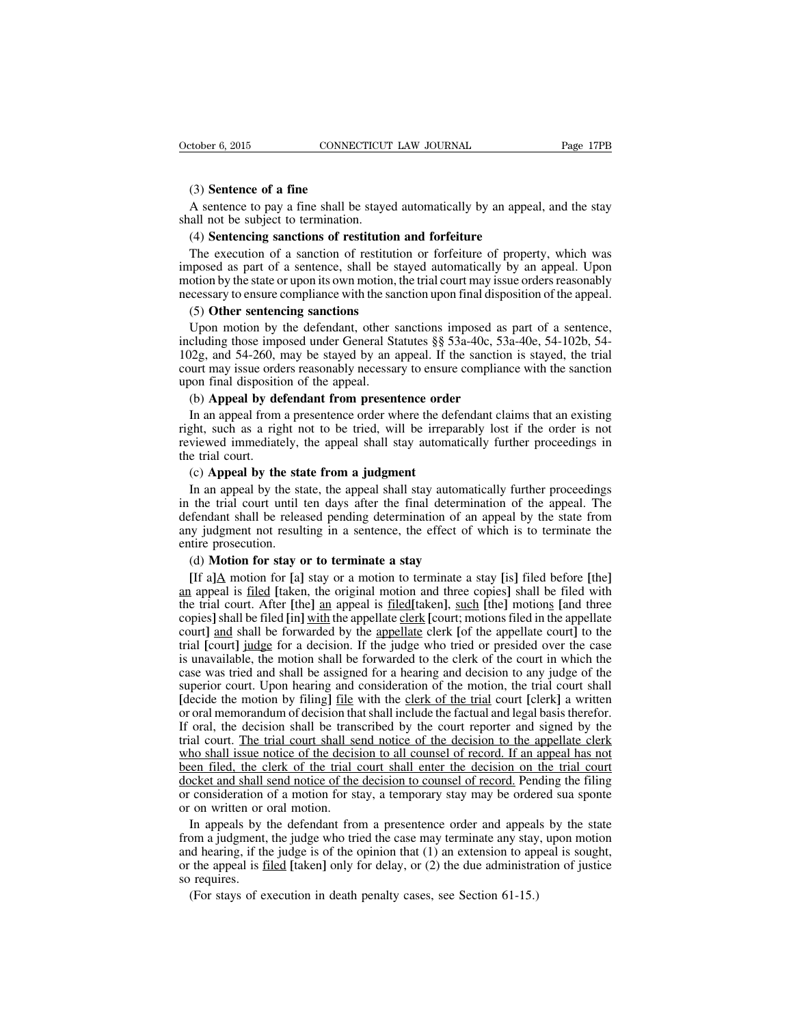# (3) **Sentence of a fine**

A sentence to pay a fine shall be stayed automatically by an appeal, and the stay shall not be subject to termination.

## (4) **Sentencing sanctions of restitution and forfeiture**

The execution of a sanction of restitution or forfeiture of property, which was imposed as part of a sentence, shall be stayed automatically by an appeal. Upon motion by the state or upon its own motion, the trial court may issue orders reasonably necessary to ensure compliance with the sanction upon final disposition of the appeal.

## (5) **Other sentencing sanctions**

Upon motion by the defendant, other sanctions imposed as part of a sentence, including those imposed under General Statutes §§ 53a-40c, 53a-40e, 54-102b, 54- 102g, and 54-260, may be stayed by an appeal. If the sanction is stayed, the trial court may issue orders reasonably necessary to ensure compliance with the sanction upon final disposition of the appeal.

# (b) **Appeal by defendant from presentence order**

In an appeal from a presentence order where the defendant claims that an existing right, such as a right not to be tried, will be irreparably lost if the order is not reviewed immediately, the appeal shall stay automatically further proceedings in the trial court.

## (c) **Appeal by the state from a judgment**

In an appeal by the state, the appeal shall stay automatically further proceedings in the trial court until ten days after the final determination of the appeal. The defendant shall be released pending determination of an appeal by the state from any judgment not resulting in a sentence, the effect of which is to terminate the entire prosecution.

#### (d) **Motion for stay or to terminate a stay**

**[**If a**]**A motion for **[**a**]** stay or a motion to terminate a stay **[**is**]** filed before **[**the**]** an appeal is filed **[**taken, the original motion and three copies**]** shall be filed with the trial court. After **[**the**]** an appeal is filed**[**taken**]**, such **[**the**]** motions **[**and three copies**]**shall be filed **[**in**]** with the appellate clerk **[**court; motionsfiled in the appellate court**]** and shall be forwarded by the appellate clerk **[**of the appellate court**]** to the trial **[**court**]** judge for a decision. If the judge who tried or presided over the case is unavailable, the motion shall be forwarded to the clerk of the court in which the case was tried and shall be assigned for a hearing and decision to any judge of the superior court. Upon hearing and consideration of the motion, the trial court shall **[**decide the motion by filing**]** file with the clerk of the trial court **[**clerk**]** a written or oral memorandum of decision that shall include the factual and legal basis therefor. If oral, the decision shall be transcribed by the court reporter and signed by the trial court. The trial court shall send notice of the decision to the appellate clerk who shall issue notice of the decision to all counsel of record. If an appeal has not been filed, the clerk of the trial court shall enter the decision on the trial court docket and shall send notice of the decision to counsel of record. Pending the filing or consideration of a motion for stay, a temporary stay may be ordered sua sponte or on written or oral motion.

In appeals by the defendant from a presentence order and appeals by the state from a judgment, the judge who tried the case may terminate any stay, upon motion and hearing, if the judge is of the opinion that (1) an extension to appeal is sought, or the appeal is filed **[**taken**]** only for delay, or (2) the due administration of justice so requires.

(For stays of execution in death penalty cases, see Section 61-15.)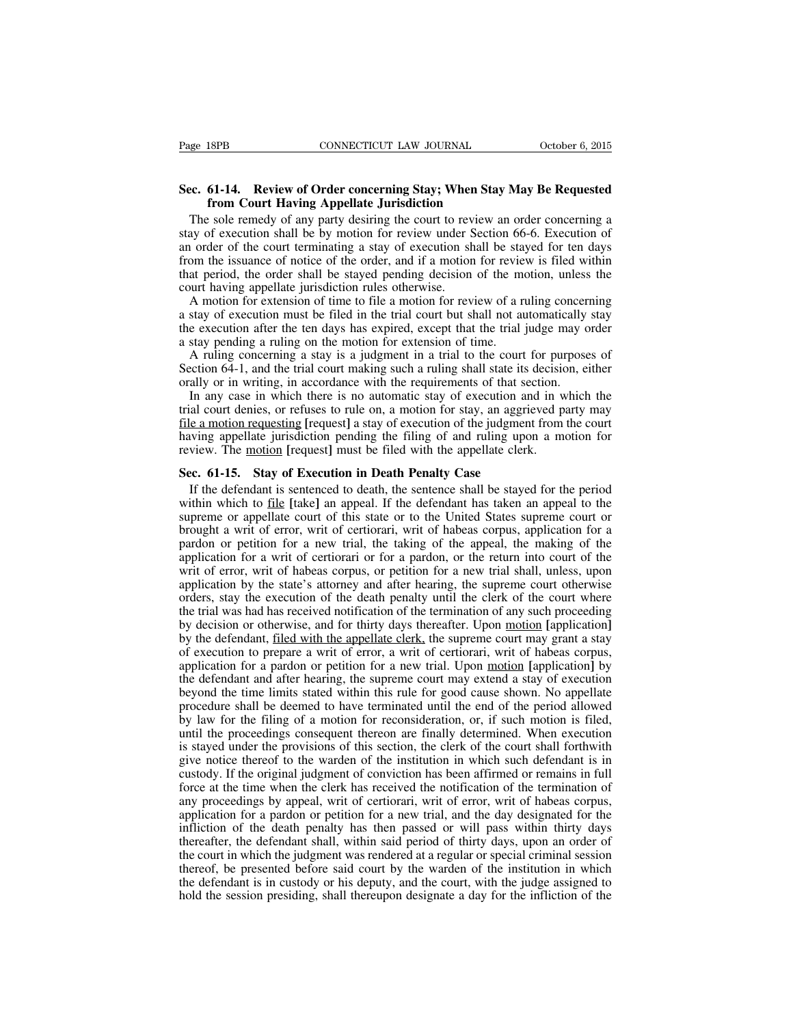# **Sec. 61-14. Review of Order concerning Stay; When Stay May Be Requested from Court Having Appellate Jurisdiction**

The sole remedy of any party desiring the court to review an order concerning a stay of execution shall be by motion for review under Section 66-6. Execution of an order of the court terminating a stay of execution shall be stayed for ten days from the issuance of notice of the order, and if a motion for review is filed within that period, the order shall be stayed pending decision of the motion, unless the court having appellate jurisdiction rules otherwise.

A motion for extension of time to file a motion for review of a ruling concerning a stay of execution must be filed in the trial court but shall not automatically stay the execution after the ten days has expired, except that the trial judge may order a stay pending a ruling on the motion for extension of time.

A ruling concerning a stay is a judgment in a trial to the court for purposes of Section 64-1, and the trial court making such a ruling shall state its decision, either orally or in writing, in accordance with the requirements of that section.

In any case in which there is no automatic stay of execution and in which the trial court denies, or refuses to rule on, a motion for stay, an aggrieved party may file a motion requesting **[**request**]** a stay of execution of the judgment from the court having appellate jurisdiction pending the filing of and ruling upon a motion for review. The motion **[**request**]** must be filed with the appellate clerk.

# **Sec. 61-15. Stay of Execution in Death Penalty Case**

If the defendant is sentenced to death, the sentence shall be stayed for the period within which to file **[**take**]** an appeal. If the defendant has taken an appeal to the supreme or appellate court of this state or to the United States supreme court or brought a writ of error, writ of certiorari, writ of habeas corpus, application for a pardon or petition for a new trial, the taking of the appeal, the making of the application for a writ of certiorari or for a pardon, or the return into court of the writ of error, writ of habeas corpus, or petition for a new trial shall, unless, upon application by the state's attorney and after hearing, the supreme court otherwise orders, stay the execution of the death penalty until the clerk of the court where the trial was had has received notification of the termination of any such proceeding by decision or otherwise, and for thirty days thereafter. Upon motion **[**application**]** by the defendant, <u>filed with the appellate clerk</u>, the supreme court may grant a stay of execution to prepare a writ of error, a writ of certiorari, writ of habeas corpus, application for a pardon or petition for a new trial. Upon motion **[**application**]** by the defendant and after hearing, the supreme court may extend a stay of execution beyond the time limits stated within this rule for good cause shown. No appellate procedure shall be deemed to have terminated until the end of the period allowed by law for the filing of a motion for reconsideration, or, if such motion is filed, until the proceedings consequent thereon are finally determined. When execution is stayed under the provisions of this section, the clerk of the court shall forthwith give notice thereof to the warden of the institution in which such defendant is in custody. If the original judgment of conviction has been affirmed or remains in full force at the time when the clerk has received the notification of the termination of any proceedings by appeal, writ of certiorari, writ of error, writ of habeas corpus, application for a pardon or petition for a new trial, and the day designated for the infliction of the death penalty has then passed or will pass within thirty days thereafter, the defendant shall, within said period of thirty days, upon an order of the court in which the judgment was rendered at a regular or special criminal session thereof, be presented before said court by the warden of the institution in which the defendant is in custody or his deputy, and the court, with the judge assigned to hold the session presiding, shall thereupon designate a day for the infliction of the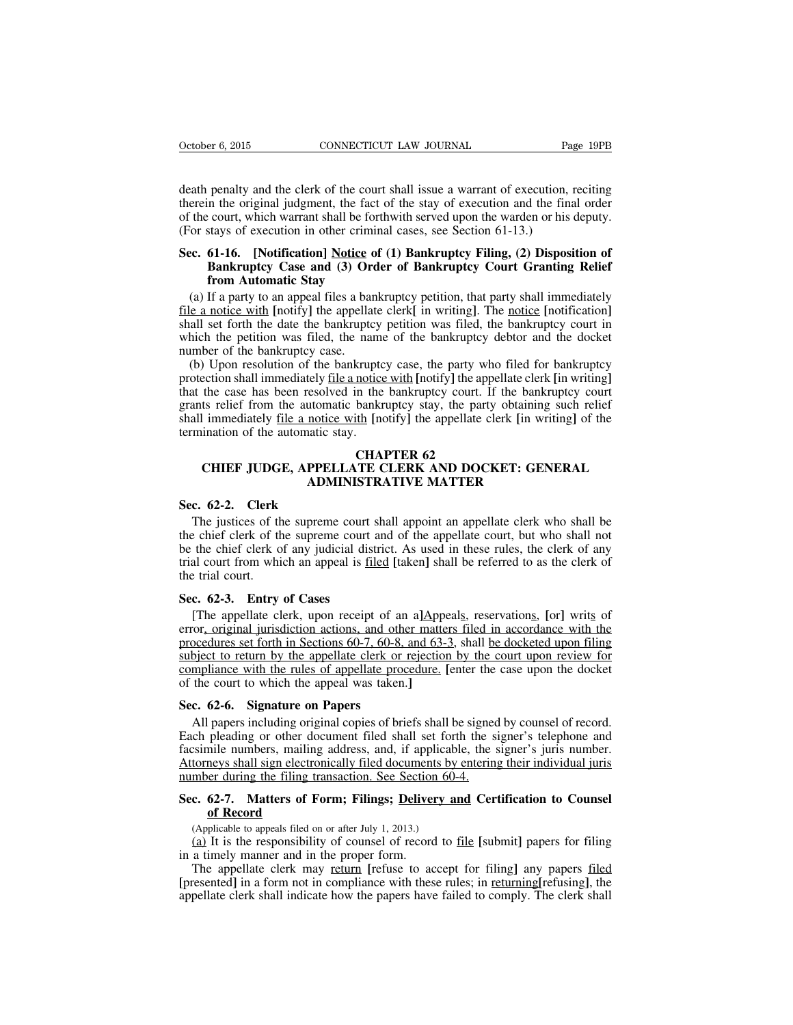death penalty and the clerk of the court shall issue a warrant of execution, reciting therein the original judgment, the fact of the stay of execution and the final order of the court, which warrant shall be forthwith served upon the warden or his deputy. (For stays of execution in other criminal cases, see Section 61-13.)

# **Sec. 61-16. [Notification] Notice of (1) Bankruptcy Filing, (2) Disposition of Bankruptcy Case and (3) Order of Bankruptcy Court Granting Relief from Automatic Stay**

(a) If a party to an appeal files a bankruptcy petition, that party shall immediately file a notice with **[**notify**]** the appellate clerk**[** in writing**]**. The notice **[**notification**]** shall set forth the date the bankruptcy petition was filed, the bankruptcy court in which the petition was filed, the name of the bankruptcy debtor and the docket number of the bankruptcy case.

(b) Upon resolution of the bankruptcy case, the party who filed for bankruptcy protection shall immediately file a notice with **[**notify**]** the appellate clerk **[**in writing**]** that the case has been resolved in the bankruptcy court. If the bankruptcy court grants relief from the automatic bankruptcy stay, the party obtaining such relief shall immediately file a notice with **[**notify**]** the appellate clerk **[**in writing**]** of the termination of the automatic stay.

#### **CHAPTER 62**

# **CHIEF JUDGE, APPELLATE CLERK AND DOCKET: GENERAL ADMINISTRATIVE MATTER**

# **Sec. 62-2. Clerk**

The justices of the supreme court shall appoint an appellate clerk who shall be the chief clerk of the supreme court and of the appellate court, but who shall not be the chief clerk of any judicial district. As used in these rules, the clerk of any trial court from which an appeal is filed **[**taken**]** shall be referred to as the clerk of the trial court.

# **Sec. 62-3. Entry of Cases**

[The appellate clerk, upon receipt of an a**]**Appeals, reservations, **[**or**]** writs of error, original jurisdiction actions, and other matters filed in accordance with the procedures set forth in Sections 60-7, 60-8, and 63-3, shall be docketed upon filing subject to return by the appellate clerk or rejection by the court upon review for compliance with the rules of appellate procedure. **[**enter the case upon the docket of the court to which the appeal was taken.**]**

# **Sec. 62-6. Signature on Papers**

All papers including original copies of briefs shall be signed by counsel of record. Each pleading or other document filed shall set forth the signer's telephone and facsimile numbers, mailing address, and, if applicable, the signer's juris number. Attorneys shall sign electronically filed documents by entering their individual juris number during the filing transaction. See Section 60-4.

# **Sec. 62-7. Matters of Form; Filings; Delivery and Certification to Counsel of Record**

(Applicable to appeals filed on or after July 1, 2013.)

(a) It is the responsibility of counsel of record to file **[**submit**]** papers for filing in a timely manner and in the proper form.

The appellate clerk may return **[**refuse to accept for filing**]** any papers filed **[**presented**]** in a form not in compliance with these rules; in returning**[**refusing**]**, the appellate clerk shall indicate how the papers have failed to comply. The clerk shall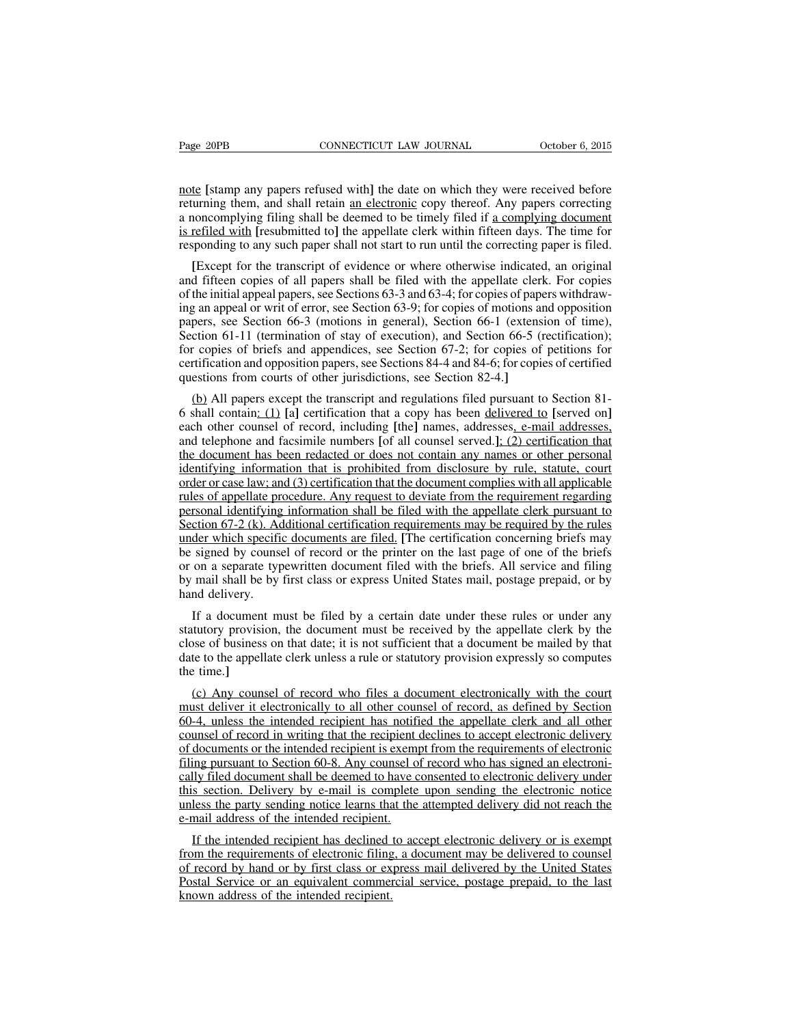note **[**stamp any papers refused with**]** the date on which they were received before returning them, and shall retain an electronic copy thereof. Any papers correcting a noncomplying filing shall be deemed to be timely filed if a complying document is refiled with **[**resubmitted to**]** the appellate clerk within fifteen days. The time for responding to any such paper shall not start to run until the correcting paper is filed.

**[**Except for the transcript of evidence or where otherwise indicated, an original and fifteen copies of all papers shall be filed with the appellate clerk. For copies of the initial appeal papers, see Sections 63-3 and 63-4; for copies of papers withdrawing an appeal or writ of error, see Section 63-9; for copies of motions and opposition papers, see Section 66-3 (motions in general), Section 66-1 (extension of time), Section 61-11 (termination of stay of execution), and Section 66-5 (rectification); for copies of briefs and appendices, see Section 67-2; for copies of petitions for certification and opposition papers, see Sections 84-4 and 84-6; for copies of certified questions from courts of other jurisdictions, see Section 82-4.**]**

(b) All papers except the transcript and regulations filed pursuant to Section 81- 6 shall contain: (1) **[**a**]** certification that a copy has been delivered to **[**served on**]** each other counsel of record, including **[**the**]** names, addresses, e-mail addresses, and telephone and facsimile numbers **[**of all counsel served.**]**; (2) certification that the document has been redacted or does not contain any names or other personal identifying information that is prohibited from disclosure by rule, statute, court order or case law; and (3) certification that the document complies with all applicable rules of appellate procedure. Any request to deviate from the requirement regarding personal identifying information shall be filed with the appellate clerk pursuant to Section 67-2 (k). Additional certification requirements may be required by the rules under which specific documents are filed. **[**The certification concerning briefs may be signed by counsel of record or the printer on the last page of one of the briefs or on a separate typewritten document filed with the briefs. All service and filing by mail shall be by first class or express United States mail, postage prepaid, or by hand delivery.

If a document must be filed by a certain date under these rules or under any statutory provision, the document must be received by the appellate clerk by the close of business on that date; it is not sufficient that a document be mailed by that date to the appellate clerk unless a rule or statutory provision expressly so computes the time.**]**

(c) Any counsel of record who files a document electronically with the court must deliver it electronically to all other counsel of record, as defined by Section 60-4, unless the intended recipient has notified the appellate clerk and all other counsel of record in writing that the recipient declines to accept electronic delivery of documents or the intended recipient is exempt from the requirements of electronic filing pursuant to Section 60-8. Any counsel of record who has signed an electronically filed document shall be deemed to have consented to electronic delivery under this section. Delivery by e-mail is complete upon sending the electronic notice unless the party sending notice learns that the attempted delivery did not reach the e-mail address of the intended recipient.

If the intended recipient has declined to accept electronic delivery or is exempt from the requirements of electronic filing, a document may be delivered to counsel of record by hand or by first class or express mail delivered by the United States Postal Service or an equivalent commercial service, postage prepaid, to the last known address of the intended recipient.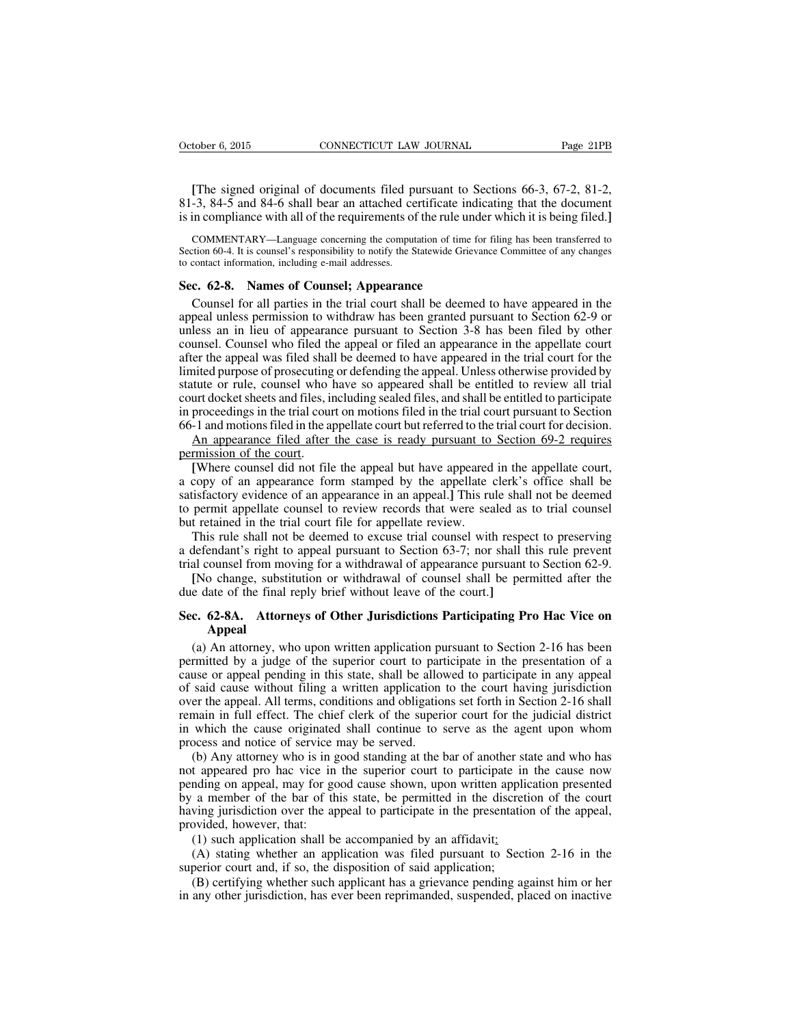**[**The signed original of documents filed pursuant to Sections 66-3, 67-2, 81-2, 81-3, 84-5 and 84-6 shall bear an attached certificate indicating that the document is in compliance with all of the requirements of the rule under which it is being filed.**]**

COMMENTARY—Language concerning the computation of time for filing has been transferred to Section 60-4. It is counsel's responsibility to notify the Statewide Grievance Committee of any changes to contact information, including e-mail addresses.

# **Sec. 62-8. Names of Counsel; Appearance**

Counsel for all parties in the trial court shall be deemed to have appeared in the appeal unless permission to withdraw has been granted pursuant to Section 62-9 or unless an in lieu of appearance pursuant to Section 3-8 has been filed by other counsel. Counsel who filed the appeal or filed an appearance in the appellate court after the appeal was filed shall be deemed to have appeared in the trial court for the limited purpose of prosecuting or defending the appeal. Unless otherwise provided by statute or rule, counsel who have so appeared shall be entitled to review all trial court docket sheets and files, including sealed files, and shall be entitled to participate in proceedings in the trial court on motions filed in the trial court pursuant to Section 66-1 and motionsfiled in the appellate court but referred to the trial court for decision.

An appearance filed after the case is ready pursuant to Section 69-2 requires permission of the court.

**[**Where counsel did not file the appeal but have appeared in the appellate court, a copy of an appearance form stamped by the appellate clerk's office shall be satisfactory evidence of an appearance in an appeal.**]** This rule shall not be deemed to permit appellate counsel to review records that were sealed as to trial counsel but retained in the trial court file for appellate review.

This rule shall not be deemed to excuse trial counsel with respect to preserving a defendant's right to appeal pursuant to Section 63-7; nor shall this rule prevent trial counsel from moving for a withdrawal of appearance pursuant to Section 62-9.

**[**No change, substitution or withdrawal of counsel shall be permitted after the due date of the final reply brief without leave of the court.**]**

# **Sec. 62-8A. Attorneys of Other Jurisdictions Participating Pro Hac Vice on Appeal**

(a) An attorney, who upon written application pursuant to Section 2-16 has been permitted by a judge of the superior court to participate in the presentation of a cause or appeal pending in this state, shall be allowed to participate in any appeal of said cause without filing a written application to the court having jurisdiction over the appeal. All terms, conditions and obligations set forth in Section 2-16 shall remain in full effect. The chief clerk of the superior court for the judicial district in which the cause originated shall continue to serve as the agent upon whom process and notice of service may be served.

(b) Any attorney who is in good standing at the bar of another state and who has not appeared pro hac vice in the superior court to participate in the cause now pending on appeal, may for good cause shown, upon written application presented by a member of the bar of this state, be permitted in the discretion of the court having jurisdiction over the appeal to participate in the presentation of the appeal, provided, however, that:

(1) such application shall be accompanied by an affidavit:

(A) stating whether an application was filed pursuant to Section 2-16 in the superior court and, if so, the disposition of said application;

(B) certifying whether such applicant has a grievance pending against him or her in any other jurisdiction, has ever been reprimanded, suspended, placed on inactive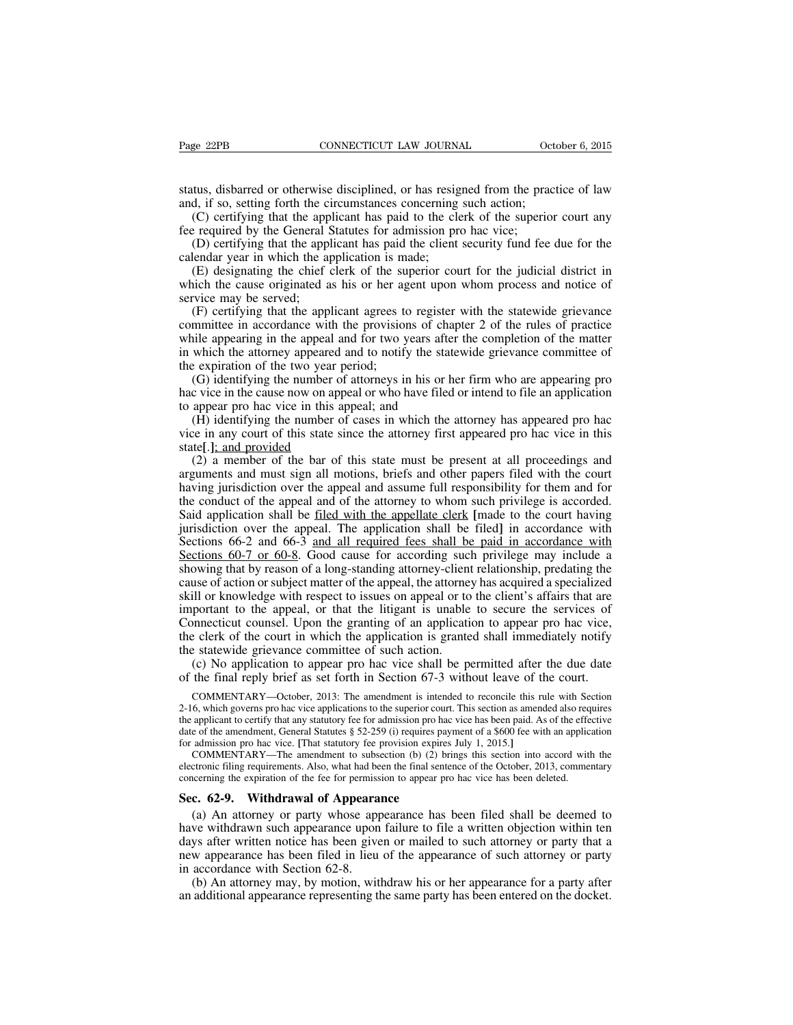status, disbarred or otherwise disciplined, or has resigned from the practice of law and, if so, setting forth the circumstances concerning such action;

(C) certifying that the applicant has paid to the clerk of the superior court any fee required by the General Statutes for admission pro hac vice;

(D) certifying that the applicant has paid the client security fund fee due for the calendar year in which the application is made;

(E) designating the chief clerk of the superior court for the judicial district in which the cause originated as his or her agent upon whom process and notice of service may be served;

(F) certifying that the applicant agrees to register with the statewide grievance committee in accordance with the provisions of chapter 2 of the rules of practice while appearing in the appeal and for two years after the completion of the matter in which the attorney appeared and to notify the statewide grievance committee of the expiration of the two year period;

(G) identifying the number of attorneys in his or her firm who are appearing pro hac vice in the cause now on appeal or who have filed or intend to file an application to appear pro hac vice in this appeal; and

(H) identifying the number of cases in which the attorney has appeared pro hac vice in any court of this state since the attorney first appeared pro hac vice in this state**[**.**]**; and provided

(2) a member of the bar of this state must be present at all proceedings and arguments and must sign all motions, briefs and other papers filed with the court having jurisdiction over the appeal and assume full responsibility for them and for the conduct of the appeal and of the attorney to whom such privilege is accorded. Said application shall be filed with the appellate clerk **[**made to the court having jurisdiction over the appeal. The application shall be filed**]** in accordance with Sections 66-2 and 66-3 and all required fees shall be paid in accordance with Sections 60-7 or 60-8. Good cause for according such privilege may include a showing that by reason of a long-standing attorney-client relationship, predating the cause of action or subject matter of the appeal, the attorney has acquired a specialized skill or knowledge with respect to issues on appeal or to the client's affairs that are important to the appeal, or that the litigant is unable to secure the services of Connecticut counsel. Upon the granting of an application to appear pro hac vice, the clerk of the court in which the application is granted shall immediately notify the statewide grievance committee of such action.

(c) No application to appear pro hac vice shall be permitted after the due date of the final reply brief as set forth in Section 67-3 without leave of the court.

COMMENTARY—October, 2013: The amendment is intended to reconcile this rule with Section 2-16, which governs pro hac vice applications to the superior court. This section as amended also requires the applicant to certify that any statutory fee for admission pro hac vice has been paid. As of the effective date of the amendment, General Statutes § 52-259 (i) requires payment of a \$600 fee with an application for admission pro hac vice. **[**That statutory fee provision expires July 1, 2015.**]**

COMMENTARY—The amendment to subsection (b) (2) brings this section into accord with the electronic filing requirements. Also, what had been the final sentence of the October, 2013, commentary concerning the expiration of the fee for permission to appear pro hac vice has been deleted.

## **Sec. 62-9. Withdrawal of Appearance**

(a) An attorney or party whose appearance has been filed shall be deemed to have withdrawn such appearance upon failure to file a written objection within ten days after written notice has been given or mailed to such attorney or party that a new appearance has been filed in lieu of the appearance of such attorney or party in accordance with Section 62-8.

(b) An attorney may, by motion, withdraw his or her appearance for a party after an additional appearance representing the same party has been entered on the docket.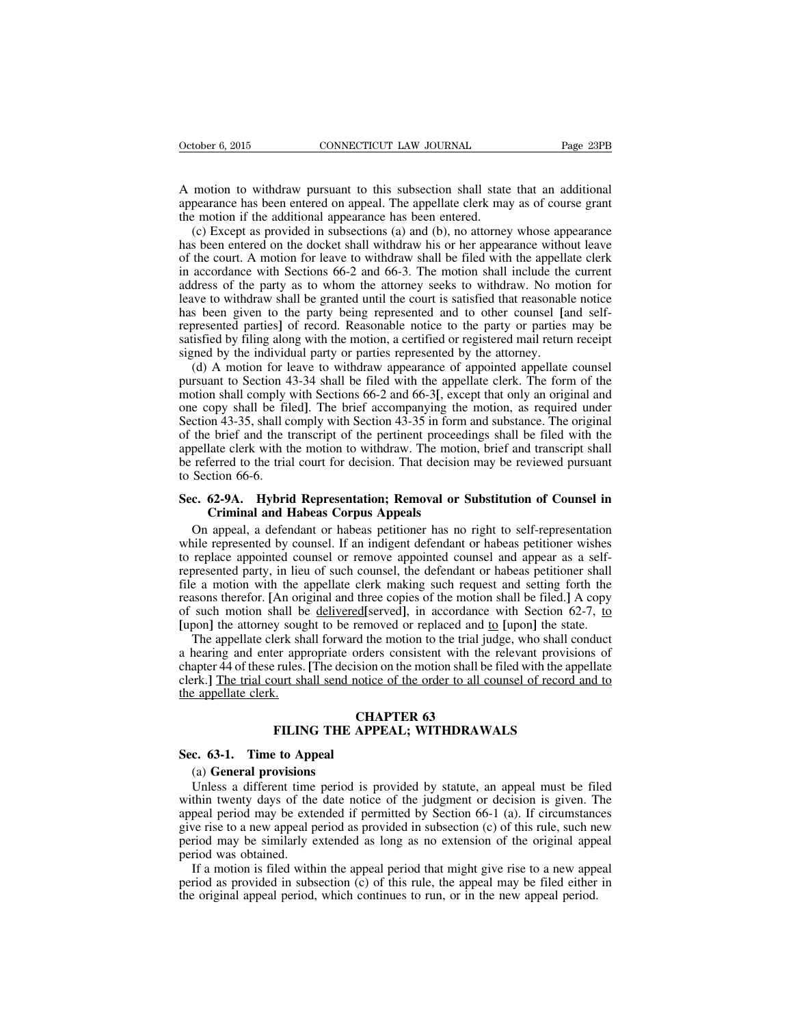A motion to withdraw pursuant to this subsection shall state that an additional appearance has been entered on appeal. The appellate clerk may as of course grant the motion if the additional appearance has been entered.

(c) Except as provided in subsections (a) and (b), no attorney whose appearance has been entered on the docket shall withdraw his or her appearance without leave of the court. A motion for leave to withdraw shall be filed with the appellate clerk in accordance with Sections 66-2 and 66-3. The motion shall include the current address of the party as to whom the attorney seeks to withdraw. No motion for leave to withdraw shall be granted until the court is satisfied that reasonable notice has been given to the party being represented and to other counsel **[**and selfrepresented parties**]** of record. Reasonable notice to the party or parties may be satisfied by filing along with the motion, a certified or registered mail return receipt signed by the individual party or parties represented by the attorney.

(d) A motion for leave to withdraw appearance of appointed appellate counsel pursuant to Section 43-34 shall be filed with the appellate clerk. The form of the motion shall comply with Sections 66-2 and 66-3**[**, except that only an original and one copy shall be filed**]**. The brief accompanying the motion, as required under Section 43-35, shall comply with Section 43-35 in form and substance. The original of the brief and the transcript of the pertinent proceedings shall be filed with the appellate clerk with the motion to withdraw. The motion, brief and transcript shall be referred to the trial court for decision. That decision may be reviewed pursuant to Section 66-6.

# **Sec. 62-9A. Hybrid Representation; Removal or Substitution of Counsel in Criminal and Habeas Corpus Appeals**

On appeal, a defendant or habeas petitioner has no right to self-representation while represented by counsel. If an indigent defendant or habeas petitioner wishes to replace appointed counsel or remove appointed counsel and appear as a selfrepresented party, in lieu of such counsel, the defendant or habeas petitioner shall file a motion with the appellate clerk making such request and setting forth the reasons therefor. **[**An original and three copies of the motion shall be filed.**]** A copy of such motion shall be delivered**[**served**]**, in accordance with Section 62-7, to **[**upon**]** the attorney sought to be removed or replaced and to **[**upon**]** the state.

The appellate clerk shall forward the motion to the trial judge, who shall conduct a hearing and enter appropriate orders consistent with the relevant provisions of chapter 44 of these rules. **[**The decision on the motion shall be filed with the appellate clerk.**]** The trial court shall send notice of the order to all counsel of record and to the appellate clerk.

# **CHAPTER 63 FILING THE APPEAL; WITHDRAWALS**

#### **Sec. 63-1. Time to Appeal**

#### (a) **General provisions**

Unless a different time period is provided by statute, an appeal must be filed within twenty days of the date notice of the judgment or decision is given. The appeal period may be extended if permitted by Section 66-1 (a). If circumstances give rise to a new appeal period as provided in subsection (c) of this rule, such new period may be similarly extended as long as no extension of the original appeal period was obtained.

If a motion is filed within the appeal period that might give rise to a new appeal period as provided in subsection (c) of this rule, the appeal may be filed either in the original appeal period, which continues to run, or in the new appeal period.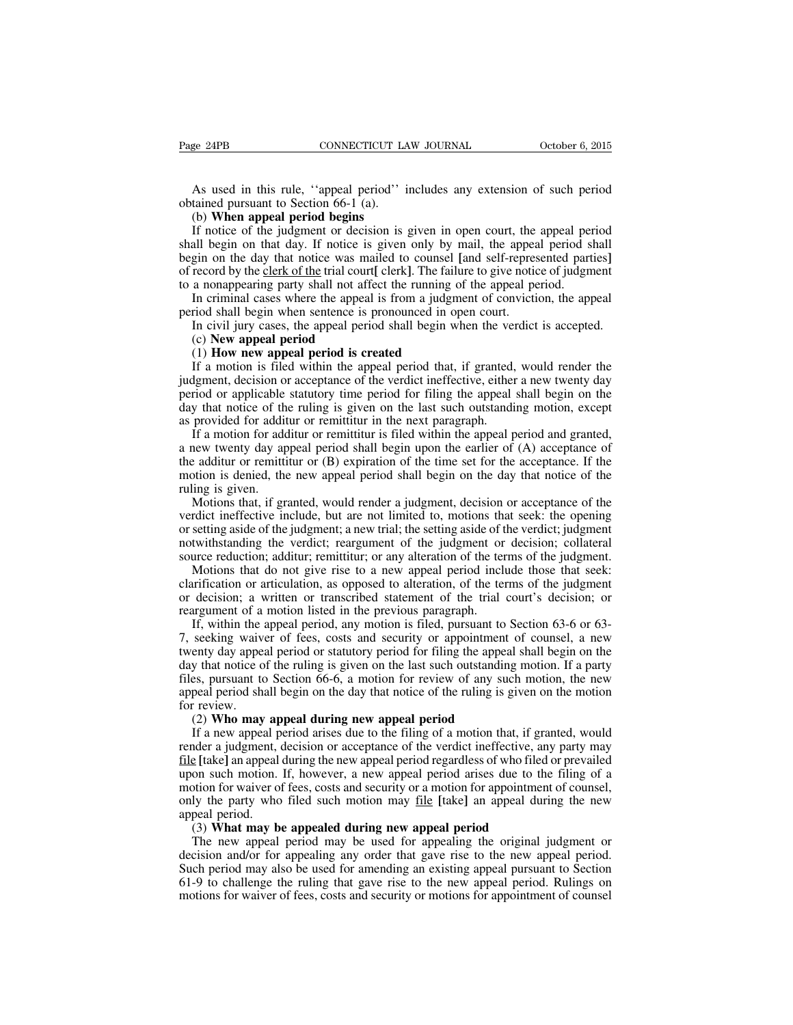As used in this rule, ''appeal period'' includes any extension of such period obtained pursuant to Section 66-1 (a).

#### (b) **When appeal period begins**

If notice of the judgment or decision is given in open court, the appeal period shall begin on that day. If notice is given only by mail, the appeal period shall begin on the day that notice was mailed to counsel **[**and self-represented parties**]** of record by the clerk of the trial court**[** clerk**]**. The failure to give notice of judgment to a nonappearing party shall not affect the running of the appeal period.

In criminal cases where the appeal is from a judgment of conviction, the appeal period shall begin when sentence is pronounced in open court.

In civil jury cases, the appeal period shall begin when the verdict is accepted.

#### (c) **New appeal period**

#### (1) **How new appeal period is created**

If a motion is filed within the appeal period that, if granted, would render the judgment, decision or acceptance of the verdict ineffective, either a new twenty day period or applicable statutory time period for filing the appeal shall begin on the day that notice of the ruling is given on the last such outstanding motion, except as provided for additur or remittitur in the next paragraph.

If a motion for additur or remittitur is filed within the appeal period and granted, a new twenty day appeal period shall begin upon the earlier of (A) acceptance of the additur or remittitur or (B) expiration of the time set for the acceptance. If the motion is denied, the new appeal period shall begin on the day that notice of the ruling is given.

Motions that, if granted, would render a judgment, decision or acceptance of the verdict ineffective include, but are not limited to, motions that seek: the opening or setting aside of the judgment; a new trial; the setting aside of the verdict; judgment notwithstanding the verdict; reargument of the judgment or decision; collateral source reduction; additur; remittitur; or any alteration of the terms of the judgment.

Motions that do not give rise to a new appeal period include those that seek: clarification or articulation, as opposed to alteration, of the terms of the judgment or decision; a written or transcribed statement of the trial court's decision; or reargument of a motion listed in the previous paragraph.

If, within the appeal period, any motion is filed, pursuant to Section 63-6 or 63- 7, seeking waiver of fees, costs and security or appointment of counsel, a new twenty day appeal period or statutory period for filing the appeal shall begin on the day that notice of the ruling is given on the last such outstanding motion. If a party files, pursuant to Section 66-6, a motion for review of any such motion, the new appeal period shall begin on the day that notice of the ruling is given on the motion for review.

#### (2) **Who may appeal during new appeal period**

If a new appeal period arises due to the filing of a motion that, if granted, would render a judgment, decision or acceptance of the verdict ineffective, any party may file **[**take**]** an appeal during the new appeal period regardless of who filed or prevailed upon such motion. If, however, a new appeal period arises due to the filing of a motion for waiver of fees, costs and security or a motion for appointment of counsel, only the party who filed such motion may file **[**take**]** an appeal during the new appeal period.

#### (3) **What may be appealed during new appeal period**

The new appeal period may be used for appealing the original judgment or decision and/or for appealing any order that gave rise to the new appeal period. Such period may also be used for amending an existing appeal pursuant to Section 61-9 to challenge the ruling that gave rise to the new appeal period. Rulings on motions for waiver of fees, costs and security or motions for appointment of counsel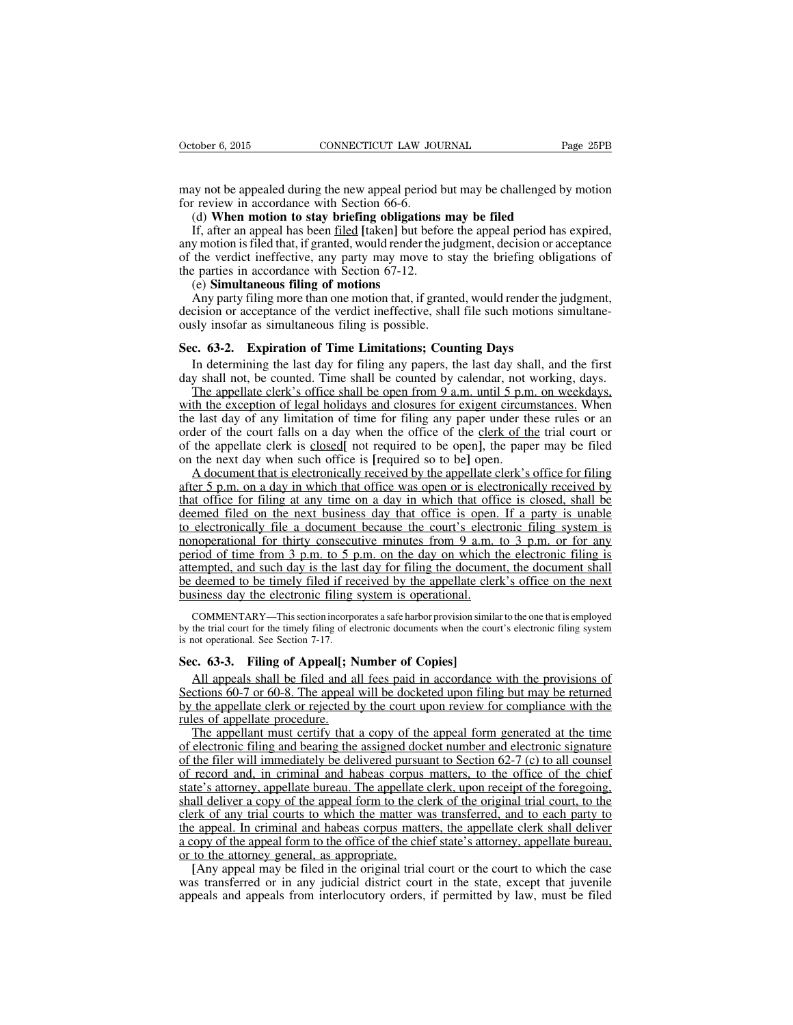may not be appealed during the new appeal period but may be challenged by motion for review in accordance with Section 66-6.

#### (d) **When motion to stay briefing obligations may be filed**

If, after an appeal has been filed **[**taken**]** but before the appeal period has expired, any motion isfiled that, if granted, would render the judgment, decision or acceptance of the verdict ineffective, any party may move to stay the briefing obligations of the parties in accordance with Section 67-12.

## (e) **Simultaneous filing of motions**

Any party filing more than one motion that, if granted, would render the judgment, decision or acceptance of the verdict ineffective, shall file such motions simultaneously insofar as simultaneous filing is possible.

# **Sec. 63-2. Expiration of Time Limitations; Counting Days**

In determining the last day for filing any papers, the last day shall, and the first day shall not, be counted. Time shall be counted by calendar, not working, days.

The appellate clerk's office shall be open from 9 a.m. until 5 p.m. on weekdays, with the exception of legal holidays and closures for exigent circumstances. When the last day of any limitation of time for filing any paper under these rules or an order of the court falls on a day when the office of the clerk of the trial court or of the appellate clerk is closed**[** not required to be open**]**, the paper may be filed on the next day when such office is **[**required so to be**]** open.

A document that is electronically received by the appellate clerk's office for filing after 5 p.m. on a day in which that office was open or is electronically received by that office for filing at any time on a day in which that office is closed, shall be deemed filed on the next business day that office is open. If a party is unable to electronically file a document because the court's electronic filing system is nonoperational for thirty consecutive minutes from 9 a.m. to 3 p.m. or for any period of time from 3 p.m. to 5 p.m. on the day on which the electronic filing is attempted, and such day is the last day for filing the document, the document shall be deemed to be timely filed if received by the appellate clerk's office on the next business day the electronic filing system is operational.

COMMENTARY—Thissection incorporates a safe harbor provision similarto the one that is employed by the trial court for the timely filing of electronic documents when the court's electronic filing system is not operational. See Section 7-17.

# **Sec. 63-3. Filing of Appeal[; Number of Copies]**

All appeals shall be filed and all fees paid in accordance with the provisions of Sections 60-7 or 60-8. The appeal will be docketed upon filing but may be returned by the appellate clerk or rejected by the court upon review for compliance with the rules of appellate procedure.

The appellant must certify that a copy of the appeal form generated at the time of electronic filing and bearing the assigned docket number and electronic signature of the filer will immediately be delivered pursuant to Section 62-7 (c) to all counsel of record and, in criminal and habeas corpus matters, to the office of the chief state's attorney, appellate bureau. The appellate clerk, upon receipt of the foregoing, shall deliver a copy of the appeal form to the clerk of the original trial court, to the clerk of any trial courts to which the matter was transferred, and to each party to the appeal. In criminal and habeas corpus matters, the appellate clerk shall deliver a copy of the appeal form to the office of the chief state's attorney, appellate bureau, or to the attorney general, as appropriate.

**[**Any appeal may be filed in the original trial court or the court to which the case was transferred or in any judicial district court in the state, except that juvenile appeals and appeals from interlocutory orders, if permitted by law, must be filed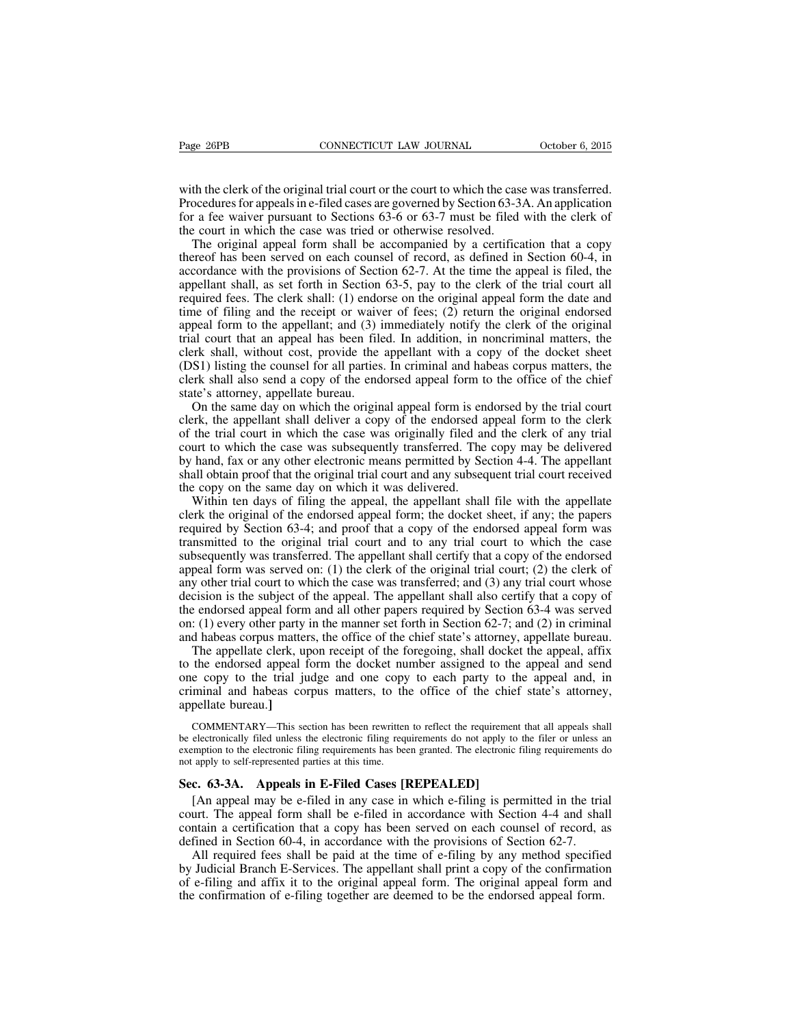with the clerk of the original trial court or the court to which the case was transferred. Procedures for appeals in e-filed cases are governed by Section 63-3A. An application for a fee waiver pursuant to Sections 63-6 or 63-7 must be filed with the clerk of the court in which the case was tried or otherwise resolved.

The original appeal form shall be accompanied by a certification that a copy thereof has been served on each counsel of record, as defined in Section 60-4, in accordance with the provisions of Section 62-7. At the time the appeal is filed, the appellant shall, as set forth in Section 63-5, pay to the clerk of the trial court all required fees. The clerk shall: (1) endorse on the original appeal form the date and time of filing and the receipt or waiver of fees; (2) return the original endorsed appeal form to the appellant; and (3) immediately notify the clerk of the original trial court that an appeal has been filed. In addition, in noncriminal matters, the clerk shall, without cost, provide the appellant with a copy of the docket sheet (DS1) listing the counsel for all parties. In criminal and habeas corpus matters, the clerk shall also send a copy of the endorsed appeal form to the office of the chief state's attorney, appellate bureau.

On the same day on which the original appeal form is endorsed by the trial court clerk, the appellant shall deliver a copy of the endorsed appeal form to the clerk of the trial court in which the case was originally filed and the clerk of any trial court to which the case was subsequently transferred. The copy may be delivered by hand, fax or any other electronic means permitted by Section 4-4. The appellant shall obtain proof that the original trial court and any subsequent trial court received the copy on the same day on which it was delivered.

Within ten days of filing the appeal, the appellant shall file with the appellate clerk the original of the endorsed appeal form; the docket sheet, if any; the papers required by Section 63-4; and proof that a copy of the endorsed appeal form was transmitted to the original trial court and to any trial court to which the case subsequently was transferred. The appellant shall certify that a copy of the endorsed appeal form was served on: (1) the clerk of the original trial court; (2) the clerk of any other trial court to which the case was transferred; and (3) any trial court whose decision is the subject of the appeal. The appellant shall also certify that a copy of the endorsed appeal form and all other papers required by Section 63-4 was served on: (1) every other party in the manner set forth in Section 62-7; and (2) in criminal and habeas corpus matters, the office of the chief state's attorney, appellate bureau.

The appellate clerk, upon receipt of the foregoing, shall docket the appeal, affix to the endorsed appeal form the docket number assigned to the appeal and send one copy to the trial judge and one copy to each party to the appeal and, in criminal and habeas corpus matters, to the office of the chief state's attorney, appellate bureau.**]**

COMMENTARY—This section has been rewritten to reflect the requirement that all appeals shall be electronically filed unless the electronic filing requirements do not apply to the filer or unless an exemption to the electronic filing requirements has been granted. The electronic filing requirements do not apply to self-represented parties at this time.

## **Sec. 63-3A. Appeals in E-Filed Cases [REPEALED]**

[An appeal may be e-filed in any case in which e-filing is permitted in the trial court. The appeal form shall be e-filed in accordance with Section 4-4 and shall contain a certification that a copy has been served on each counsel of record, as defined in Section 60-4, in accordance with the provisions of Section 62-7.

All required fees shall be paid at the time of e-filing by any method specified by Judicial Branch E-Services. The appellant shall print a copy of the confirmation of e-filing and affix it to the original appeal form. The original appeal form and the confirmation of e-filing together are deemed to be the endorsed appeal form.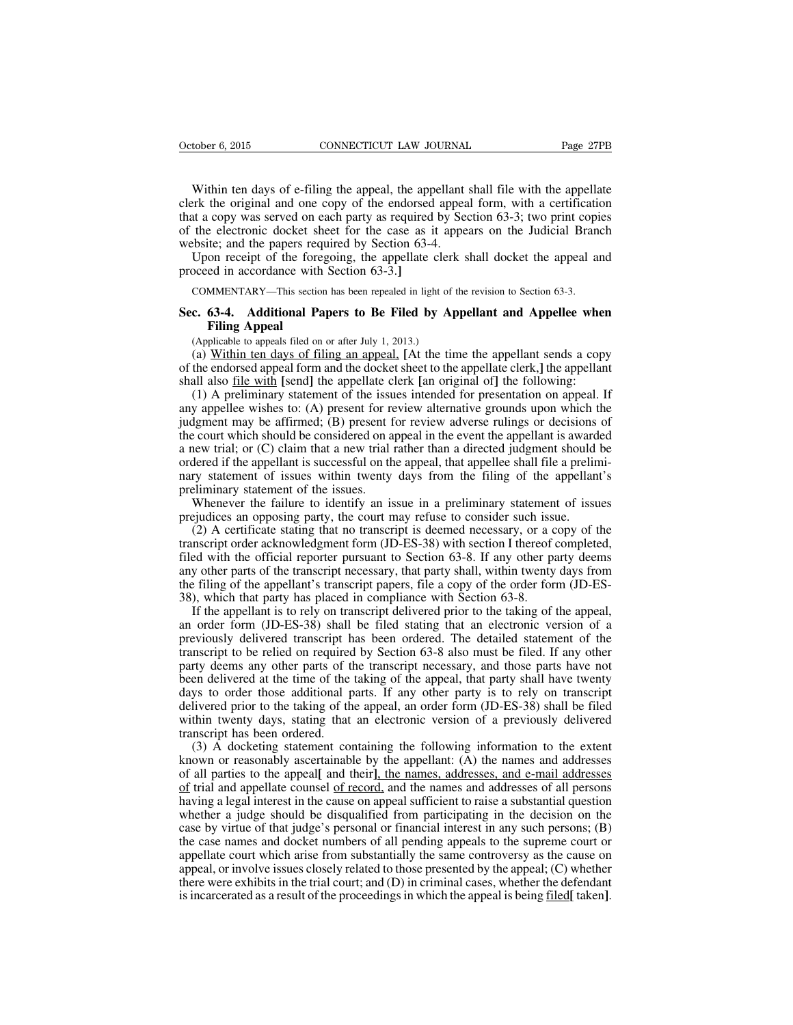Within ten days of e-filing the appeal, the appellant shall file with the appellate clerk the original and one copy of the endorsed appeal form, with a certification that a copy was served on each party as required by Section 63-3; two print copies of the electronic docket sheet for the case as it appears on the Judicial Branch website; and the papers required by Section 63-4.

Upon receipt of the foregoing, the appellate clerk shall docket the appeal and proceed in accordance with Section 63-3.**]**

COMMENTARY—This section has been repealed in light of the revision to Section 63-3.

# **Sec. 63-4. Additional Papers to Be Filed by Appellant and Appellee when Filing Appeal**

(Applicable to appeals filed on or after July 1, 2013.)

(a) Within ten days of filing an appeal, **[**At the time the appellant sends a copy of the endorsed appeal form and the docket sheet to the appellate clerk,**]** the appellant shall also file with **[**send**]** the appellate clerk **[**an original of**]** the following:

(1) A preliminary statement of the issues intended for presentation on appeal. If any appellee wishes to: (A) present for review alternative grounds upon which the judgment may be affirmed; (B) present for review adverse rulings or decisions of the court which should be considered on appeal in the event the appellant is awarded a new trial; or (C) claim that a new trial rather than a directed judgment should be ordered if the appellant is successful on the appeal, that appellee shall file a preliminary statement of issues within twenty days from the filing of the appellant's preliminary statement of the issues.

Whenever the failure to identify an issue in a preliminary statement of issues prejudices an opposing party, the court may refuse to consider such issue.

(2) A certificate stating that no transcript is deemed necessary, or a copy of the transcript order acknowledgment form (JD-ES-38) with section I thereof completed, filed with the official reporter pursuant to Section 63-8. If any other party deems any other parts of the transcript necessary, that party shall, within twenty days from the filing of the appellant's transcript papers, file a copy of the order form (JD-ES-38), which that party has placed in compliance with Section 63-8.

If the appellant is to rely on transcript delivered prior to the taking of the appeal, an order form (JD-ES-38) shall be filed stating that an electronic version of a previously delivered transcript has been ordered. The detailed statement of the transcript to be relied on required by Section 63-8 also must be filed. If any other party deems any other parts of the transcript necessary, and those parts have not been delivered at the time of the taking of the appeal, that party shall have twenty days to order those additional parts. If any other party is to rely on transcript delivered prior to the taking of the appeal, an order form (JD-ES-38) shall be filed within twenty days, stating that an electronic version of a previously delivered transcript has been ordered.

(3) A docketing statement containing the following information to the extent known or reasonably ascertainable by the appellant: (A) the names and addresses of all parties to the appeal**[** and their**]**, the names, addresses, and e-mail addresses of trial and appellate counsel of record, and the names and addresses of all persons having a legal interest in the cause on appeal sufficient to raise a substantial question whether a judge should be disqualified from participating in the decision on the case by virtue of that judge's personal or financial interest in any such persons; (B) the case names and docket numbers of all pending appeals to the supreme court or appellate court which arise from substantially the same controversy as the cause on appeal, or involve issues closely related to those presented by the appeal; (C) whether there were exhibits in the trial court; and (D) in criminal cases, whether the defendant isincarcerated as a result of the proceedingsin which the appeal is being filed**[** taken**]**.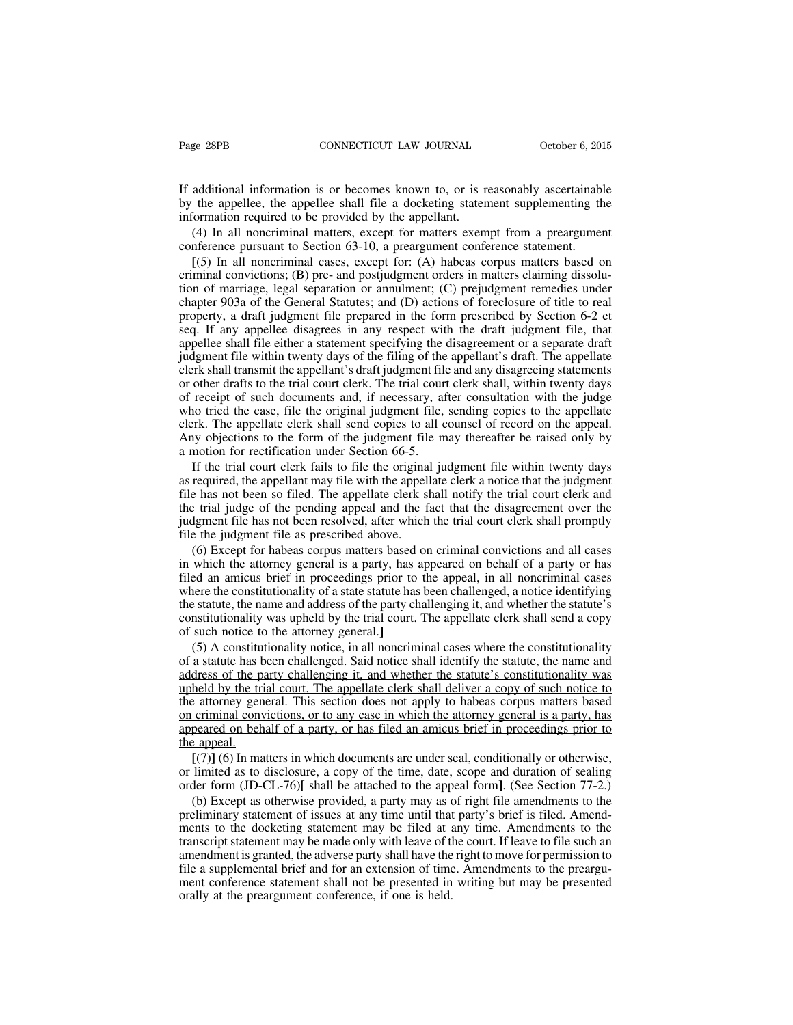If additional information is or becomes known to, or is reasonably ascertainable by the appellee, the appellee shall file a docketing statement supplementing the information required to be provided by the appellant.

(4) In all noncriminal matters, except for matters exempt from a preargument conference pursuant to Section 63-10, a preargument conference statement.

**[**(5) In all noncriminal cases, except for: (A) habeas corpus matters based on criminal convictions; (B) pre- and postjudgment orders in matters claiming dissolution of marriage, legal separation or annulment; (C) prejudgment remedies under chapter 903a of the General Statutes; and (D) actions of foreclosure of title to real property, a draft judgment file prepared in the form prescribed by Section 6-2 et seq. If any appellee disagrees in any respect with the draft judgment file, that appellee shall file either a statement specifying the disagreement or a separate draft judgment file within twenty days of the filing of the appellant's draft. The appellate clerk shall transmit the appellant's draft judgment file and any disagreeing statements or other drafts to the trial court clerk. The trial court clerk shall, within twenty days of receipt of such documents and, if necessary, after consultation with the judge who tried the case, file the original judgment file, sending copies to the appellate clerk. The appellate clerk shall send copies to all counsel of record on the appeal. Any objections to the form of the judgment file may thereafter be raised only by a motion for rectification under Section 66-5.

If the trial court clerk fails to file the original judgment file within twenty days as required, the appellant may file with the appellate clerk a notice that the judgment file has not been so filed. The appellate clerk shall notify the trial court clerk and the trial judge of the pending appeal and the fact that the disagreement over the judgment file has not been resolved, after which the trial court clerk shall promptly file the judgment file as prescribed above.

(6) Except for habeas corpus matters based on criminal convictions and all cases in which the attorney general is a party, has appeared on behalf of a party or has filed an amicus brief in proceedings prior to the appeal, in all noncriminal cases where the constitutionality of a state statute has been challenged, a notice identifying the statute, the name and address of the party challenging it, and whether the statute's constitutionality was upheld by the trial court. The appellate clerk shall send a copy of such notice to the attorney general.**]**

(5) A constitutionality notice, in all noncriminal cases where the constitutionality of a statute has been challenged. Said notice shall identify the statute, the name and address of the party challenging it, and whether the statute's constitutionality was upheld by the trial court. The appellate clerk shall deliver a copy of such notice to the attorney general. This section does not apply to habeas corpus matters based on criminal convictions, or to any case in which the attorney general is a party, has appeared on behalf of a party, or has filed an amicus brief in proceedings prior to the appeal.

**[**(7)**]** (6) In matters in which documents are under seal, conditionally or otherwise, or limited as to disclosure, a copy of the time, date, scope and duration of sealing order form (JD-CL-76)**[** shall be attached to the appeal form**]**. (See Section 77-2.)

(b) Except as otherwise provided, a party may as of right file amendments to the preliminary statement of issues at any time until that party's brief is filed. Amendments to the docketing statement may be filed at any time. Amendments to the transcript statement may be made only with leave of the court. If leave to file such an amendment is granted, the adverse party shall have the right to move for permission to file a supplemental brief and for an extension of time. Amendments to the preargument conference statement shall not be presented in writing but may be presented orally at the preargument conference, if one is held.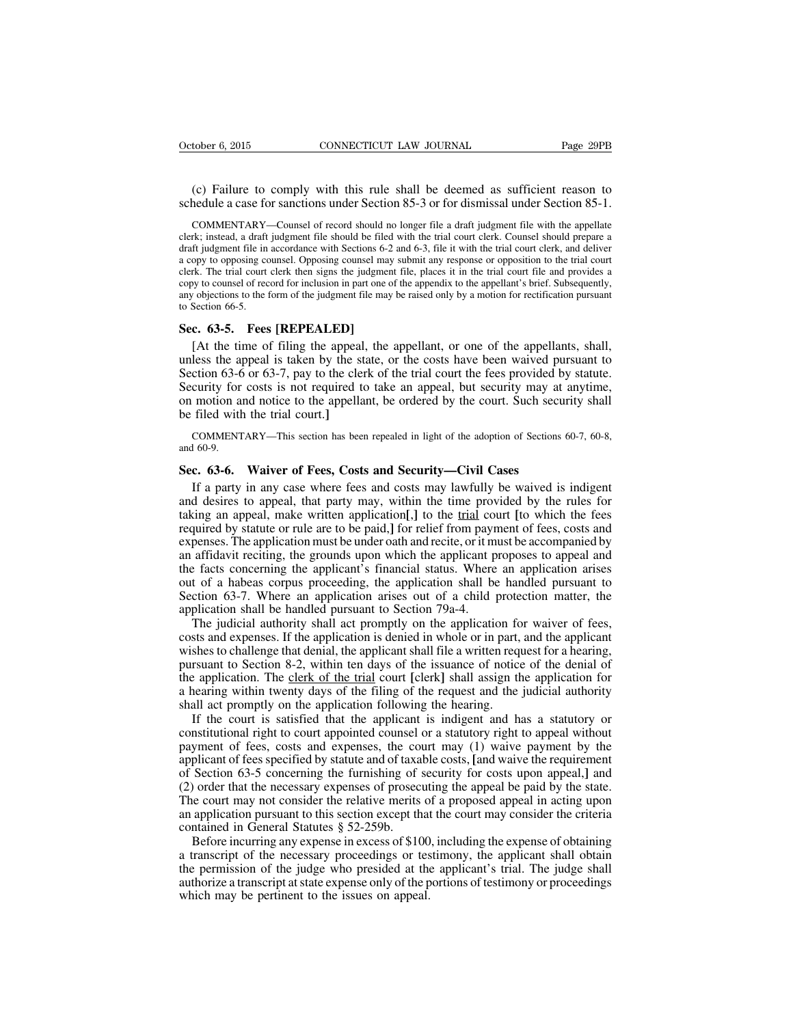(c) Failure to comply with this rule shall be deemed as sufficient reason to schedule a case for sanctions under Section 85-3 or for dismissal under Section 85-1.

COMMENTARY—Counsel of record should no longer file a draft judgment file with the appellate clerk; instead, a draft judgment file should be filed with the trial court clerk. Counsel should prepare a draft judgment file in accordance with Sections 6-2 and 6-3, file it with the trial court clerk, and deliver a copy to opposing counsel. Opposing counsel may submit any response or opposition to the trial court clerk. The trial court clerk then signs the judgment file, places it in the trial court file and provides a copy to counsel of record for inclusion in part one of the appendix to the appellant's brief. Subsequently, any objections to the form of the judgment file may be raised only by a motion for rectification pursuant to Section 66-5.

## **Sec. 63-5. Fees [REPEALED]**

[At the time of filing the appeal, the appellant, or one of the appellants, shall, unless the appeal is taken by the state, or the costs have been waived pursuant to Section 63-6 or 63-7, pay to the clerk of the trial court the fees provided by statute. Security for costs is not required to take an appeal, but security may at anytime, on motion and notice to the appellant, be ordered by the court. Such security shall be filed with the trial court.**]**

COMMENTARY—This section has been repealed in light of the adoption of Sections 60-7, 60-8, and 60-9.

#### **Sec. 63-6. Waiver of Fees, Costs and Security—Civil Cases**

If a party in any case where fees and costs may lawfully be waived is indigent and desires to appeal, that party may, within the time provided by the rules for taking an appeal, make written application**[**,**]** to the trial court **[**to which the fees required by statute or rule are to be paid,**]** for relief from payment of fees, costs and expenses. The application must be under oath and recite, or it must be accompanied by an affidavit reciting, the grounds upon which the applicant proposes to appeal and the facts concerning the applicant's financial status. Where an application arises out of a habeas corpus proceeding, the application shall be handled pursuant to Section 63-7. Where an application arises out of a child protection matter, the application shall be handled pursuant to Section 79a-4.

The judicial authority shall act promptly on the application for waiver of fees, costs and expenses. If the application is denied in whole or in part, and the applicant wishes to challenge that denial, the applicant shall file a written request for a hearing, pursuant to Section 8-2, within ten days of the issuance of notice of the denial of the application. The clerk of the trial court **[**clerk**]** shall assign the application for a hearing within twenty days of the filing of the request and the judicial authority shall act promptly on the application following the hearing.

If the court is satisfied that the applicant is indigent and has a statutory or constitutional right to court appointed counsel or a statutory right to appeal without payment of fees, costs and expenses, the court may (1) waive payment by the applicant of fees specified by statute and of taxable costs, **[**and waive the requirement of Section 63-5 concerning the furnishing of security for costs upon appeal,**]** and (2) order that the necessary expenses of prosecuting the appeal be paid by the state. The court may not consider the relative merits of a proposed appeal in acting upon an application pursuant to this section except that the court may consider the criteria contained in General Statutes § 52-259b.

Before incurring any expense in excess of \$100, including the expense of obtaining a transcript of the necessary proceedings or testimony, the applicant shall obtain the permission of the judge who presided at the applicant's trial. The judge shall authorize a transcript at state expense only of the portions of testimony or proceedings which may be pertinent to the issues on appeal.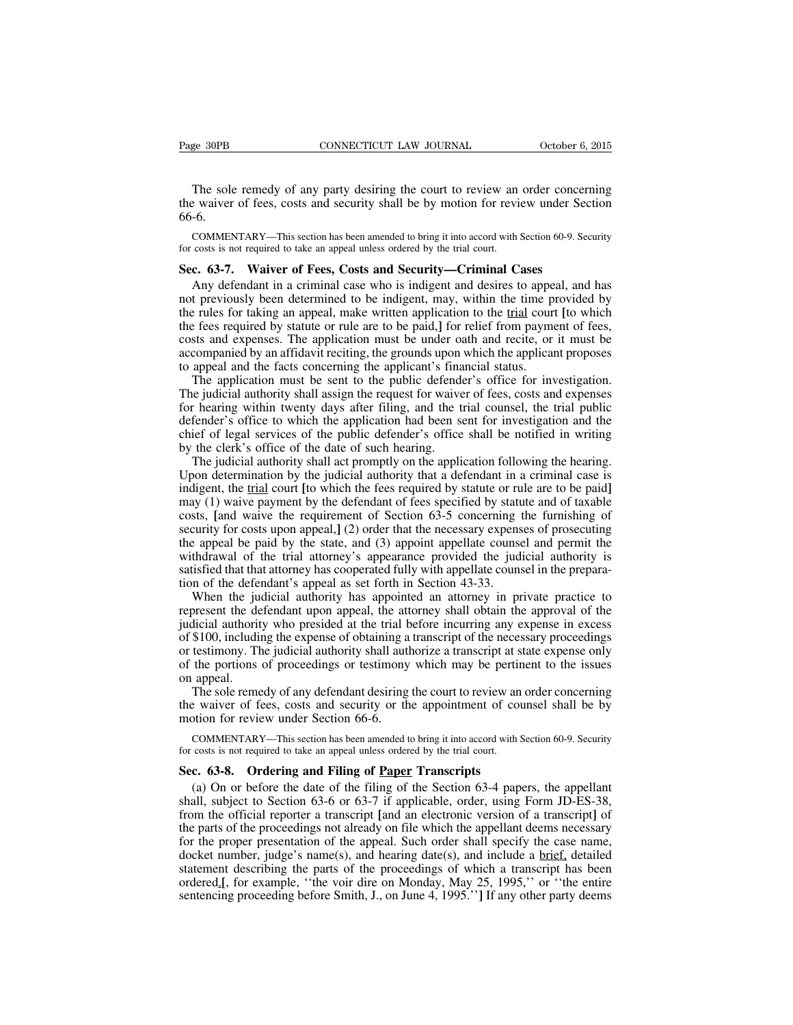The sole remedy of any party desiring the court to review an order concerning the waiver of fees, costs and security shall be by motion for review under Section 66-6.

COMMENTARY—This section has been amended to bring it into accord with Section 60-9. Security for costs is not required to take an appeal unless ordered by the trial court.

## **Sec. 63-7. Waiver of Fees, Costs and Security—Criminal Cases**

Any defendant in a criminal case who is indigent and desires to appeal, and has not previously been determined to be indigent, may, within the time provided by the rules for taking an appeal, make written application to the trial court **[**to which the fees required by statute or rule are to be paid,**]** for relief from payment of fees, costs and expenses. The application must be under oath and recite, or it must be accompanied by an affidavit reciting, the grounds upon which the applicant proposes to appeal and the facts concerning the applicant's financial status.

The application must be sent to the public defender's office for investigation. The judicial authority shall assign the request for waiver of fees, costs and expenses for hearing within twenty days after filing, and the trial counsel, the trial public defender's office to which the application had been sent for investigation and the chief of legal services of the public defender's office shall be notified in writing by the clerk's office of the date of such hearing.

The judicial authority shall act promptly on the application following the hearing. Upon determination by the judicial authority that a defendant in a criminal case is indigent, the trial court **[**to which the fees required by statute or rule are to be paid**]** may (1) waive payment by the defendant of fees specified by statute and of taxable costs, **[**and waive the requirement of Section 63-5 concerning the furnishing of security for costs upon appeal,**]** (2) order that the necessary expenses of prosecuting the appeal be paid by the state, and (3) appoint appellate counsel and permit the withdrawal of the trial attorney's appearance provided the judicial authority is satisfied that that attorney has cooperated fully with appellate counsel in the preparation of the defendant's appeal as set forth in Section 43-33.

When the judicial authority has appointed an attorney in private practice to represent the defendant upon appeal, the attorney shall obtain the approval of the judicial authority who presided at the trial before incurring any expense in excess of \$100, including the expense of obtaining a transcript of the necessary proceedings or testimony. The judicial authority shall authorize a transcript at state expense only of the portions of proceedings or testimony which may be pertinent to the issues on appeal.

The sole remedy of any defendant desiring the court to review an order concerning the waiver of fees, costs and security or the appointment of counsel shall be by motion for review under Section 66-6.

COMMENTARY—This section has been amended to bring it into accord with Section 60-9. Security for costs is not required to take an appeal unless ordered by the trial court.

#### **Sec. 63-8. Ordering and Filing of Paper Transcripts**

(a) On or before the date of the filing of the Section 63-4 papers, the appellant shall, subject to Section 63-6 or 63-7 if applicable, order, using Form JD-ES-38, from the official reporter a transcript **[**and an electronic version of a transcript**]** of the parts of the proceedings not already on file which the appellant deems necessary for the proper presentation of the appeal. Such order shall specify the case name, docket number, judge's name(s), and hearing date(s), and include a <u>brief</u>, detailed statement describing the parts of the proceedings of which a transcript has been ordered.**[**, for example, ''the voir dire on Monday, May 25, 1995,'' or ''the entire sentencing proceeding before Smith, J., on June 4, 1995.''**]** If any other party deems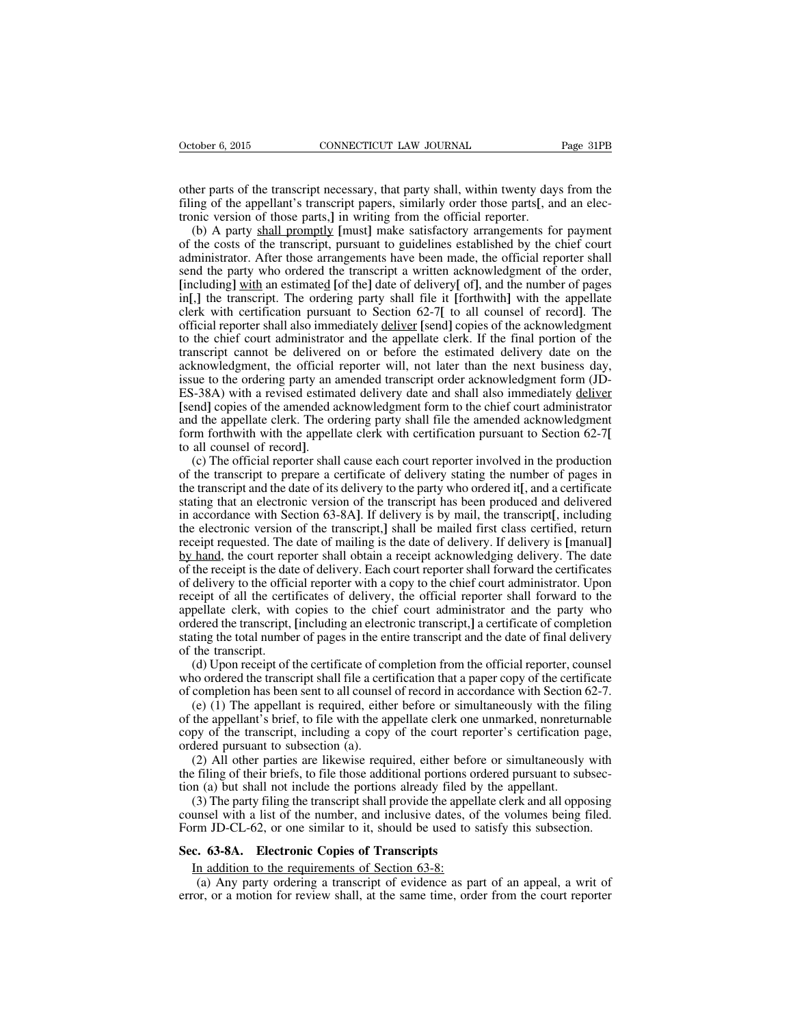other parts of the transcript necessary, that party shall, within twenty days from the filing of the appellant's transcript papers, similarly order those parts**[**, and an electronic version of those parts,**]** in writing from the official reporter.

(b) A party shall promptly **[**must**]** make satisfactory arrangements for payment of the costs of the transcript, pursuant to guidelines established by the chief court administrator. After those arrangements have been made, the official reporter shall send the party who ordered the transcript a written acknowledgment of the order, **[**including**]** with an estimated **[**of the**]** date of delivery**[** of**]**, and the number of pages in**[**,**]** the transcript. The ordering party shall file it **[**forthwith**]** with the appellate clerk with certification pursuant to Section 62-7**[** to all counsel of record**]**. The official reporter shall also immediately deliver **[**send**]** copies of the acknowledgment to the chief court administrator and the appellate clerk. If the final portion of the transcript cannot be delivered on or before the estimated delivery date on the acknowledgment, the official reporter will, not later than the next business day, issue to the ordering party an amended transcript order acknowledgment form (JD-ES-38A) with a revised estimated delivery date and shall also immediately deliver **[**send**]** copies of the amended acknowledgment form to the chief court administrator and the appellate clerk. The ordering party shall file the amended acknowledgment form forthwith with the appellate clerk with certification pursuant to Section 62-7**[** to all counsel of record**]**.

(c) The official reporter shall cause each court reporter involved in the production of the transcript to prepare a certificate of delivery stating the number of pages in the transcript and the date of its delivery to the party who ordered it**[**, and a certificate stating that an electronic version of the transcript has been produced and delivered in accordance with Section 63-8A**]**. If delivery is by mail, the transcript**[**, including the electronic version of the transcript,**]** shall be mailed first class certified, return receipt requested. The date of mailing is the date of delivery. If delivery is **[**manual**]** by hand, the court reporter shall obtain a receipt acknowledging delivery. The date of the receipt is the date of delivery. Each court reporter shall forward the certificates of delivery to the official reporter with a copy to the chief court administrator. Upon receipt of all the certificates of delivery, the official reporter shall forward to the appellate clerk, with copies to the chief court administrator and the party who ordered the transcript, **[**including an electronic transcript,**]** a certificate of completion stating the total number of pages in the entire transcript and the date of final delivery of the transcript.

(d) Upon receipt of the certificate of completion from the official reporter, counsel who ordered the transcript shall file a certification that a paper copy of the certificate of completion has been sent to all counsel of record in accordance with Section 62-7.

(e) (1) The appellant is required, either before or simultaneously with the filing of the appellant's brief, to file with the appellate clerk one unmarked, nonreturnable copy of the transcript, including a copy of the court reporter's certification page, ordered pursuant to subsection (a).

(2) All other parties are likewise required, either before or simultaneously with the filing of their briefs, to file those additional portions ordered pursuant to subsection (a) but shall not include the portions already filed by the appellant.

(3) The party filing the transcript shall provide the appellate clerk and all opposing counsel with a list of the number, and inclusive dates, of the volumes being filed. Form JD-CL-62, or one similar to it, should be used to satisfy this subsection.

#### **Sec. 63-8A. Electronic Copies of Transcripts**

In addition to the requirements of Section 63-8:

(a) Any party ordering a transcript of evidence as part of an appeal, a writ of error, or a motion for review shall, at the same time, order from the court reporter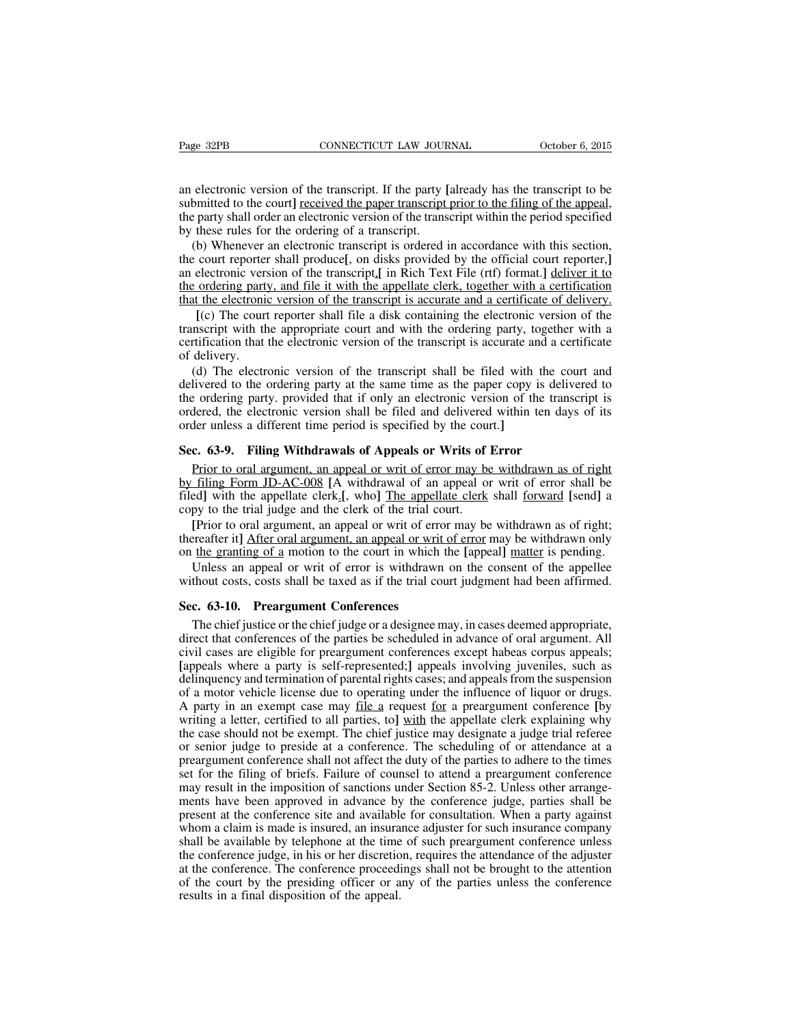an electronic version of the transcript. If the party **[**already has the transcript to be submitted to the court**]** received the paper transcript prior to the filing of the appeal, the party shall order an electronic version of the transcript within the period specified by these rules for the ordering of a transcript.

(b) Whenever an electronic transcript is ordered in accordance with this section, the court reporter shall produce**[**, on disks provided by the official court reporter,**]** an electronic version of the transcript,**[** in Rich Text File (rtf) format.**]** deliver it to the ordering party, and file it with the appellate clerk, together with a certification that the electronic version of the transcript is accurate and a certificate of delivery.

**[**(c) The court reporter shall file a disk containing the electronic version of the transcript with the appropriate court and with the ordering party, together with a certification that the electronic version of the transcript is accurate and a certificate of delivery.

(d) The electronic version of the transcript shall be filed with the court and delivered to the ordering party at the same time as the paper copy is delivered to the ordering party. provided that if only an electronic version of the transcript is ordered, the electronic version shall be filed and delivered within ten days of its order unless a different time period is specified by the court.**]**

## **Sec. 63-9. Filing Withdrawals of Appeals or Writs of Error**

Prior to oral argument, an appeal or writ of error may be withdrawn as of right by filing Form JD-AC-008 **[**A withdrawal of an appeal or writ of error shall be filed**]** with the appellate clerk.**[**, who**]** The appellate clerk shall forward **[**send**]** a copy to the trial judge and the clerk of the trial court.

**[**Prior to oral argument, an appeal or writ of error may be withdrawn as of right; thereafter it**]** After oral argument, an appeal or writ of error may be withdrawn only on the granting of a motion to the court in which the **[**appeal**]** matter is pending.

Unless an appeal or writ of error is withdrawn on the consent of the appellee without costs, costs shall be taxed as if the trial court judgment had been affirmed.

#### **Sec. 63-10. Preargument Conferences**

The chief justice or the chief judge or a designee may, in cases deemed appropriate, direct that conferences of the parties be scheduled in advance of oral argument. All civil cases are eligible for preargument conferences except habeas corpus appeals; **[**appeals where a party is self-represented;**]** appeals involving juveniles, such as delinquency and termination of parental rights cases; and appealsfrom the suspension of a motor vehicle license due to operating under the influence of liquor or drugs. A party in an exempt case may file a request for a preargument conference **[**by writing a letter, certified to all parties, to**]** with the appellate clerk explaining why the case should not be exempt. The chief justice may designate a judge trial referee or senior judge to preside at a conference. The scheduling of or attendance at a preargument conference shall not affect the duty of the parties to adhere to the times set for the filing of briefs. Failure of counsel to attend a preargument conference may result in the imposition of sanctions under Section 85-2. Unless other arrangements have been approved in advance by the conference judge, parties shall be present at the conference site and available for consultation. When a party against whom a claim is made is insured, an insurance adjuster for such insurance company shall be available by telephone at the time of such preargument conference unless the conference judge, in his or her discretion, requires the attendance of the adjuster at the conference. The conference proceedings shall not be brought to the attention of the court by the presiding officer or any of the parties unless the conference results in a final disposition of the appeal.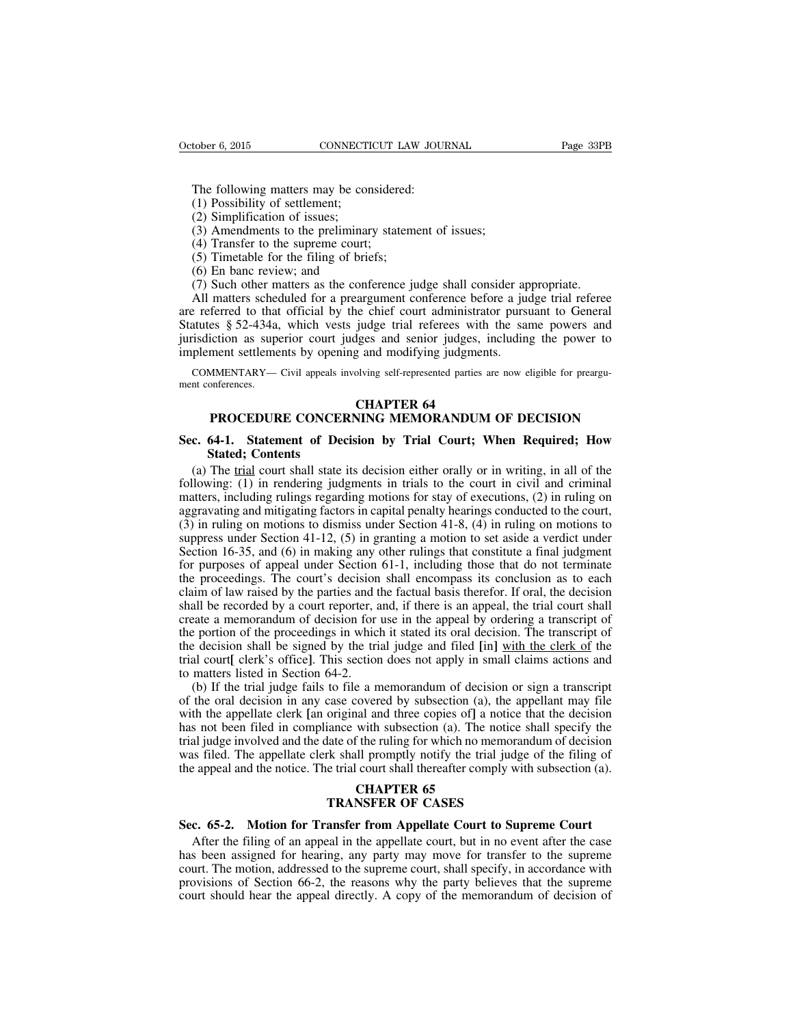The following matters may be considered:

- (1) Possibility of settlement;
- (2) Simplification of issues;
- (3) Amendments to the preliminary statement of issues;
- (4) Transfer to the supreme court;
- (5) Timetable for the filing of briefs;
- (6) En banc review; and
- (7) Such other matters as the conference judge shall consider appropriate.

All matters scheduled for a preargument conference before a judge trial referee are referred to that official by the chief court administrator pursuant to General Statutes § 52-434a, which vests judge trial referees with the same powers and jurisdiction as superior court judges and senior judges, including the power to implement settlements by opening and modifying judgments.

COMMENTARY— Civil appeals involving self-represented parties are now eligible for preargument conferences.

#### **CHAPTER 64**

## **PROCEDURE CONCERNING MEMORANDUM OF DECISION**

## **Sec. 64-1. Statement of Decision by Trial Court; When Required; How Stated; Contents**

(a) The trial court shall state its decision either orally or in writing, in all of the following: (1) in rendering judgments in trials to the court in civil and criminal matters, including rulings regarding motions for stay of executions, (2) in ruling on aggravating and mitigating factors in capital penalty hearings conducted to the court, (3) in ruling on motions to dismiss under Section 41-8, (4) in ruling on motions to suppress under Section 41-12, (5) in granting a motion to set aside a verdict under Section 16-35, and (6) in making any other rulings that constitute a final judgment for purposes of appeal under Section 61-1, including those that do not terminate the proceedings. The court's decision shall encompass its conclusion as to each claim of law raised by the parties and the factual basis therefor. If oral, the decision shall be recorded by a court reporter, and, if there is an appeal, the trial court shall create a memorandum of decision for use in the appeal by ordering a transcript of the portion of the proceedings in which it stated its oral decision. The transcript of the decision shall be signed by the trial judge and filed **[**in**]** with the clerk of the trial court**[** clerk's office**]**. This section does not apply in small claims actions and to matters listed in Section 64-2.

(b) If the trial judge fails to file a memorandum of decision or sign a transcript of the oral decision in any case covered by subsection (a), the appellant may file with the appellate clerk **[**an original and three copies of**]** a notice that the decision has not been filed in compliance with subsection (a). The notice shall specify the trial judge involved and the date of the ruling for which no memorandum of decision was filed. The appellate clerk shall promptly notify the trial judge of the filing of the appeal and the notice. The trial court shall thereafter comply with subsection (a).

# **CHAPTER 65 TRANSFER OF CASES**

#### **Sec. 65-2. Motion for Transfer from Appellate Court to Supreme Court**

After the filing of an appeal in the appellate court, but in no event after the case has been assigned for hearing, any party may move for transfer to the supreme court. The motion, addressed to the supreme court, shall specify, in accordance with provisions of Section 66-2, the reasons why the party believes that the supreme court should hear the appeal directly. A copy of the memorandum of decision of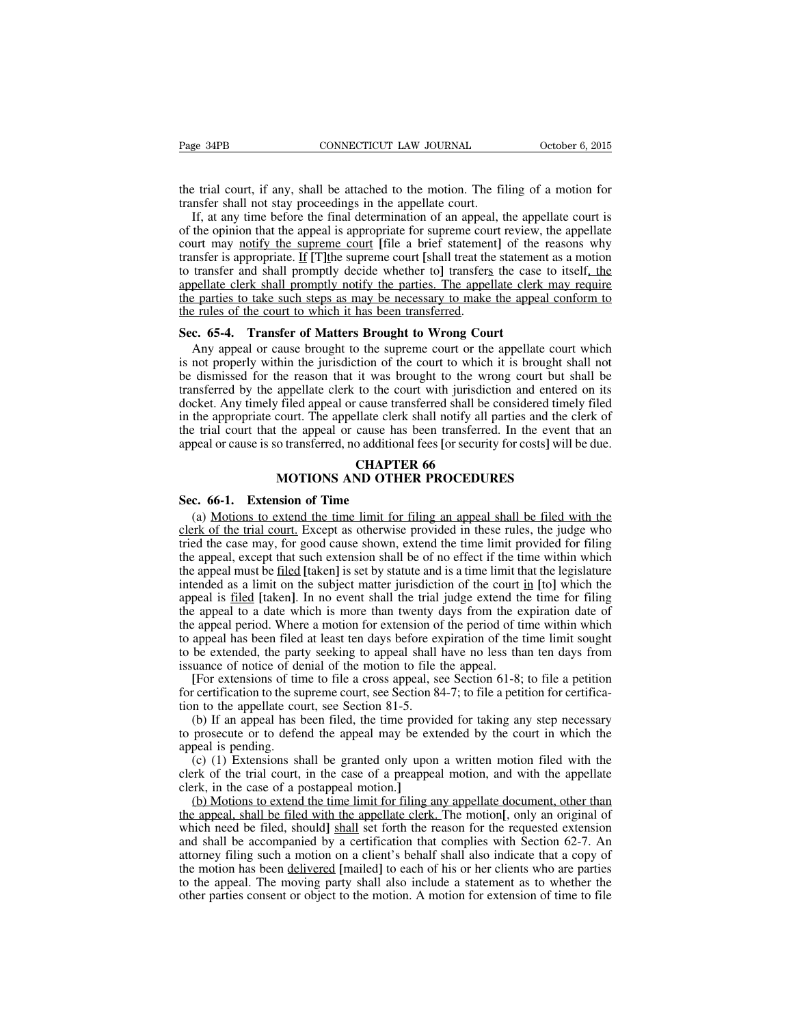the trial court, if any, shall be attached to the motion. The filing of a motion for transfer shall not stay proceedings in the appellate court.

If, at any time before the final determination of an appeal, the appellate court is of the opinion that the appeal is appropriate for supreme court review, the appellate court may notify the supreme court **[**file a brief statement**]** of the reasons why transfer is appropriate. If **[**T**]**the supreme court **[**shall treat the statement as a motion to transfer and shall promptly decide whether to**]** transfers the case to itself, the appellate clerk shall promptly notify the parties. The appellate clerk may require the parties to take such steps as may be necessary to make the appeal conform to the rules of the court to which it has been transferred.

#### **Sec. 65-4. Transfer of Matters Brought to Wrong Court**

Any appeal or cause brought to the supreme court or the appellate court which is not properly within the jurisdiction of the court to which it is brought shall not be dismissed for the reason that it was brought to the wrong court but shall be transferred by the appellate clerk to the court with jurisdiction and entered on its docket. Any timely filed appeal or cause transferred shall be considered timely filed in the appropriate court. The appellate clerk shall notify all parties and the clerk of the trial court that the appeal or cause has been transferred. In the event that an appeal or cause is so transferred, no additional fees **[**or security for costs**]** will be due.

# **CHAPTER 66 MOTIONS AND OTHER PROCEDURES**

#### **Sec. 66-1. Extension of Time**

(a) Motions to extend the time limit for filing an appeal shall be filed with the clerk of the trial court. Except as otherwise provided in these rules, the judge who tried the case may, for good cause shown, extend the time limit provided for filing the appeal, except that such extension shall be of no effect if the time within which the appeal must be filed **[**taken**]** is set by statute and is a time limit that the legislature intended as a limit on the subject matter jurisdiction of the court in **[**to**]** which the appeal is filed **[**taken**]**. In no event shall the trial judge extend the time for filing the appeal to a date which is more than twenty days from the expiration date of the appeal period. Where a motion for extension of the period of time within which to appeal has been filed at least ten days before expiration of the time limit sought to be extended, the party seeking to appeal shall have no less than ten days from issuance of notice of denial of the motion to file the appeal.

**[**For extensions of time to file a cross appeal, see Section 61-8; to file a petition for certification to the supreme court, see Section 84-7; to file a petition for certification to the appellate court, see Section 81-5.

(b) If an appeal has been filed, the time provided for taking any step necessary to prosecute or to defend the appeal may be extended by the court in which the appeal is pending.

(c) (1) Extensions shall be granted only upon a written motion filed with the clerk of the trial court, in the case of a preappeal motion, and with the appellate clerk, in the case of a postappeal motion.**]**

(b) Motions to extend the time limit for filing any appellate document, other than the appeal, shall be filed with the appellate clerk. The motion**[**, only an original of which need be filed, should shall set forth the reason for the requested extension and shall be accompanied by a certification that complies with Section 62-7. An attorney filing such a motion on a client's behalf shall also indicate that a copy of the motion has been delivered **[**mailed**]** to each of his or her clients who are parties to the appeal. The moving party shall also include a statement as to whether the other parties consent or object to the motion. A motion for extension of time to file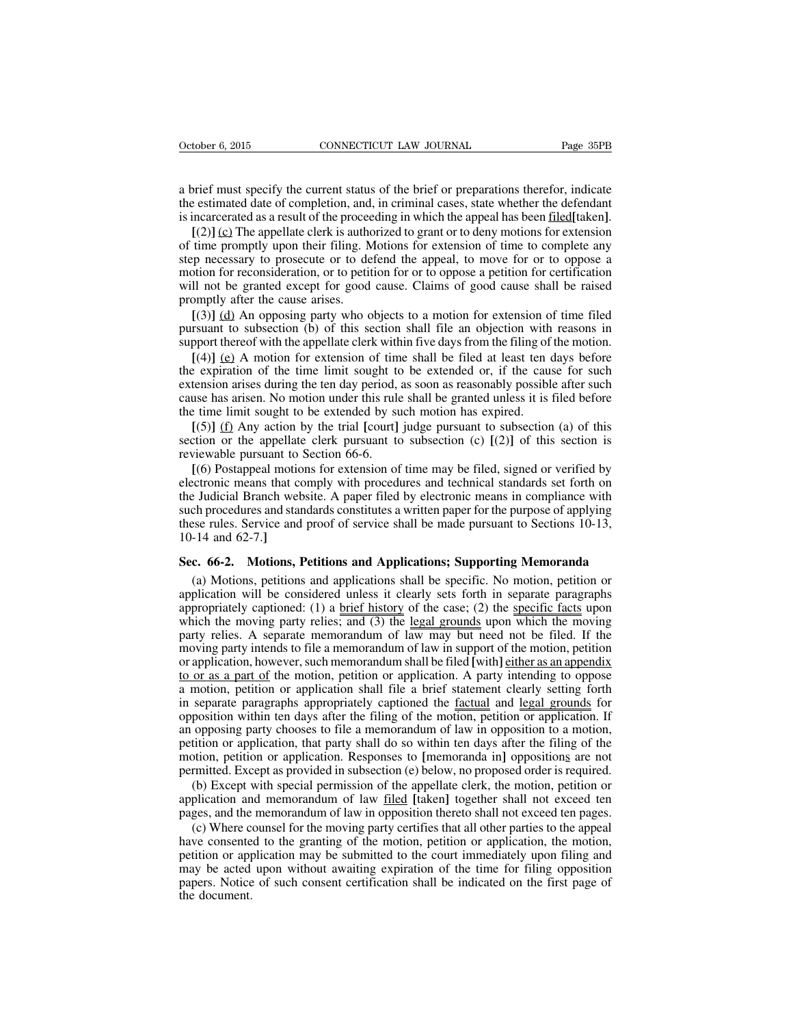a brief must specify the current status of the brief or preparations therefor, indicate the estimated date of completion, and, in criminal cases, state whether the defendant is incarcerated as a result of the proceeding in which the appeal has been filed**[**taken**]**.

**[**(2)**]** (c) The appellate clerk is authorized to grant or to deny motions for extension of time promptly upon their filing. Motions for extension of time to complete any step necessary to prosecute or to defend the appeal, to move for or to oppose a motion for reconsideration, or to petition for or to oppose a petition for certification will not be granted except for good cause. Claims of good cause shall be raised promptly after the cause arises.

**[**(3)**]** (d) An opposing party who objects to a motion for extension of time filed pursuant to subsection (b) of this section shall file an objection with reasons in support thereof with the appellate clerk within five days from the filing of the motion.

**[**(4)**]** (e) A motion for extension of time shall be filed at least ten days before the expiration of the time limit sought to be extended or, if the cause for such extension arises during the ten day period, as soon as reasonably possible after such cause has arisen. No motion under this rule shall be granted unless it is filed before the time limit sought to be extended by such motion has expired.

**[**(5)**]** (f) Any action by the trial **[**court**]** judge pursuant to subsection (a) of this section or the appellate clerk pursuant to subsection (c) **[**(2)**]** of this section is reviewable pursuant to Section 66-6.

**[**(6) Postappeal motions for extension of time may be filed, signed or verified by electronic means that comply with procedures and technical standards set forth on the Judicial Branch website. A paper filed by electronic means in compliance with such procedures and standards constitutes a written paper for the purpose of applying these rules. Service and proof of service shall be made pursuant to Sections 10-13, 10-14 and 62-7.**]**

#### **Sec. 66-2. Motions, Petitions and Applications; Supporting Memoranda**

(a) Motions, petitions and applications shall be specific. No motion, petition or application will be considered unless it clearly sets forth in separate paragraphs appropriately captioned: (1) a brief history of the case; (2) the specific facts upon which the moving party relies; and (3) the legal grounds upon which the moving party relies. A separate memorandum of law may but need not be filed. If the moving party intends to file a memorandum of law in support of the motion, petition or application, however, such memorandum shall be filed **[with**] either as an appendix to or as a part of the motion, petition or application. A party intending to oppose a motion, petition or application shall file a brief statement clearly setting forth in separate paragraphs appropriately captioned the factual and legal grounds for opposition within ten days after the filing of the motion, petition or application. If an opposing party chooses to file a memorandum of law in opposition to a motion, petition or application, that party shall do so within ten days after the filing of the motion, petition or application. Responses to **[**memoranda in**]** oppositions are not permitted. Except as provided in subsection (e) below, no proposed order is required.

(b) Except with special permission of the appellate clerk, the motion, petition or application and memorandum of law filed **[**taken**]** together shall not exceed ten pages, and the memorandum of law in opposition thereto shall not exceed ten pages.

(c) Where counsel for the moving party certifies that all other parties to the appeal have consented to the granting of the motion, petition or application, the motion, petition or application may be submitted to the court immediately upon filing and may be acted upon without awaiting expiration of the time for filing opposition papers. Notice of such consent certification shall be indicated on the first page of the document.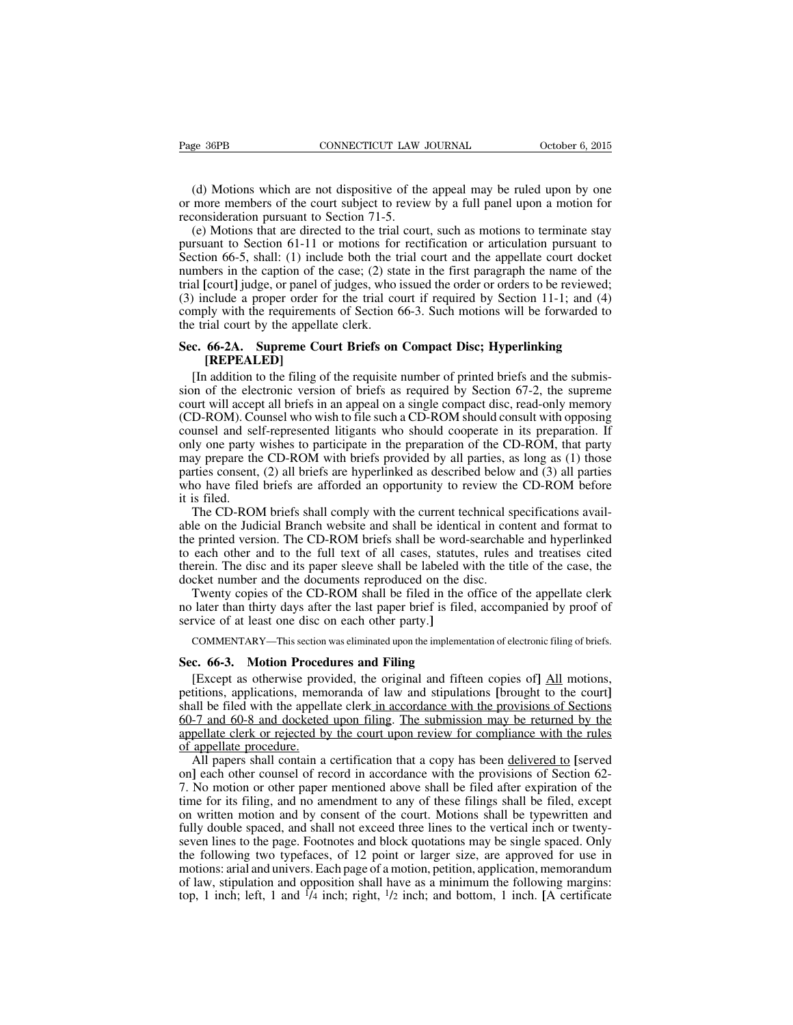(d) Motions which are not dispositive of the appeal may be ruled upon by one or more members of the court subject to review by a full panel upon a motion for reconsideration pursuant to Section 71-5.

(e) Motions that are directed to the trial court, such as motions to terminate stay pursuant to Section 61-11 or motions for rectification or articulation pursuant to Section 66-5, shall: (1) include both the trial court and the appellate court docket numbers in the caption of the case; (2) state in the first paragraph the name of the trial **[**court**]** judge, or panel of judges, who issued the order or orders to be reviewed; (3) include a proper order for the trial court if required by Section 11-1; and (4) comply with the requirements of Section 66-3. Such motions will be forwarded to the trial court by the appellate clerk.

# **Sec. 66-2A. Supreme Court Briefs on Compact Disc; Hyperlinking [REPEALED]**

[In addition to the filing of the requisite number of printed briefs and the submission of the electronic version of briefs as required by Section 67-2, the supreme court will accept all briefs in an appeal on a single compact disc, read-only memory (CD-ROM). Counsel who wish to file such a CD-ROM should consult with opposing counsel and self-represented litigants who should cooperate in its preparation. If only one party wishes to participate in the preparation of the CD-ROM, that party may prepare the CD-ROM with briefs provided by all parties, as long as (1) those parties consent, (2) all briefs are hyperlinked as described below and (3) all parties who have filed briefs are afforded an opportunity to review the CD-ROM before it is filed.

The CD-ROM briefs shall comply with the current technical specifications available on the Judicial Branch website and shall be identical in content and format to the printed version. The CD-ROM briefs shall be word-searchable and hyperlinked to each other and to the full text of all cases, statutes, rules and treatises cited therein. The disc and its paper sleeve shall be labeled with the title of the case, the docket number and the documents reproduced on the disc.

Twenty copies of the CD-ROM shall be filed in the office of the appellate clerk no later than thirty days after the last paper brief is filed, accompanied by proof of service of at least one disc on each other party.**]**

COMMENTARY—This section was eliminated upon the implementation of electronic filing of briefs.

#### **Sec. 66-3. Motion Procedures and Filing**

[Except as otherwise provided, the original and fifteen copies of**]** All motions, petitions, applications, memoranda of law and stipulations **[**brought to the court**]** shall be filed with the appellate clerk in accordance with the provisions of Sections 60-7 and 60-8 and docketed upon filing. The submission may be returned by the appellate clerk or rejected by the court upon review for compliance with the rules of appellate procedure.

All papers shall contain a certification that a copy has been delivered to **[**served on**]** each other counsel of record in accordance with the provisions of Section 62- 7. No motion or other paper mentioned above shall be filed after expiration of the time for its filing, and no amendment to any of these filings shall be filed, except on written motion and by consent of the court. Motions shall be typewritten and fully double spaced, and shall not exceed three lines to the vertical inch or twentyseven lines to the page. Footnotes and block quotations may be single spaced. Only the following two typefaces, of 12 point or larger size, are approved for use in motions: arial and univers. Each page of a motion, petition, application, memorandum of law, stipulation and opposition shall have as a minimum the following margins: top, 1 inch; left, 1 and <sup>1</sup>/4 inch; right, <sup>1</sup>/2 inch; and bottom, 1 inch. [A certificate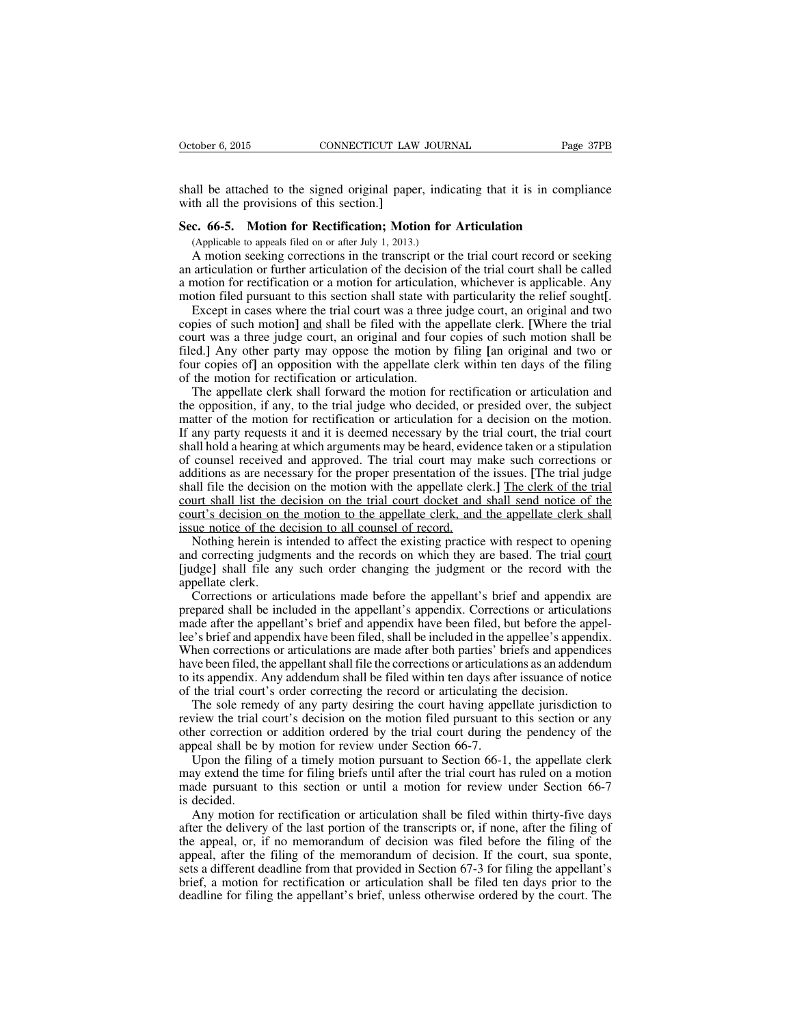shall be attached to the signed original paper, indicating that it is in compliance with all the provisions of this section.**]**

#### **Sec. 66-5. Motion for Rectification; Motion for Articulation**

(Applicable to appeals filed on or after July 1, 2013.)

A motion seeking corrections in the transcript or the trial court record or seeking an articulation or further articulation of the decision of the trial court shall be called a motion for rectification or a motion for articulation, whichever is applicable. Any motion filed pursuant to this section shall state with particularity the relief sought**[**.

Except in cases where the trial court was a three judge court, an original and two copies of such motion**]** and shall be filed with the appellate clerk. **[**Where the trial court was a three judge court, an original and four copies of such motion shall be filed.**]** Any other party may oppose the motion by filing **[**an original and two or four copies of**]** an opposition with the appellate clerk within ten days of the filing of the motion for rectification or articulation.

The appellate clerk shall forward the motion for rectification or articulation and the opposition, if any, to the trial judge who decided, or presided over, the subject matter of the motion for rectification or articulation for a decision on the motion. If any party requests it and it is deemed necessary by the trial court, the trial court shall hold a hearing at which arguments may be heard, evidence taken or a stipulation of counsel received and approved. The trial court may make such corrections or additions as are necessary for the proper presentation of the issues. **[**The trial judge shall file the decision on the motion with the appellate clerk.**]** The clerk of the trial court shall list the decision on the trial court docket and shall send notice of the court's decision on the motion to the appellate clerk, and the appellate clerk shall issue notice of the decision to all counsel of record.

Nothing herein is intended to affect the existing practice with respect to opening and correcting judgments and the records on which they are based. The trial court **[**judge**]** shall file any such order changing the judgment or the record with the appellate clerk.

Corrections or articulations made before the appellant's brief and appendix are prepared shall be included in the appellant's appendix. Corrections or articulations made after the appellant's brief and appendix have been filed, but before the appellee's brief and appendix have been filed, shall be included in the appellee's appendix. When corrections or articulations are made after both parties' briefs and appendices have been filed, the appellant shall file the corrections or articulations as an addendum to its appendix. Any addendum shall be filed within ten days after issuance of notice of the trial court's order correcting the record or articulating the decision.

The sole remedy of any party desiring the court having appellate jurisdiction to review the trial court's decision on the motion filed pursuant to this section or any other correction or addition ordered by the trial court during the pendency of the appeal shall be by motion for review under Section 66-7.

Upon the filing of a timely motion pursuant to Section 66-1, the appellate clerk may extend the time for filing briefs until after the trial court has ruled on a motion made pursuant to this section or until a motion for review under Section 66-7 is decided.

Any motion for rectification or articulation shall be filed within thirty-five days after the delivery of the last portion of the transcripts or, if none, after the filing of the appeal, or, if no memorandum of decision was filed before the filing of the appeal, after the filing of the memorandum of decision. If the court, sua sponte, sets a different deadline from that provided in Section 67-3 for filing the appellant's brief, a motion for rectification or articulation shall be filed ten days prior to the deadline for filing the appellant's brief, unless otherwise ordered by the court. The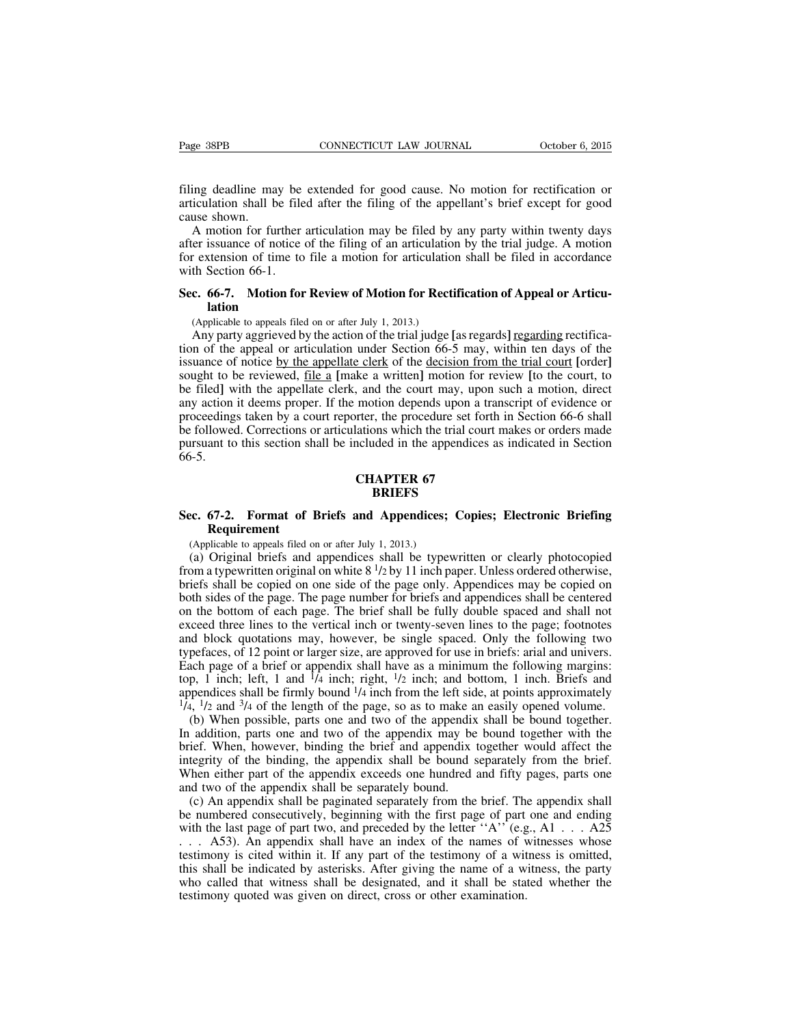filing deadline may be extended for good cause. No motion for rectification or articulation shall be filed after the filing of the appellant's brief except for good cause shown.

A motion for further articulation may be filed by any party within twenty days after issuance of notice of the filing of an articulation by the trial judge. A motion for extension of time to file a motion for articulation shall be filed in accordance with Section 66-1.

# **Sec. 66-7. Motion for Review of Motion for Rectification of Appeal or Articulation**

(Applicable to appeals filed on or after July 1, 2013.)

Any party aggrieved by the action of the trial judge **[**asregards**]** regarding rectification of the appeal or articulation under Section 66-5 may, within ten days of the issuance of notice by the appellate clerk of the decision from the trial court **[**order**]** sought to be reviewed, file a **[**make a written**]** motion for review **[**to the court, to be filed**]** with the appellate clerk, and the court may, upon such a motion, direct any action it deems proper. If the motion depends upon a transcript of evidence or proceedings taken by a court reporter, the procedure set forth in Section 66-6 shall be followed. Corrections or articulations which the trial court makes or orders made pursuant to this section shall be included in the appendices as indicated in Section 66-5.

#### **CHAPTER 67 BRIEFS**

# **Sec. 67-2. Format of Briefs and Appendices; Copies; Electronic Briefing Requirement**

(Applicable to appeals filed on or after July 1, 2013.)

(a) Original briefs and appendices shall be typewritten or clearly photocopied from a typewritten original on white 8<sup>1</sup>/2 by 11 inch paper. Unless ordered otherwise, briefs shall be copied on one side of the page only. Appendices may be copied on both sides of the page. The page number for briefs and appendices shall be centered on the bottom of each page. The brief shall be fully double spaced and shall not exceed three lines to the vertical inch or twenty-seven lines to the page; footnotes and block quotations may, however, be single spaced. Only the following two typefaces, of 12 point or larger size, are approved for use in briefs: arial and univers. Each page of a brief or appendix shall have as a minimum the following margins: top, 1 inch; left, 1 and  $\frac{1}{4}$  inch; right,  $\frac{1}{2}$  inch; and bottom, 1 inch. Briefs and appendices shall be firmly bound  $\frac{1}{4}$  inch from the left side, at points approximately  $\frac{1}{4}$ ,  $\frac{1}{2}$  and  $\frac{3}{4}$  of the length of the page, so as to make an easily opened volume.

(b) When possible, parts one and two of the appendix shall be bound together. In addition, parts one and two of the appendix may be bound together with the brief. When, however, binding the brief and appendix together would affect the integrity of the binding, the appendix shall be bound separately from the brief. When either part of the appendix exceeds one hundred and fifty pages, parts one and two of the appendix shall be separately bound.

(c) An appendix shall be paginated separately from the brief. The appendix shall be numbered consecutively, beginning with the first page of part one and ending with the last page of part two, and preceded by the letter  $A$ <sup>'</sup> $(e.g., A1 \ldots A25$ <sup>'</sup> . . . A53). An appendix shall have an index of the names of witnesses whose testimony is cited within it. If any part of the testimony of a witness is omitted, this shall be indicated by asterisks. After giving the name of a witness, the party who called that witness shall be designated, and it shall be stated whether the testimony quoted was given on direct, cross or other examination.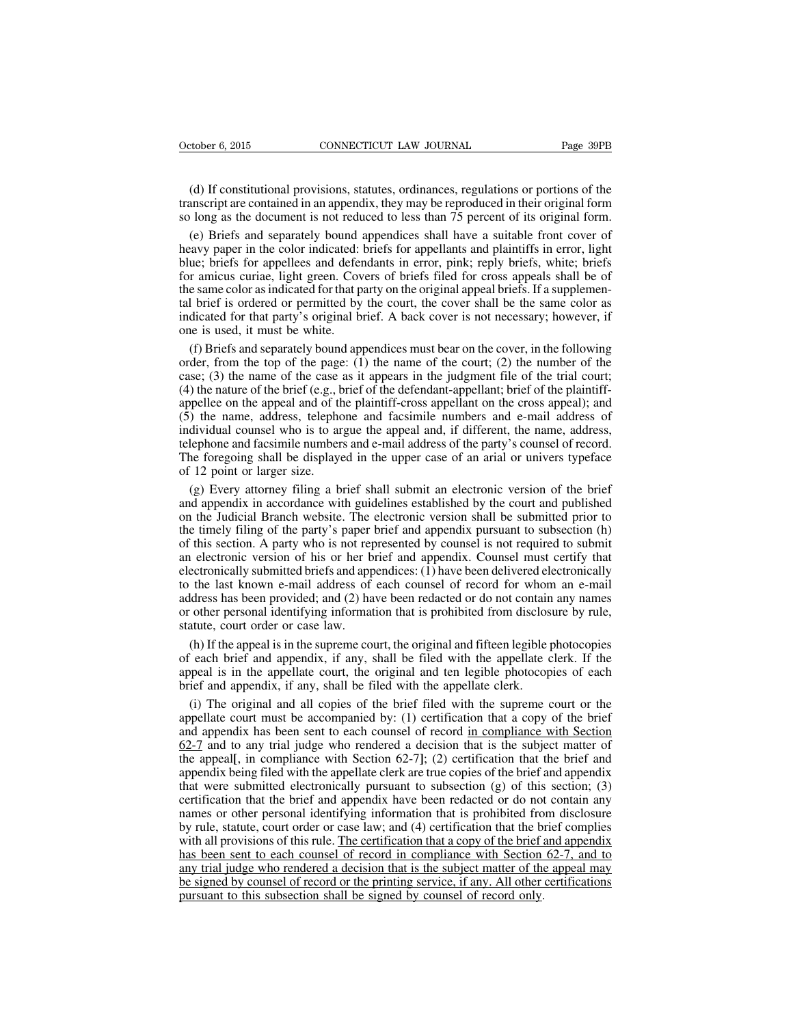(d) If constitutional provisions, statutes, ordinances, regulations or portions of the transcript are contained in an appendix, they may be reproduced in their original form so long as the document is not reduced to less than 75 percent of its original form.

(e) Briefs and separately bound appendices shall have a suitable front cover of heavy paper in the color indicated: briefs for appellants and plaintiffs in error, light blue; briefs for appellees and defendants in error, pink; reply briefs, white; briefs for amicus curiae, light green. Covers of briefs filed for cross appeals shall be of the same color asindicated for that party on the original appeal briefs. If a supplemental brief is ordered or permitted by the court, the cover shall be the same color as indicated for that party's original brief. A back cover is not necessary; however, if one is used, it must be white.

(f) Briefs and separately bound appendices must bear on the cover, in the following order, from the top of the page:  $(1)$  the name of the court;  $(2)$  the number of the case; (3) the name of the case as it appears in the judgment file of the trial court; (4) the nature of the brief (e.g., brief of the defendant-appellant; brief of the plaintiffappellee on the appeal and of the plaintiff-cross appellant on the cross appeal); and (5) the name, address, telephone and facsimile numbers and e-mail address of individual counsel who is to argue the appeal and, if different, the name, address, telephone and facsimile numbers and e-mail address of the party's counsel of record. The foregoing shall be displayed in the upper case of an arial or univers typeface of 12 point or larger size.

(g) Every attorney filing a brief shall submit an electronic version of the brief and appendix in accordance with guidelines established by the court and published on the Judicial Branch website. The electronic version shall be submitted prior to the timely filing of the party's paper brief and appendix pursuant to subsection (h) of this section. A party who is not represented by counsel is not required to submit an electronic version of his or her brief and appendix. Counsel must certify that electronically submitted briefs and appendices: (1) have been delivered electronically to the last known e-mail address of each counsel of record for whom an e-mail address has been provided; and (2) have been redacted or do not contain any names or other personal identifying information that is prohibited from disclosure by rule, statute, court order or case law.

(h) If the appeal is in the supreme court, the original and fifteen legible photocopies of each brief and appendix, if any, shall be filed with the appellate clerk. If the appeal is in the appellate court, the original and ten legible photocopies of each brief and appendix, if any, shall be filed with the appellate clerk.

(i) The original and all copies of the brief filed with the supreme court or the appellate court must be accompanied by: (1) certification that a copy of the brief and appendix has been sent to each counsel of record in compliance with Section 62-7 and to any trial judge who rendered a decision that is the subject matter of the appeal**[**, in compliance with Section 62-7**]**; (2) certification that the brief and appendix being filed with the appellate clerk are true copies of the brief and appendix that were submitted electronically pursuant to subsection  $(g)$  of this section; (3) certification that the brief and appendix have been redacted or do not contain any names or other personal identifying information that is prohibited from disclosure by rule, statute, court order or case law; and (4) certification that the brief complies with all provisions of this rule. The certification that a copy of the brief and appendix has been sent to each counsel of record in compliance with Section 62-7, and to any trial judge who rendered a decision that is the subject matter of the appeal may be signed by counsel of record or the printing service, if any. All other certifications pursuant to this subsection shall be signed by counsel of record only.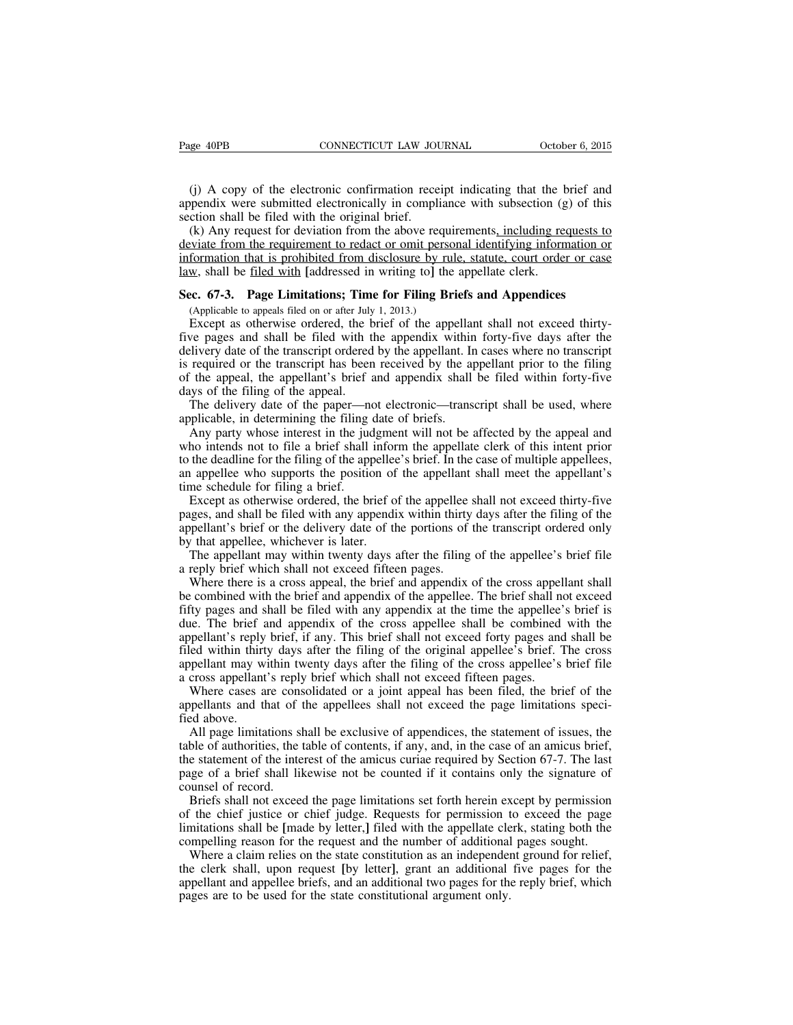(j) A copy of the electronic confirmation receipt indicating that the brief and appendix were submitted electronically in compliance with subsection (g) of this section shall be filed with the original brief.

(k) Any request for deviation from the above requirements, including requests to deviate from the requirement to redact or omit personal identifying information or information that is prohibited from disclosure by rule, statute, court order or case law, shall be filed with **[**addressed in writing to**]** the appellate clerk.

#### **Sec. 67-3. Page Limitations; Time for Filing Briefs and Appendices**

(Applicable to appeals filed on or after July 1, 2013.)

Except as otherwise ordered, the brief of the appellant shall not exceed thirtyfive pages and shall be filed with the appendix within forty-five days after the delivery date of the transcript ordered by the appellant. In cases where no transcript is required or the transcript has been received by the appellant prior to the filing of the appeal, the appellant's brief and appendix shall be filed within forty-five days of the filing of the appeal.

The delivery date of the paper—not electronic—transcript shall be used, where applicable, in determining the filing date of briefs.

Any party whose interest in the judgment will not be affected by the appeal and who intends not to file a brief shall inform the appellate clerk of this intent prior to the deadline for the filing of the appellee's brief. In the case of multiple appellees, an appellee who supports the position of the appellant shall meet the appellant's time schedule for filing a brief.

Except as otherwise ordered, the brief of the appellee shall not exceed thirty-five pages, and shall be filed with any appendix within thirty days after the filing of the appellant's brief or the delivery date of the portions of the transcript ordered only by that appellee, whichever is later.

The appellant may within twenty days after the filing of the appellee's brief file a reply brief which shall not exceed fifteen pages.

Where there is a cross appeal, the brief and appendix of the cross appellant shall be combined with the brief and appendix of the appellee. The brief shall not exceed fifty pages and shall be filed with any appendix at the time the appellee's brief is due. The brief and appendix of the cross appellee shall be combined with the appellant's reply brief, if any. This brief shall not exceed forty pages and shall be filed within thirty days after the filing of the original appellee's brief. The cross appellant may within twenty days after the filing of the cross appellee's brief file a cross appellant's reply brief which shall not exceed fifteen pages.

Where cases are consolidated or a joint appeal has been filed, the brief of the appellants and that of the appellees shall not exceed the page limitations specified above.

All page limitations shall be exclusive of appendices, the statement of issues, the table of authorities, the table of contents, if any, and, in the case of an amicus brief, the statement of the interest of the amicus curiae required by Section 67-7. The last page of a brief shall likewise not be counted if it contains only the signature of counsel of record.

Briefs shall not exceed the page limitations set forth herein except by permission of the chief justice or chief judge. Requests for permission to exceed the page limitations shall be **[**made by letter,**]** filed with the appellate clerk, stating both the compelling reason for the request and the number of additional pages sought.

Where a claim relies on the state constitution as an independent ground for relief, the clerk shall, upon request **[**by letter**]**, grant an additional five pages for the appellant and appellee briefs, and an additional two pages for the reply brief, which pages are to be used for the state constitutional argument only.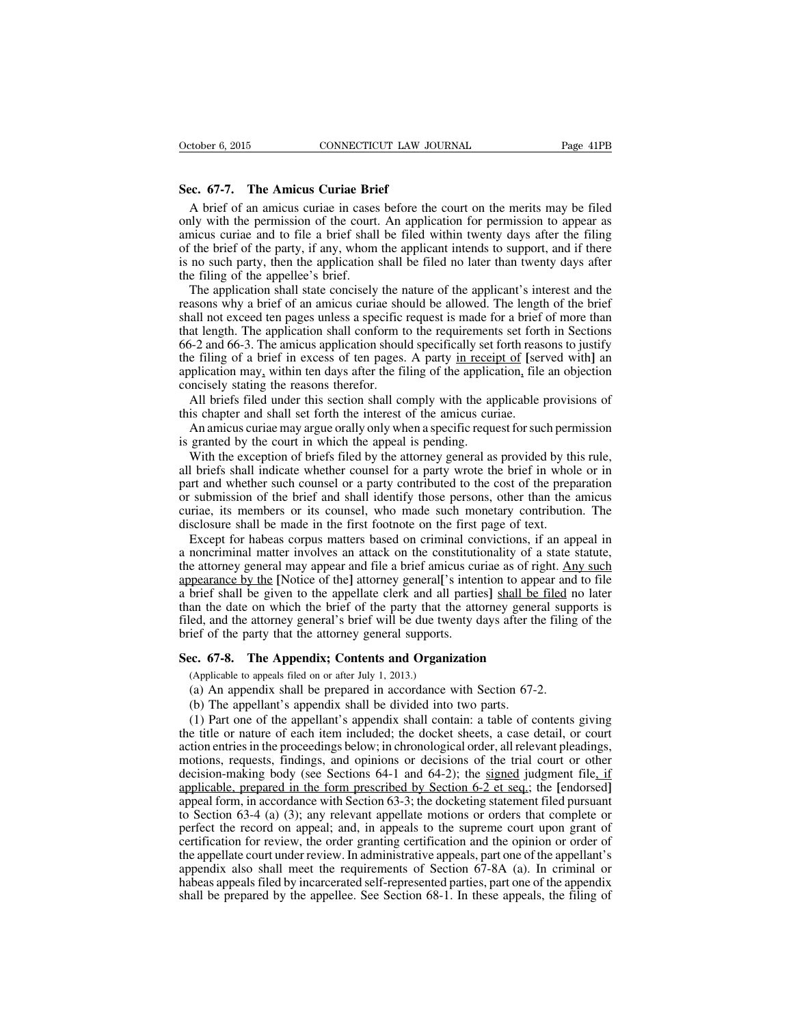## **Sec. 67-7. The Amicus Curiae Brief**

A brief of an amicus curiae in cases before the court on the merits may be filed only with the permission of the court. An application for permission to appear as amicus curiae and to file a brief shall be filed within twenty days after the filing of the brief of the party, if any, whom the applicant intends to support, and if there is no such party, then the application shall be filed no later than twenty days after the filing of the appellee's brief.

The application shall state concisely the nature of the applicant's interest and the reasons why a brief of an amicus curiae should be allowed. The length of the brief shall not exceed ten pages unless a specific request is made for a brief of more than that length. The application shall conform to the requirements set forth in Sections 66-2 and 66-3. The amicus application should specifically set forth reasons to justify the filing of a brief in excess of ten pages. A party in receipt of **[**served with**]** an application may, within ten days after the filing of the application, file an objection concisely stating the reasons therefor.

All briefs filed under this section shall comply with the applicable provisions of this chapter and shall set forth the interest of the amicus curiae.

An amicus curiae may argue orally only when a specific request forsuch permission is granted by the court in which the appeal is pending.

With the exception of briefs filed by the attorney general as provided by this rule, all briefs shall indicate whether counsel for a party wrote the brief in whole or in part and whether such counsel or a party contributed to the cost of the preparation or submission of the brief and shall identify those persons, other than the amicus curiae, its members or its counsel, who made such monetary contribution. The disclosure shall be made in the first footnote on the first page of text.

Except for habeas corpus matters based on criminal convictions, if an appeal in a noncriminal matter involves an attack on the constitutionality of a state statute, the attorney general may appear and file a brief amicus curiae as of right. Any such appearance by the **[**Notice of the**]** attorney general**[**'s intention to appear and to file a brief shall be given to the appellate clerk and all parties**]** shall be filed no later than the date on which the brief of the party that the attorney general supports is filed, and the attorney general's brief will be due twenty days after the filing of the brief of the party that the attorney general supports.

#### **Sec. 67-8. The Appendix; Contents and Organization**

(Applicable to appeals filed on or after July 1, 2013.)

- (a) An appendix shall be prepared in accordance with Section 67-2.
- (b) The appellant's appendix shall be divided into two parts.

(1) Part one of the appellant's appendix shall contain: a table of contents giving the title or nature of each item included; the docket sheets, a case detail, or court action entries in the proceedings below; in chronological order, all relevant pleadings, motions, requests, findings, and opinions or decisions of the trial court or other decision-making body (see Sections 64-1 and 64-2); the signed judgment file, if applicable, prepared in the form prescribed by Section 6-2 et seq.; the **[**endorsed**]** appeal form, in accordance with Section 63-3; the docketing statement filed pursuant to Section 63-4 (a) (3); any relevant appellate motions or orders that complete or perfect the record on appeal; and, in appeals to the supreme court upon grant of certification for review, the order granting certification and the opinion or order of the appellate court under review. In administrative appeals, part one of the appellant's appendix also shall meet the requirements of Section 67-8A (a). In criminal or habeas appeals filed by incarcerated self-represented parties, part one of the appendix shall be prepared by the appellee. See Section 68-1. In these appeals, the filing of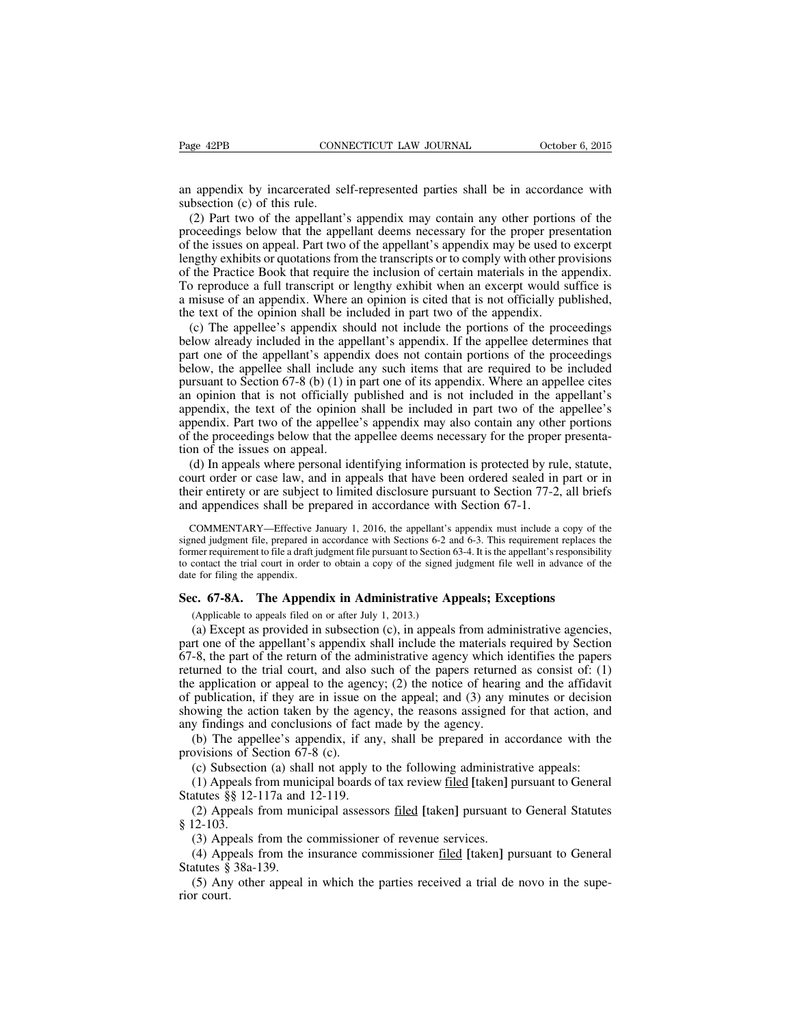an appendix by incarcerated self-represented parties shall be in accordance with subsection (c) of this rule.

(2) Part two of the appellant's appendix may contain any other portions of the proceedings below that the appellant deems necessary for the proper presentation of the issues on appeal. Part two of the appellant's appendix may be used to excerpt lengthy exhibits or quotations from the transcripts or to comply with other provisions of the Practice Book that require the inclusion of certain materials in the appendix. To reproduce a full transcript or lengthy exhibit when an excerpt would suffice is a misuse of an appendix. Where an opinion is cited that is not officially published, the text of the opinion shall be included in part two of the appendix.

(c) The appellee's appendix should not include the portions of the proceedings below already included in the appellant's appendix. If the appellee determines that part one of the appellant's appendix does not contain portions of the proceedings below, the appellee shall include any such items that are required to be included pursuant to Section 67-8 (b) (1) in part one of its appendix. Where an appellee cites an opinion that is not officially published and is not included in the appellant's appendix, the text of the opinion shall be included in part two of the appellee's appendix. Part two of the appellee's appendix may also contain any other portions of the proceedings below that the appellee deems necessary for the proper presentation of the issues on appeal.

(d) In appeals where personal identifying information is protected by rule, statute, court order or case law, and in appeals that have been ordered sealed in part or in their entirety or are subject to limited disclosure pursuant to Section 77-2, all briefs and appendices shall be prepared in accordance with Section 67-1.

COMMENTARY—Effective January 1, 2016, the appellant's appendix must include a copy of the signed judgment file, prepared in accordance with Sections 6-2 and 6-3. This requirement replaces the former requirement to file a draft judgment file pursuant to Section 63-4. It is the appellant's responsibility to contact the trial court in order to obtain a copy of the signed judgment file well in advance of the date for filing the appendix.

#### **Sec. 67-8A. The Appendix in Administrative Appeals; Exceptions**

(Applicable to appeals filed on or after July 1, 2013.)

(a) Except as provided in subsection (c), in appeals from administrative agencies, part one of the appellant's appendix shall include the materials required by Section 67-8, the part of the return of the administrative agency which identifies the papers returned to the trial court, and also such of the papers returned as consist of: (1) the application or appeal to the agency; (2) the notice of hearing and the affidavit of publication, if they are in issue on the appeal; and (3) any minutes or decision showing the action taken by the agency, the reasons assigned for that action, and any findings and conclusions of fact made by the agency.

(b) The appellee's appendix, if any, shall be prepared in accordance with the provisions of Section 67-8 (c).

(c) Subsection (a) shall not apply to the following administrative appeals:

(1) Appeals from municipal boards of tax review filed **[**taken**]** pursuant to General Statutes §§ 12-117a and 12-119.

(2) Appeals from municipal assessors filed **[**taken**]** pursuant to General Statutes § 12-103.

(3) Appeals from the commissioner of revenue services.

(4) Appeals from the insurance commissioner filed **[**taken**]** pursuant to General Statutes § 38a-139.

(5) Any other appeal in which the parties received a trial de novo in the superior court.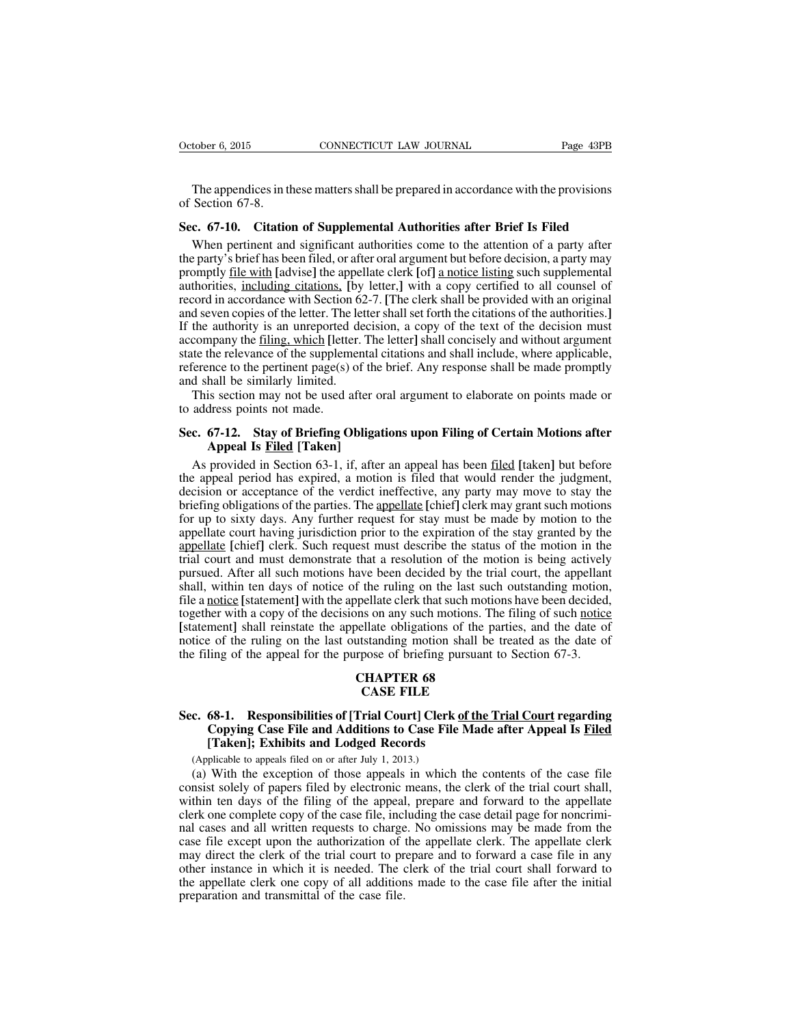The appendices in these matters shall be prepared in accordance with the provisions of Section 67-8.

#### **Sec. 67-10. Citation of Supplemental Authorities after Brief Is Filed**

When pertinent and significant authorities come to the attention of a party after the party's brief has been filed, or after oral argument but before decision, a party may promptly file with **[**advise**]** the appellate clerk **[**of**]** a notice listing such supplemental authorities, including citations, **[**by letter,**]** with a copy certified to all counsel of record in accordance with Section 62-7. **[**The clerk shall be provided with an original and seven copies of the letter. The letter shall set forth the citations of the authorities. If the authority is an unreported decision, a copy of the text of the decision must accompany the filing, which **[**letter. The letter**]** shall concisely and without argument state the relevance of the supplemental citations and shall include, where applicable, reference to the pertinent page(s) of the brief. Any response shall be made promptly and shall be similarly limited.

This section may not be used after oral argument to elaborate on points made or to address points not made.

## **Sec. 67-12. Stay of Briefing Obligations upon Filing of Certain Motions after Appeal Is Filed [Taken]**

As provided in Section 63-1, if, after an appeal has been filed **[**taken**]** but before the appeal period has expired, a motion is filed that would render the judgment, decision or acceptance of the verdict ineffective, any party may move to stay the briefing obligations of the parties. The appellate [chief] clerk may grant such motions for up to sixty days. Any further request for stay must be made by motion to the appellate court having jurisdiction prior to the expiration of the stay granted by the appellate **[**chief**]** clerk. Such request must describe the status of the motion in the trial court and must demonstrate that a resolution of the motion is being actively pursued. After all such motions have been decided by the trial court, the appellant shall, within ten days of notice of the ruling on the last such outstanding motion, file a notice **[**statement**]** with the appellate clerk that such motions have been decided, together with a copy of the decisions on any such motions. The filing of such notice **[**statement**]** shall reinstate the appellate obligations of the parties, and the date of notice of the ruling on the last outstanding motion shall be treated as the date of the filing of the appeal for the purpose of briefing pursuant to Section 67-3.

# **CHAPTER 68 CASE FILE**

# **Sec. 68-1. Responsibilities of [Trial Court] Clerk of the Trial Court regarding Copying Case File and Additions to Case File Made after Appeal Is Filed [Taken]; Exhibits and Lodged Records**

(Applicable to appeals filed on or after July 1, 2013.)

(a) With the exception of those appeals in which the contents of the case file consist solely of papers filed by electronic means, the clerk of the trial court shall, within ten days of the filing of the appeal, prepare and forward to the appellate clerk one complete copy of the case file, including the case detail page for noncriminal cases and all written requests to charge. No omissions may be made from the case file except upon the authorization of the appellate clerk. The appellate clerk may direct the clerk of the trial court to prepare and to forward a case file in any other instance in which it is needed. The clerk of the trial court shall forward to the appellate clerk one copy of all additions made to the case file after the initial preparation and transmittal of the case file.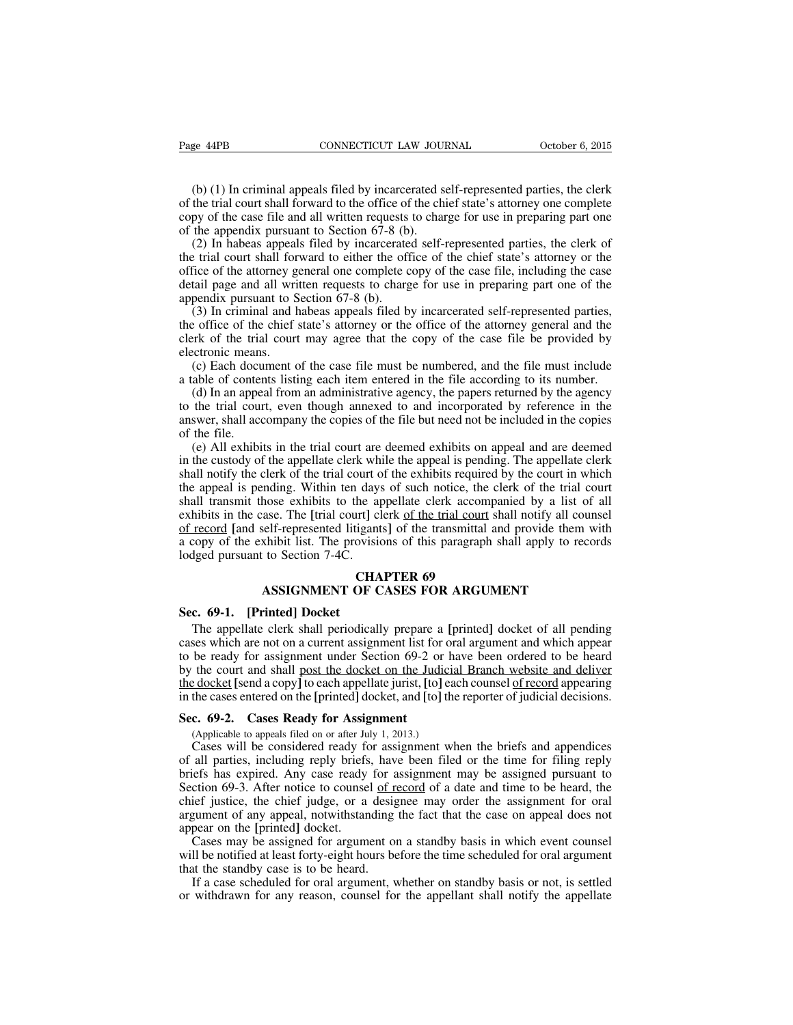(b) (1) In criminal appeals filed by incarcerated self-represented parties, the clerk of the trial court shall forward to the office of the chief state's attorney one complete copy of the case file and all written requests to charge for use in preparing part one of the appendix pursuant to Section 67-8 (b).

(2) In habeas appeals filed by incarcerated self-represented parties, the clerk of the trial court shall forward to either the office of the chief state's attorney or the office of the attorney general one complete copy of the case file, including the case detail page and all written requests to charge for use in preparing part one of the appendix pursuant to Section 67-8 (b).

(3) In criminal and habeas appeals filed by incarcerated self-represented parties, the office of the chief state's attorney or the office of the attorney general and the clerk of the trial court may agree that the copy of the case file be provided by electronic means.

(c) Each document of the case file must be numbered, and the file must include a table of contents listing each item entered in the file according to its number.

(d) In an appeal from an administrative agency, the papers returned by the agency to the trial court, even though annexed to and incorporated by reference in the answer, shall accompany the copies of the file but need not be included in the copies of the file.

(e) All exhibits in the trial court are deemed exhibits on appeal and are deemed in the custody of the appellate clerk while the appeal is pending. The appellate clerk shall notify the clerk of the trial court of the exhibits required by the court in which the appeal is pending. Within ten days of such notice, the clerk of the trial court shall transmit those exhibits to the appellate clerk accompanied by a list of all exhibits in the case. The **[**trial court**]** clerk of the trial court shall notify all counsel of record **[**and self-represented litigants**]** of the transmittal and provide them with a copy of the exhibit list. The provisions of this paragraph shall apply to records lodged pursuant to Section 7-4C.

# **CHAPTER 69 ASSIGNMENT OF CASES FOR ARGUMENT**

#### **Sec. 69-1. [Printed] Docket**

The appellate clerk shall periodically prepare a **[**printed**]** docket of all pending cases which are not on a current assignment list for oral argument and which appear to be ready for assignment under Section 69-2 or have been ordered to be heard by the court and shall post the docket on the Judicial Branch website and deliver the docket **[**send a copy**]** to each appellate jurist, **[**to**]** each counsel of record appearing in the cases entered on the **[**printed**]** docket, and **[**to**]** the reporter of judicial decisions.

#### **Sec. 69-2. Cases Ready for Assignment**

(Applicable to appeals filed on or after July 1, 2013.)

Cases will be considered ready for assignment when the briefs and appendices of all parties, including reply briefs, have been filed or the time for filing reply briefs has expired. Any case ready for assignment may be assigned pursuant to Section 69-3. After notice to counsel of record of a date and time to be heard, the chief justice, the chief judge, or a designee may order the assignment for oral argument of any appeal, notwithstanding the fact that the case on appeal does not appear on the **[**printed**]** docket.

Cases may be assigned for argument on a standby basis in which event counsel will be notified at least forty-eight hours before the time scheduled for oral argument that the standby case is to be heard.

If a case scheduled for oral argument, whether on standby basis or not, is settled or withdrawn for any reason, counsel for the appellant shall notify the appellate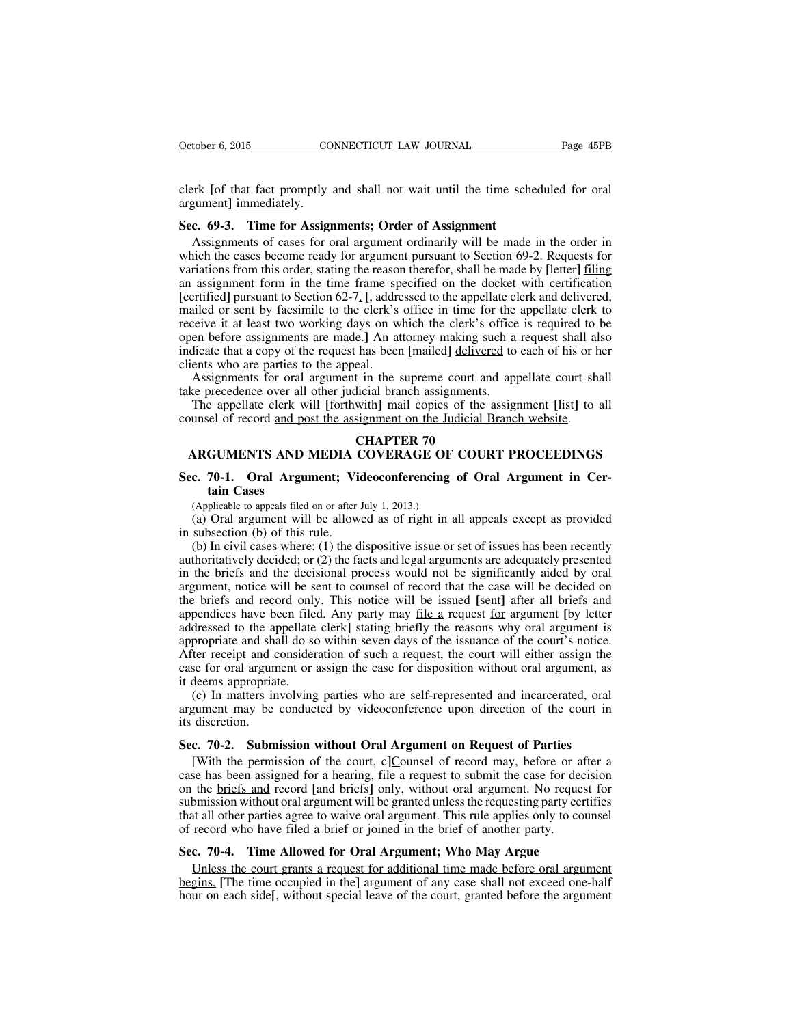clerk **[**of that fact promptly and shall not wait until the time scheduled for oral argument**]** immediately.

## **Sec. 69-3. Time for Assignments; Order of Assignment**

Assignments of cases for oral argument ordinarily will be made in the order in which the cases become ready for argument pursuant to Section 69-2. Requests for variations from this order, stating the reason therefor, shall be made by **[**letter**]** filing an assignment form in the time frame specified on the docket with certification **[**certified**]** pursuant to Section 62-7. **[**, addressed to the appellate clerk and delivered, mailed or sent by facsimile to the clerk's office in time for the appellate clerk to receive it at least two working days on which the clerk's office is required to be open before assignments are made.**]** An attorney making such a request shall also indicate that a copy of the request has been **[**mailed**]** delivered to each of his or her clients who are parties to the appeal.

Assignments for oral argument in the supreme court and appellate court shall take precedence over all other judicial branch assignments.

The appellate clerk will **[**forthwith**]** mail copies of the assignment **[**list**]** to all counsel of record and post the assignment on the Judicial Branch website.

#### **CHAPTER 70**

# **ARGUMENTS AND MEDIA COVERAGE OF COURT PROCEEDINGS**

# **Sec. 70-1. Oral Argument; Videoconferencing of Oral Argument in Certain Cases**

(Applicable to appeals filed on or after July 1, 2013.)

(a) Oral argument will be allowed as of right in all appeals except as provided in subsection (b) of this rule.

(b) In civil cases where: (1) the dispositive issue or set of issues has been recently authoritatively decided; or (2) the facts and legal arguments are adequately presented in the briefs and the decisional process would not be significantly aided by oral argument, notice will be sent to counsel of record that the case will be decided on the briefs and record only. This notice will be issued **[**sent**]** after all briefs and appendices have been filed. Any party may file a request for argument **[**by letter addressed to the appellate clerk**]** stating briefly the reasons why oral argument is appropriate and shall do so within seven days of the issuance of the court's notice. After receipt and consideration of such a request, the court will either assign the case for oral argument or assign the case for disposition without oral argument, as it deems appropriate.

(c) In matters involving parties who are self-represented and incarcerated, oral argument may be conducted by videoconference upon direction of the court in its discretion.

#### **Sec. 70-2. Submission without Oral Argument on Request of Parties**

[With the permission of the court, c**]**Counsel of record may, before or after a case has been assigned for a hearing, file a request to submit the case for decision on the briefs and record **[**and briefs**]** only, without oral argument. No request for submission without oral argument will be granted unlessthe requesting party certifies that all other parties agree to waive oral argument. This rule applies only to counsel of record who have filed a brief or joined in the brief of another party.

## **Sec. 70-4. Time Allowed for Oral Argument; Who May Argue**

Unless the court grants a request for additional time made before oral argument begins, **[**The time occupied in the**]** argument of any case shall not exceed one-half hour on each side**[**, without special leave of the court, granted before the argument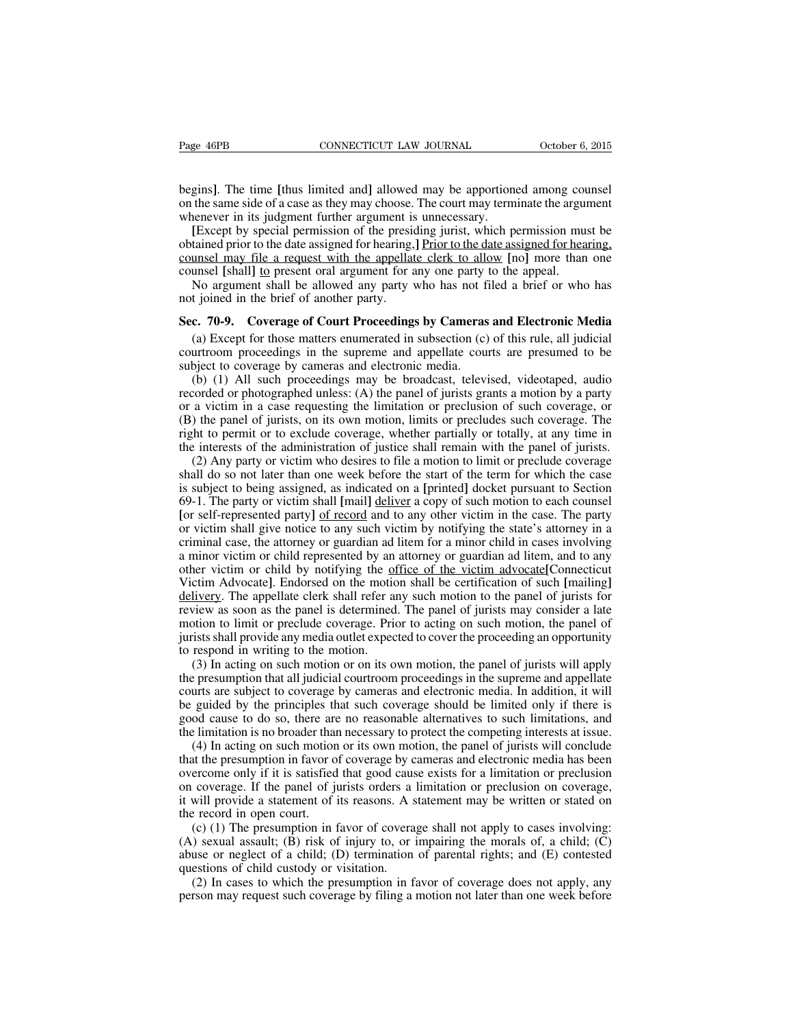begins**]**. The time **[**thus limited and**]** allowed may be apportioned among counsel on the same side of a case as they may choose. The court may terminate the argument whenever in its judgment further argument is unnecessary.

**[**Except by special permission of the presiding jurist, which permission must be obtained prior to the date assigned for hearing,**]** Prior to the date assigned for hearing, counsel may file a request with the appellate clerk to allow **[**no**]** more than one counsel [shall] to present oral argument for any one party to the appeal.

No argument shall be allowed any party who has not filed a brief or who has not joined in the brief of another party.

#### **Sec. 70-9. Coverage of Court Proceedings by Cameras and Electronic Media**

(a) Except for those matters enumerated in subsection (c) of this rule, all judicial courtroom proceedings in the supreme and appellate courts are presumed to be subject to coverage by cameras and electronic media.

(b) (1) All such proceedings may be broadcast, televised, videotaped, audio recorded or photographed unless: (A) the panel of jurists grants a motion by a party or a victim in a case requesting the limitation or preclusion of such coverage, or (B) the panel of jurists, on its own motion, limits or precludes such coverage. The right to permit or to exclude coverage, whether partially or totally, at any time in the interests of the administration of justice shall remain with the panel of jurists.

(2) Any party or victim who desires to file a motion to limit or preclude coverage shall do so not later than one week before the start of the term for which the case is subject to being assigned, as indicated on a **[**printed**]** docket pursuant to Section 69-1. The party or victim shall **[**mail**]** deliver a copy of such motion to each counsel **[**or self-represented party**]** of record and to any other victim in the case. The party or victim shall give notice to any such victim by notifying the state's attorney in a criminal case, the attorney or guardian ad litem for a minor child in cases involving a minor victim or child represented by an attorney or guardian ad litem, and to any other victim or child by notifying the office of the victim advocate**[**Connecticut Victim Advocate**]**. Endorsed on the motion shall be certification of such **[**mailing**]** delivery. The appellate clerk shall refer any such motion to the panel of jurists for review as soon as the panel is determined. The panel of jurists may consider a late motion to limit or preclude coverage. Prior to acting on such motion, the panel of juristsshall provide any media outlet expected to cover the proceeding an opportunity to respond in writing to the motion.

(3) In acting on such motion or on its own motion, the panel of jurists will apply the presumption that all judicial courtroom proceedings in the supreme and appellate courts are subject to coverage by cameras and electronic media. In addition, it will be guided by the principles that such coverage should be limited only if there is good cause to do so, there are no reasonable alternatives to such limitations, and the limitation is no broader than necessary to protect the competing interests at issue.

(4) In acting on such motion or its own motion, the panel of jurists will conclude that the presumption in favor of coverage by cameras and electronic media has been overcome only if it is satisfied that good cause exists for a limitation or preclusion on coverage. If the panel of jurists orders a limitation or preclusion on coverage, it will provide a statement of its reasons. A statement may be written or stated on the record in open court.

(c) (1) The presumption in favor of coverage shall not apply to cases involving: (A) sexual assault; (B) risk of injury to, or impairing the morals of, a child; (C) abuse or neglect of a child; (D) termination of parental rights; and (E) contested questions of child custody or visitation.

(2) In cases to which the presumption in favor of coverage does not apply, any person may request such coverage by filing a motion not later than one week before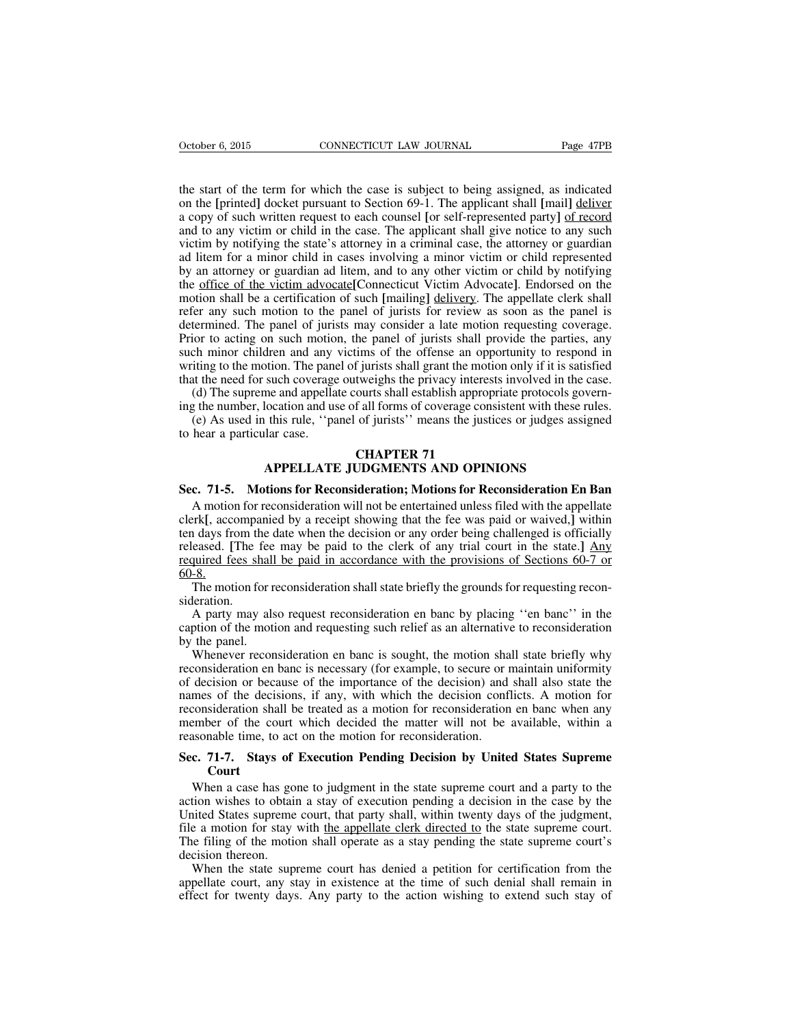the start of the term for which the case is subject to being assigned, as indicated on the **[**printed**]** docket pursuant to Section 69-1. The applicant shall **[**mail**]** deliver a copy of such written request to each counsel **[**or self-represented party**]** of record and to any victim or child in the case. The applicant shall give notice to any such victim by notifying the state's attorney in a criminal case, the attorney or guardian ad litem for a minor child in cases involving a minor victim or child represented by an attorney or guardian ad litem, and to any other victim or child by notifying the office of the victim advocate**[**Connecticut Victim Advocate**]**. Endorsed on the motion shall be a certification of such **[**mailing**]** delivery. The appellate clerk shall refer any such motion to the panel of jurists for review as soon as the panel is determined. The panel of jurists may consider a late motion requesting coverage. Prior to acting on such motion, the panel of jurists shall provide the parties, any such minor children and any victims of the offense an opportunity to respond in writing to the motion. The panel of jurists shall grant the motion only if it is satisfied that the need for such coverage outweighs the privacy interests involved in the case.

(d) The supreme and appellate courts shall establish appropriate protocols governing the number, location and use of all forms of coverage consistent with these rules.

(e) As used in this rule, ''panel of jurists'' means the justices or judges assigned to hear a particular case.

# **CHAPTER 71**

# **APPELLATE JUDGMENTS AND OPINIONS**

#### **Sec. 71-5. Motions for Reconsideration; Motions for Reconsideration En Ban**

A motion for reconsideration will not be entertained unless filed with the appellate clerk**[**, accompanied by a receipt showing that the fee was paid or waived,**]** within ten days from the date when the decision or any order being challenged is officially released. **[**The fee may be paid to the clerk of any trial court in the state.**]** Any required fees shall be paid in accordance with the provisions of Sections 60-7 or 60-8.

The motion for reconsideration shall state briefly the grounds for requesting reconsideration.

A party may also request reconsideration en banc by placing ''en banc'' in the caption of the motion and requesting such relief as an alternative to reconsideration by the panel.

Whenever reconsideration en banc is sought, the motion shall state briefly why reconsideration en banc is necessary (for example, to secure or maintain uniformity of decision or because of the importance of the decision) and shall also state the names of the decisions, if any, with which the decision conflicts. A motion for reconsideration shall be treated as a motion for reconsideration en banc when any member of the court which decided the matter will not be available, within a reasonable time, to act on the motion for reconsideration.

# **Sec. 71-7. Stays of Execution Pending Decision by United States Supreme Court**

When a case has gone to judgment in the state supreme court and a party to the action wishes to obtain a stay of execution pending a decision in the case by the United States supreme court, that party shall, within twenty days of the judgment, file a motion for stay with the appellate clerk directed to the state supreme court. The filing of the motion shall operate as a stay pending the state supreme court's decision thereon.

When the state supreme court has denied a petition for certification from the appellate court, any stay in existence at the time of such denial shall remain in effect for twenty days. Any party to the action wishing to extend such stay of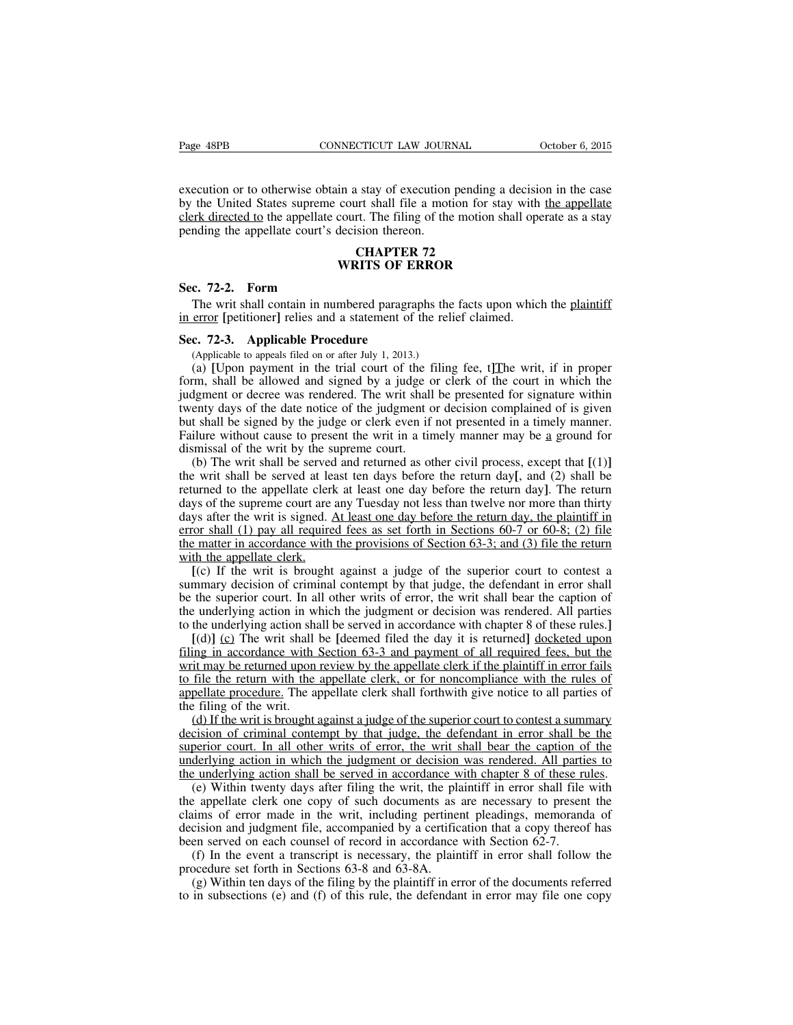execution or to otherwise obtain a stay of execution pending a decision in the case by the United States supreme court shall file a motion for stay with the appellate clerk directed to the appellate court. The filing of the motion shall operate as a stay pending the appellate court's decision thereon.

## **CHAPTER 72 WRITS OF ERROR**

## **Sec. 72-2. Form**

The writ shall contain in numbered paragraphs the facts upon which the plaintiff in error **[**petitioner**]** relies and a statement of the relief claimed.

#### **Sec. 72-3. Applicable Procedure**

(Applicable to appeals filed on or after July 1, 2013.)

(a) **[**Upon payment in the trial court of the filing fee, t**]**The writ, if in proper form, shall be allowed and signed by a judge or clerk of the court in which the judgment or decree was rendered. The writ shall be presented for signature within twenty days of the date notice of the judgment or decision complained of is given but shall be signed by the judge or clerk even if not presented in a timely manner. Failure without cause to present the writ in a timely manner may be a ground for dismissal of the writ by the supreme court.

(b) The writ shall be served and returned as other civil process, except that **[**(1)**]** the writ shall be served at least ten days before the return day**[**, and (2) shall be returned to the appellate clerk at least one day before the return day**]**. The return days of the supreme court are any Tuesday not less than twelve nor more than thirty days after the writ is signed. At least one day before the return day, the plaintiff in error shall (1) pay all required fees as set forth in Sections 60-7 or 60-8; (2) file the matter in accordance with the provisions of Section 63-3; and (3) file the return with the appellate clerk.

**[**(c) If the writ is brought against a judge of the superior court to contest a summary decision of criminal contempt by that judge, the defendant in error shall be the superior court. In all other writs of error, the writ shall bear the caption of the underlying action in which the judgment or decision was rendered. All parties to the underlying action shall be served in accordance with chapter 8 of these rules.**]**

**[**(d)**]** (c) The writ shall be **[**deemed filed the day it is returned**]** docketed upon filing in accordance with Section 63-3 and payment of all required fees, but the writ may be returned upon review by the appellate clerk if the plaintiff in error fails to file the return with the appellate clerk, or for noncompliance with the rules of appellate procedure. The appellate clerk shall forthwith give notice to all parties of the filing of the writ.

(d) If the writ is brought against a judge of the superior court to contest a summary decision of criminal contempt by that judge, the defendant in error shall be the superior court. In all other writs of error, the writ shall bear the caption of the underlying action in which the judgment or decision was rendered. All parties to the underlying action shall be served in accordance with chapter 8 of these rules.

(e) Within twenty days after filing the writ, the plaintiff in error shall file with the appellate clerk one copy of such documents as are necessary to present the claims of error made in the writ, including pertinent pleadings, memoranda of decision and judgment file, accompanied by a certification that a copy thereof has been served on each counsel of record in accordance with Section 62-7.

(f) In the event a transcript is necessary, the plaintiff in error shall follow the procedure set forth in Sections 63-8 and 63-8A.

(g) Within ten days of the filing by the plaintiff in error of the documents referred to in subsections (e) and (f) of this rule, the defendant in error may file one copy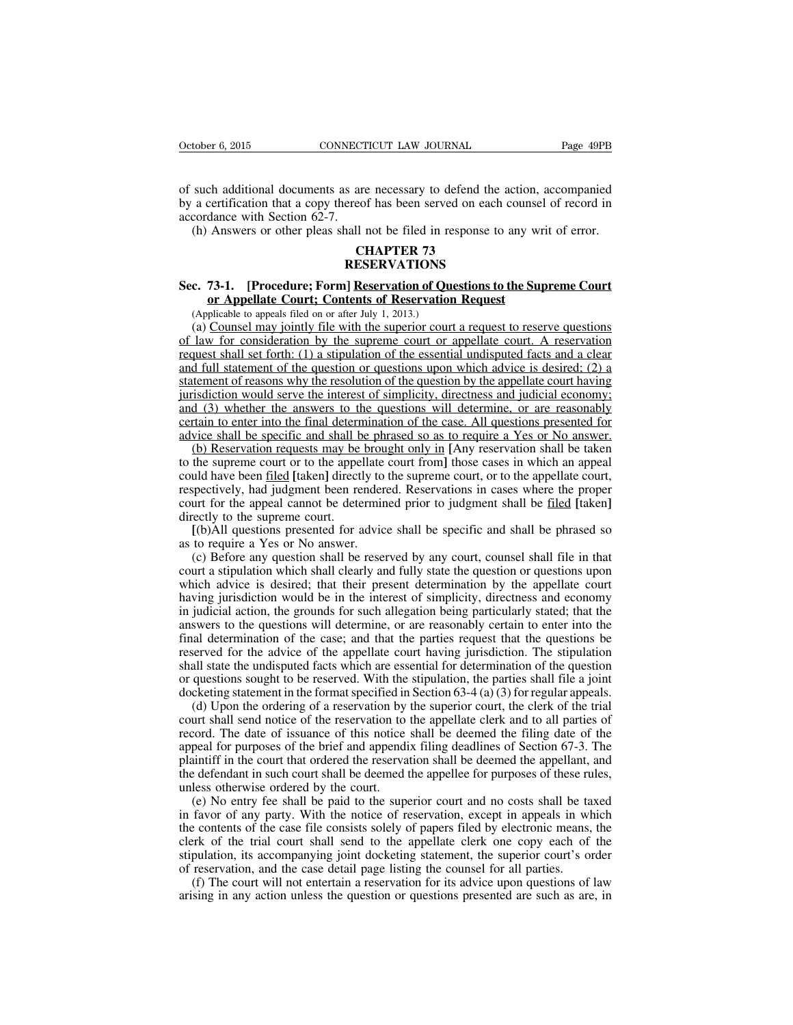of such additional documents as are necessary to defend the action, accompanied by a certification that a copy thereof has been served on each counsel of record in accordance with Section 62-7.

(h) Answers or other pleas shall not be filed in response to any writ of error.

# **CHAPTER 73 RESERVATIONS**

# **Sec. 73-1. [Procedure; Form] Reservation of Questions to the Supreme Court or Appellate Court; Contents of Reservation Request**

(Applicable to appeals filed on or after July 1, 2013.)

(a) Counsel may jointly file with the superior court a request to reserve questions of law for consideration by the supreme court or appellate court. A reservation request shall set forth: (1) a stipulation of the essential undisputed facts and a clear and full statement of the question or questions upon which advice is desired; (2) a statement of reasons why the resolution of the question by the appellate court having jurisdiction would serve the interest of simplicity, directness and judicial economy; and (3) whether the answers to the questions will determine, or are reasonably certain to enter into the final determination of the case. All questions presented for advice shall be specific and shall be phrased so as to require a Yes or No answer.

(b) Reservation requests may be brought only in **[**Any reservation shall be taken to the supreme court or to the appellate court from**]** those cases in which an appeal could have been filed **[**taken**]** directly to the supreme court, or to the appellate court, respectively, had judgment been rendered. Reservations in cases where the proper court for the appeal cannot be determined prior to judgment shall be filed **[**taken**]** directly to the supreme court.

**[**(b)All questions presented for advice shall be specific and shall be phrased so as to require a Yes or No answer.

(c) Before any question shall be reserved by any court, counsel shall file in that court a stipulation which shall clearly and fully state the question or questions upon which advice is desired; that their present determination by the appellate court having jurisdiction would be in the interest of simplicity, directness and economy in judicial action, the grounds for such allegation being particularly stated; that the answers to the questions will determine, or are reasonably certain to enter into the final determination of the case; and that the parties request that the questions be reserved for the advice of the appellate court having jurisdiction. The stipulation shall state the undisputed facts which are essential for determination of the question or questions sought to be reserved. With the stipulation, the parties shall file a joint docketing statement in the format specified in Section  $63-4$  (a) (3) for regular appeals.

(d) Upon the ordering of a reservation by the superior court, the clerk of the trial court shall send notice of the reservation to the appellate clerk and to all parties of record. The date of issuance of this notice shall be deemed the filing date of the appeal for purposes of the brief and appendix filing deadlines of Section 67-3. The plaintiff in the court that ordered the reservation shall be deemed the appellant, and the defendant in such court shall be deemed the appellee for purposes of these rules, unless otherwise ordered by the court.

(e) No entry fee shall be paid to the superior court and no costs shall be taxed in favor of any party. With the notice of reservation, except in appeals in which the contents of the case file consists solely of papers filed by electronic means, the clerk of the trial court shall send to the appellate clerk one copy each of the stipulation, its accompanying joint docketing statement, the superior court's order of reservation, and the case detail page listing the counsel for all parties.

(f) The court will not entertain a reservation for its advice upon questions of law arising in any action unless the question or questions presented are such as are, in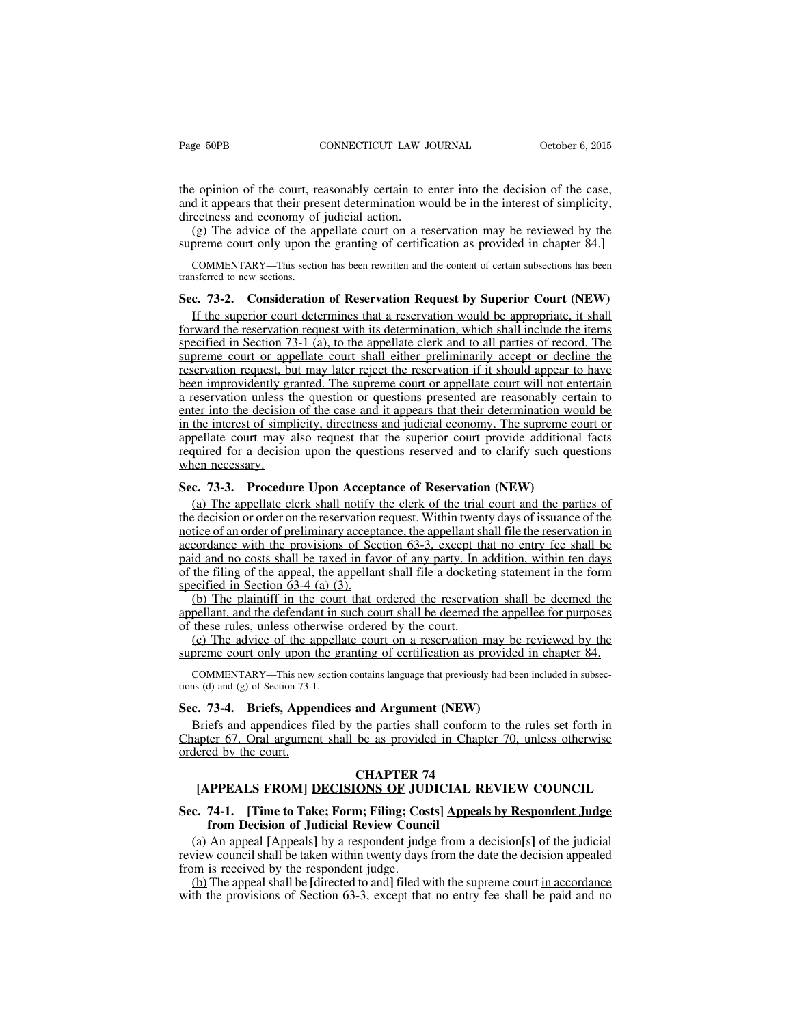the opinion of the court, reasonably certain to enter into the decision of the case, and it appears that their present determination would be in the interest of simplicity, directness and economy of judicial action.

(g) The advice of the appellate court on a reservation may be reviewed by the supreme court only upon the granting of certification as provided in chapter 84.**]**

COMMENTARY—This section has been rewritten and the content of certain subsections has been transferred to new sections.

# **Sec. 73-2. Consideration of Reservation Request by Superior Court (NEW)**

If the superior court determines that a reservation would be appropriate, it shall forward the reservation request with its determination, which shall include the items specified in Section 73-1 (a), to the appellate clerk and to all parties of record. The supreme court or appellate court shall either preliminarily accept or decline the reservation request, but may later reject the reservation if it should appear to have been improvidently granted. The supreme court or appellate court will not entertain a reservation unless the question or questions presented are reasonably certain to enter into the decision of the case and it appears that their determination would be in the interest of simplicity, directness and judicial economy. The supreme court or appellate court may also request that the superior court provide additional facts required for a decision upon the questions reserved and to clarify such questions when necessary.

# **Sec. 73-3. Procedure Upon Acceptance of Reservation (NEW)**

(a) The appellate clerk shall notify the clerk of the trial court and the parties of the decision or order on the reservation request. Within twenty days of issuance of the notice of an order of preliminary acceptance, the appellant shall file the reservation in accordance with the provisions of Section 63-3, except that no entry fee shall be paid and no costs shall be taxed in favor of any party. In addition, within ten days of the filing of the appeal, the appellant shall file a docketing statement in the form specified in Section 63-4 (a) (3).

(b) The plaintiff in the court that ordered the reservation shall be deemed the appellant, and the defendant in such court shall be deemed the appellee for purposes of these rules, unless otherwise ordered by the court.

(c) The advice of the appellate court on a reservation may be reviewed by the supreme court only upon the granting of certification as provided in chapter 84.

COMMENTARY—This new section contains language that previously had been included in subsections (d) and (g) of Section 73-1.

# **Sec. 73-4. Briefs, Appendices and Argument (NEW)**

Briefs and appendices filed by the parties shall conform to the rules set forth in Chapter 67. Oral argument shall be as provided in Chapter 70, unless otherwise ordered by the court.

# **CHAPTER 74**

# **[APPEALS FROM] DECISIONS OF JUDICIAL REVIEW COUNCIL**

# **Sec. 74-1. [Time to Take; Form; Filing; Costs] Appeals by Respondent Judge from Decision of Judicial Review Council**

(a) An appeal **[**Appeals**]** by a respondent judge from a decision**[**s**]** of the judicial review council shall be taken within twenty days from the date the decision appealed from is received by the respondent judge.

(b) The appeal shall be **[**directed to and**]** filed with the supreme court in accordance with the provisions of Section 63-3, except that no entry fee shall be paid and no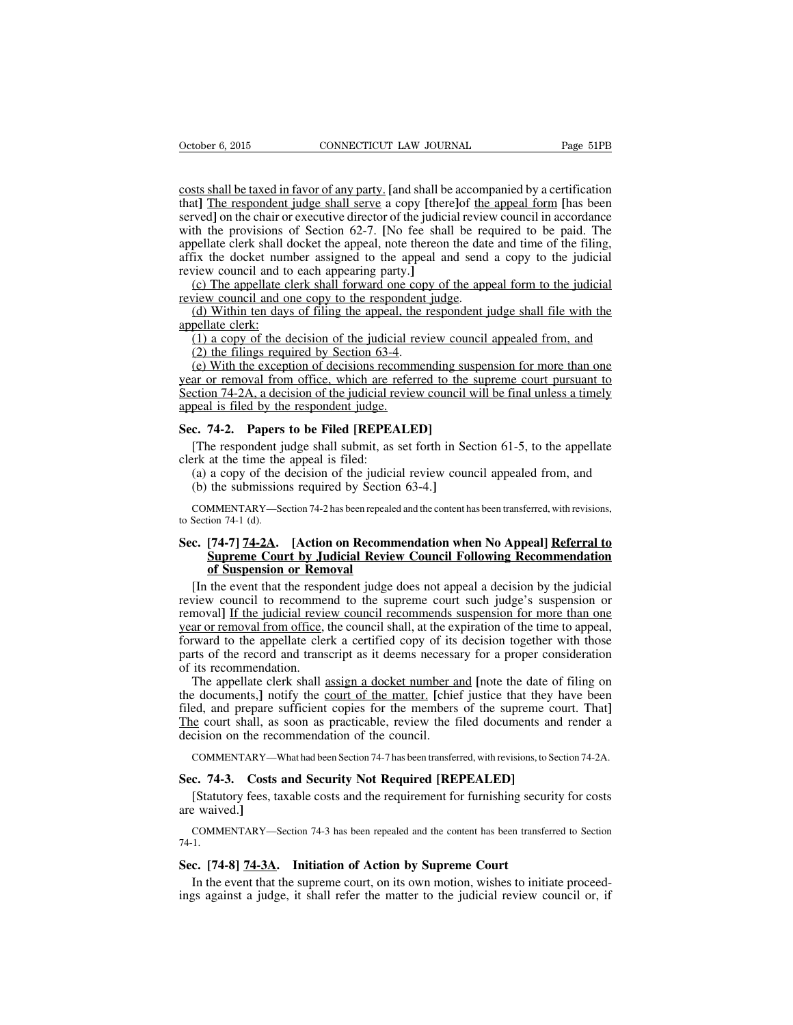costs shall be taxed in favor of any party. **[**and shall be accompanied by a certification that**]** The respondent judge shall serve a copy **[**there**]**of the appeal form **[**has been served**]** on the chair or executive director of the judicial review council in accordance with the provisions of Section 62-7. **[**No fee shall be required to be paid. The appellate clerk shall docket the appeal, note thereon the date and time of the filing, affix the docket number assigned to the appeal and send a copy to the judicial review council and to each appearing party.**]**

(c) The appellate clerk shall forward one copy of the appeal form to the judicial review council and one copy to the respondent judge.

(d) Within ten days of filing the appeal, the respondent judge shall file with the appellate clerk:

(1) a copy of the decision of the judicial review council appealed from, and (2) the filings required by Section 63-4.

(e) With the exception of decisions recommending suspension for more than one year or removal from office, which are referred to the supreme court pursuant to Section 74-2A, a decision of the judicial review council will be final unless a timely appeal is filed by the respondent judge.

# **Sec. 74-2. Papers to be Filed [REPEALED]**

[The respondent judge shall submit, as set forth in Section 61-5, to the appellate clerk at the time the appeal is filed:

(a) a copy of the decision of the judicial review council appealed from, and

(b) the submissions required by Section 63-4.**]**

COMMENTARY—Section 74-2 has been repealed and the content has been transferred, with revisions, to Section 74-1 (d).

# **Sec. [74-7] 74-2A. [Action on Recommendation when No Appeal] Referral to Supreme Court by Judicial Review Council Following Recommendation of Suspension or Removal**

[In the event that the respondent judge does not appeal a decision by the judicial review council to recommend to the supreme court such judge's suspension or removal] If the judicial review council recommends suspension for more than one year or removal from office, the council shall, at the expiration of the time to appeal, forward to the appellate clerk a certified copy of its decision together with those parts of the record and transcript as it deems necessary for a proper consideration of its recommendation.

The appellate clerk shall assign a docket number and **[**note the date of filing on the documents,**]** notify the court of the matter. **[**chief justice that they have been filed, and prepare sufficient copies for the members of the supreme court. That**]** The court shall, as soon as practicable, review the filed documents and render a decision on the recommendation of the council.

COMMENTARY—What had been Section 74-7 has been transferred, with revisions, to Section 74-2A.

# **Sec. 74-3. Costs and Security Not Required [REPEALED]**

[Statutory fees, taxable costs and the requirement for furnishing security for costs are waived.**]**

COMMENTARY—Section 74-3 has been repealed and the content has been transferred to Section 74-1.

# **Sec. [74-8] 74-3A. Initiation of Action by Supreme Court**

In the event that the supreme court, on its own motion, wishes to initiate proceedings against a judge, it shall refer the matter to the judicial review council or, if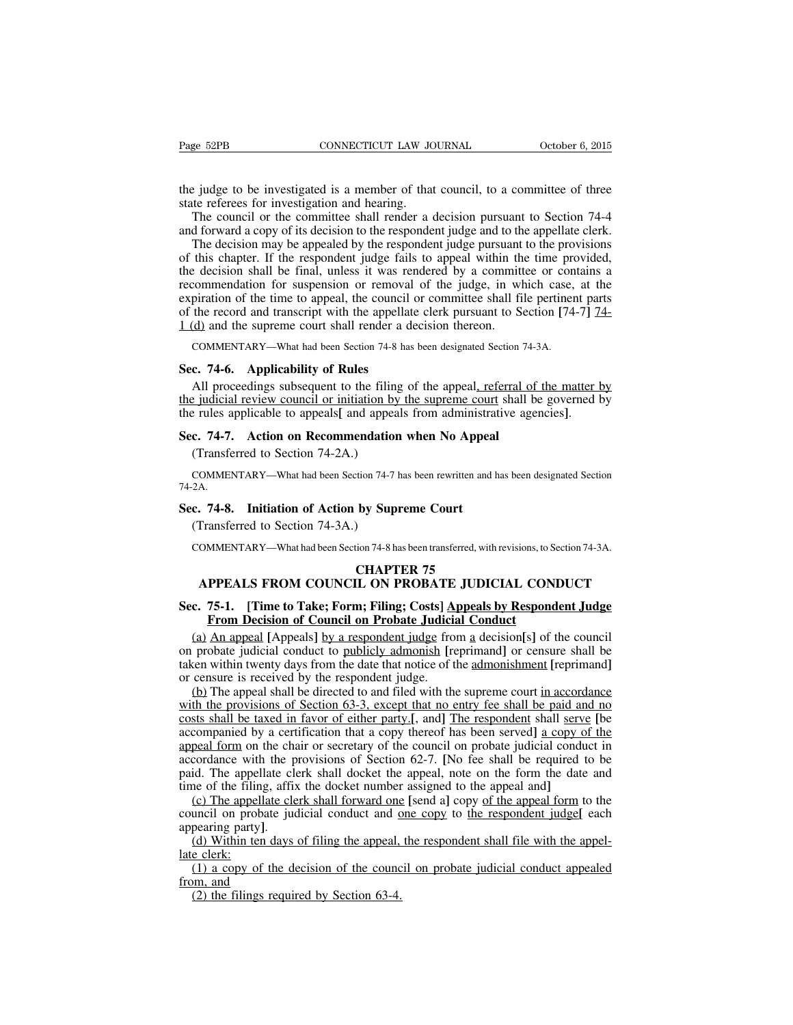the judge to be investigated is a member of that council, to a committee of three state referees for investigation and hearing.

The council or the committee shall render a decision pursuant to Section 74-4 and forward a copy of its decision to the respondent judge and to the appellate clerk.

The decision may be appealed by the respondent judge pursuant to the provisions of this chapter. If the respondent judge fails to appeal within the time provided, the decision shall be final, unless it was rendered by a committee or contains a recommendation for suspension or removal of the judge, in which case, at the expiration of the time to appeal, the council or committee shall file pertinent parts of the record and transcript with the appellate clerk pursuant to Section **[**74-7**]** 74- 1 (d) and the supreme court shall render a decision thereon.

COMMENTARY—What had been Section 74-8 has been designated Section 74-3A.

#### **Sec. 74-6. Applicability of Rules**

All proceedings subsequent to the filing of the appeal, referral of the matter by the judicial review council or initiation by the supreme court shall be governed by the rules applicable to appeals**[** and appeals from administrative agencies**]**.

#### **Sec. 74-7. Action on Recommendation when No Appeal**

(Transferred to Section 74-2A.)

COMMENTARY—What had been Section 74-7 has been rewritten and has been designated Section 74-2A.

#### **Sec. 74-8. Initiation of Action by Supreme Court**

(Transferred to Section 74-3A.)

COMMENTARY—What had been Section 74-8 has been transferred, with revisions, to Section 74-3A.

## **CHAPTER 75 APPEALS FROM COUNCIL ON PROBATE JUDICIAL CONDUCT**

## **Sec. 75-1. [Time to Take; Form; Filing; Costs] Appeals by Respondent Judge From Decision of Council on Probate Judicial Conduct**

(a) An appeal **[**Appeals**]** by a respondent judge from a decision**[**s**]** of the council on probate judicial conduct to publicly admonish **[**reprimand**]** or censure shall be taken within twenty days from the date that notice of the admonishment **[**reprimand**]** or censure is received by the respondent judge.

(b) The appeal shall be directed to and filed with the supreme court in accordance with the provisions of Section 63-3, except that no entry fee shall be paid and no costs shall be taxed in favor of either party.**[**, and**]** The respondent shall serve **[**be accompanied by a certification that a copy thereof has been served**]** a copy of the appeal form on the chair or secretary of the council on probate judicial conduct in accordance with the provisions of Section 62-7. **[**No fee shall be required to be paid. The appellate clerk shall docket the appeal, note on the form the date and time of the filing, affix the docket number assigned to the appeal and**]**

(c) The appellate clerk shall forward one **[**send a**]** copy of the appeal form to the council on probate judicial conduct and one copy to the respondent judge**[** each appearing party**]**.

(d) Within ten days of filing the appeal, the respondent shall file with the appellate clerk:

(1) a copy of the decision of the council on probate judicial conduct appealed from, and

(2) the filings required by Section 63-4.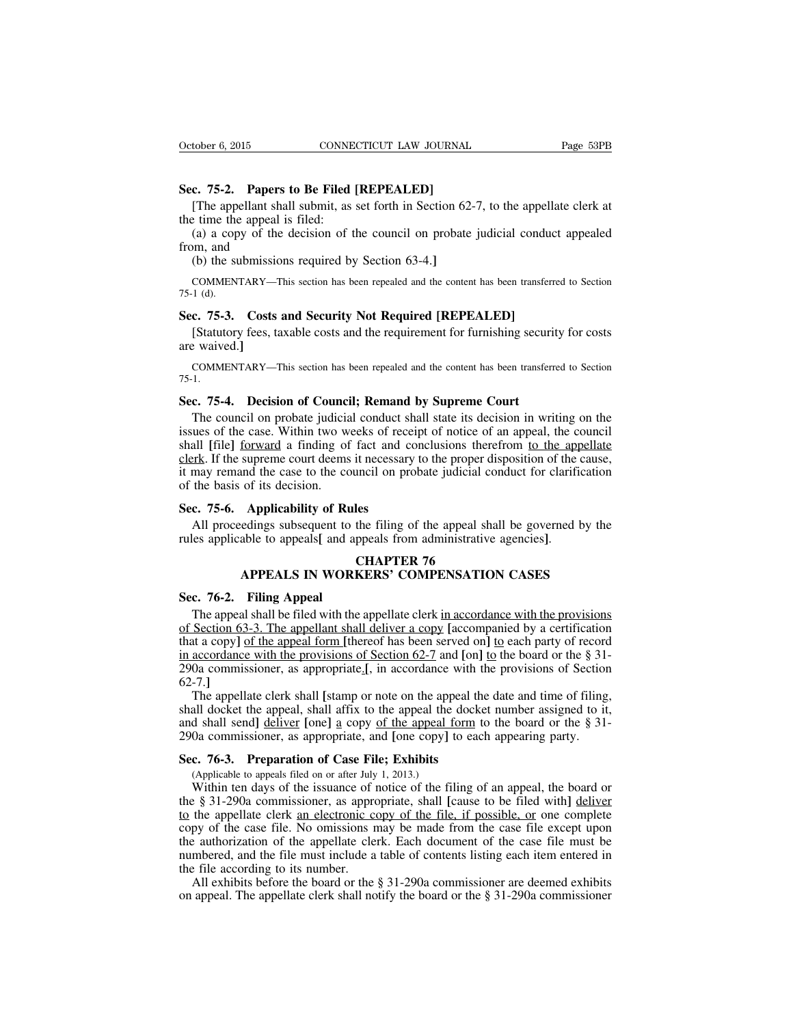## **Sec. 75-2. Papers to Be Filed [REPEALED]**

[The appellant shall submit, as set forth in Section 62-7, to the appellate clerk at the time the appeal is filed:

(a) a copy of the decision of the council on probate judicial conduct appealed from, and

(b) the submissions required by Section 63-4.**]**

COMMENTARY—This section has been repealed and the content has been transferred to Section 75-1 (d).

## **Sec. 75-3. Costs and Security Not Required [REPEALED]**

[Statutory fees, taxable costs and the requirement for furnishing security for costs are waived.**]**

COMMENTARY—This section has been repealed and the content has been transferred to Section 75-1.

#### **Sec. 75-4. Decision of Council; Remand by Supreme Court**

The council on probate judicial conduct shall state its decision in writing on the issues of the case. Within two weeks of receipt of notice of an appeal, the council shall **[**file**]** forward a finding of fact and conclusions therefrom to the appellate clerk. If the supreme court deems it necessary to the proper disposition of the cause, it may remand the case to the council on probate judicial conduct for clarification of the basis of its decision.

#### **Sec. 75-6. Applicability of Rules**

All proceedings subsequent to the filing of the appeal shall be governed by the rules applicable to appeals**[** and appeals from administrative agencies**]**.

# **CHAPTER 76 APPEALS IN WORKERS' COMPENSATION CASES**

#### **Sec. 76-2. Filing Appeal**

The appeal shall be filed with the appellate clerk in accordance with the provisions of Section 63-3. The appellant shall deliver a copy **[**accompanied by a certification that a copy**]** of the appeal form **[**thereof has been served on**]** to each party of record in accordance with the provisions of Section 62-7 and **[**on**]** to the board or the § 31- 290a commissioner, as appropriate.**[**, in accordance with the provisions of Section 62-7.**]**

The appellate clerk shall **[**stamp or note on the appeal the date and time of filing, shall docket the appeal, shall affix to the appeal the docket number assigned to it, and shall send**]** deliver **[**one**]** a copy of the appeal form to the board or the § 31- 290a commissioner, as appropriate, and **[**one copy**]** to each appearing party.

#### **Sec. 76-3. Preparation of Case File; Exhibits**

(Applicable to appeals filed on or after July 1, 2013.)

Within ten days of the issuance of notice of the filing of an appeal, the board or the § 31-290a commissioner, as appropriate, shall **[**cause to be filed with**]** deliver to the appellate clerk an electronic copy of the file, if possible, or one complete copy of the case file. No omissions may be made from the case file except upon the authorization of the appellate clerk. Each document of the case file must be numbered, and the file must include a table of contents listing each item entered in the file according to its number.

All exhibits before the board or the § 31-290a commissioner are deemed exhibits on appeal. The appellate clerk shall notify the board or the § 31-290a commissioner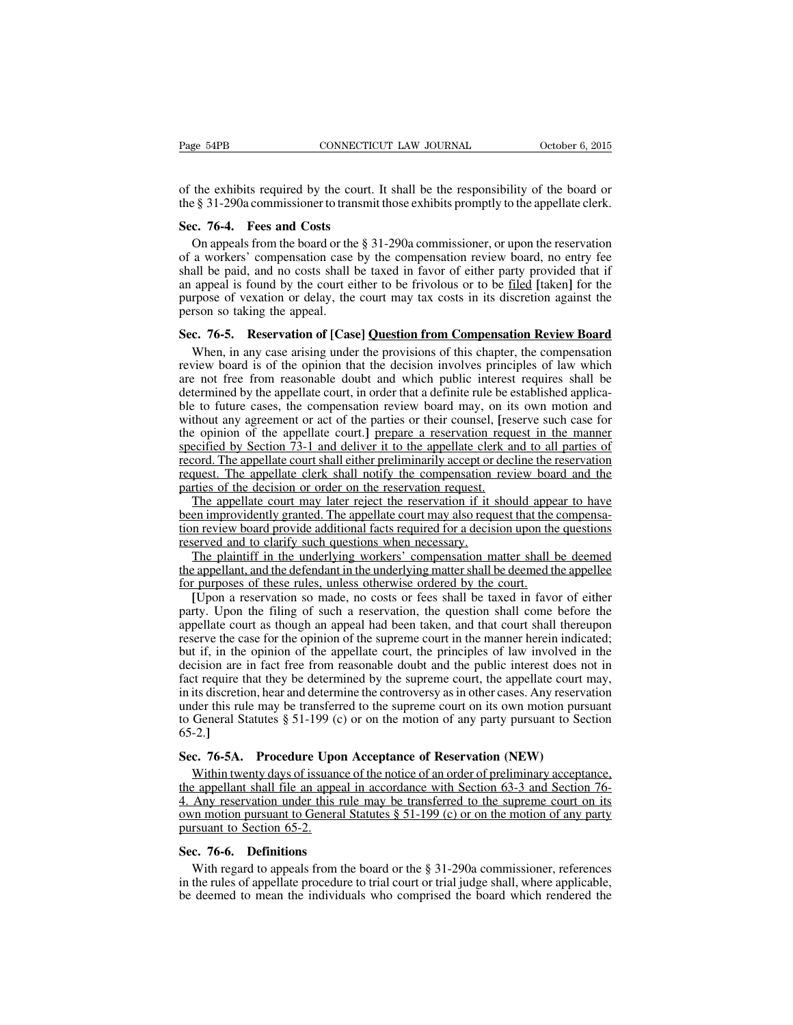of the exhibits required by the court. It shall be the responsibility of the board or the § 31-290a commissioner to transmit those exhibits promptly to the appellate clerk.

#### **Sec. 76-4. Fees and Costs**

On appeals from the board or the § 31-290a commissioner, or upon the reservation of a workers' compensation case by the compensation review board, no entry fee shall be paid, and no costs shall be taxed in favor of either party provided that if an appeal is found by the court either to be frivolous or to be filed **[**taken**]** for the purpose of vexation or delay, the court may tax costs in its discretion against the person so taking the appeal.

## **Sec. 76-5. Reservation of [Case] Question from Compensation Review Board**

When, in any case arising under the provisions of this chapter, the compensation review board is of the opinion that the decision involves principles of law which are not free from reasonable doubt and which public interest requires shall be determined by the appellate court, in order that a definite rule be established applicable to future cases, the compensation review board may, on its own motion and without any agreement or act of the parties or their counsel, **[**reserve such case for the opinion of the appellate court.**]** prepare a reservation request in the manner specified by Section 73-1 and deliver it to the appellate clerk and to all parties of record. The appellate court shall either preliminarily accept or decline the reservation request. The appellate clerk shall notify the compensation review board and the parties of the decision or order on the reservation request.

The appellate court may later reject the reservation if it should appear to have been improvidently granted. The appellate court may also request that the compensation review board provide additional facts required for a decision upon the questions reserved and to clarify such questions when necessary.

The plaintiff in the underlying workers' compensation matter shall be deemed the appellant, and the defendant in the underlying mattershall be deemed the appellee for purposes of these rules, unless otherwise ordered by the court.

**[**Upon a reservation so made, no costs or fees shall be taxed in favor of either party. Upon the filing of such a reservation, the question shall come before the appellate court as though an appeal had been taken, and that court shall thereupon reserve the case for the opinion of the supreme court in the manner herein indicated; but if, in the opinion of the appellate court, the principles of law involved in the decision are in fact free from reasonable doubt and the public interest does not in fact require that they be determined by the supreme court, the appellate court may, in its discretion, hear and determine the controversy as in other cases. Any reservation under this rule may be transferred to the supreme court on its own motion pursuant to General Statutes § 51-199 (c) or on the motion of any party pursuant to Section 65-2.**]**

#### **Sec. 76-5A. Procedure Upon Acceptance of Reservation (NEW)**

Within twenty days of issuance of the notice of an order of preliminary acceptance, the appellant shall file an appeal in accordance with Section 63-3 and Section 76- 4. Any reservation under this rule may be transferred to the supreme court on its own motion pursuant to General Statutes  $\S 51-199$  (c) or on the motion of any party pursuant to Section 65-2.

#### **Sec. 76-6. Definitions**

With regard to appeals from the board or the § 31-290a commissioner, references in the rules of appellate procedure to trial court or trial judge shall, where applicable, be deemed to mean the individuals who comprised the board which rendered the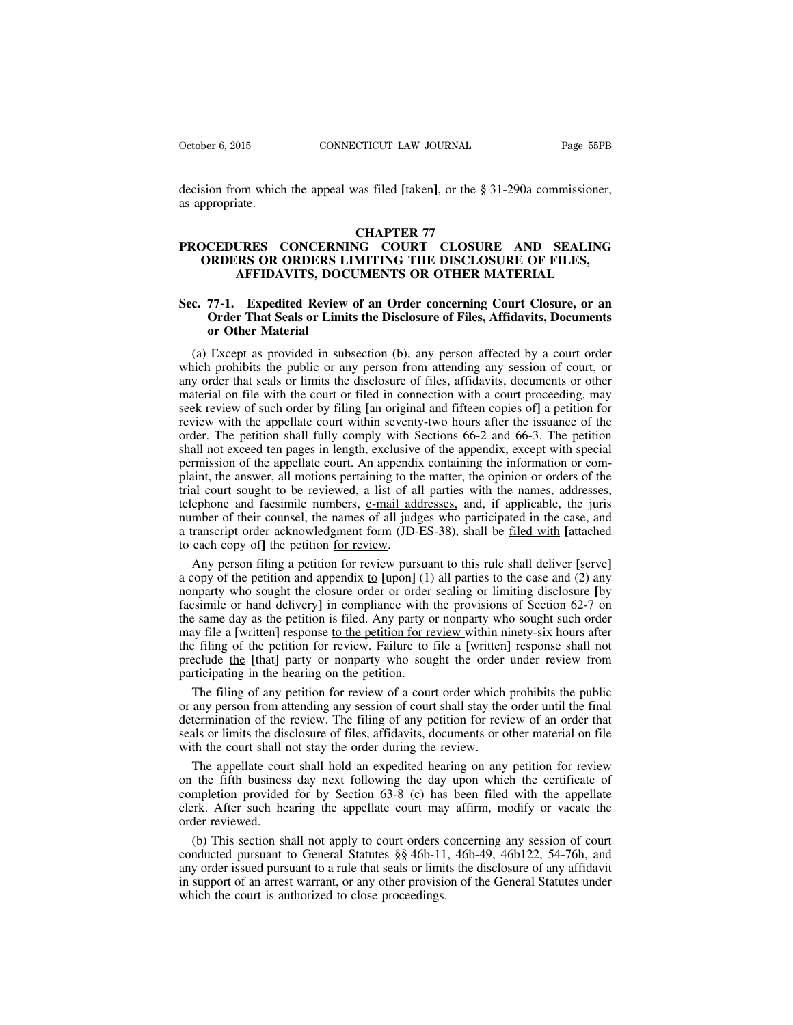decision from which the appeal was filed **[**taken**]**, or the § 31-290a commissioner, as appropriate.

## **CHAPTER 77**

# **PROCEDURES CONCERNING COURT CLOSURE AND SEALING ORDERS OR ORDERS LIMITING THE DISCLOSURE OF FILES, AFFIDAVITS, DOCUMENTS OR OTHER MATERIAL**

# **Sec. 77-1. Expedited Review of an Order concerning Court Closure, or an Order That Seals or Limits the Disclosure of Files, Affidavits, Documents or Other Material**

(a) Except as provided in subsection (b), any person affected by a court order which prohibits the public or any person from attending any session of court, or any order that seals or limits the disclosure of files, affidavits, documents or other material on file with the court or filed in connection with a court proceeding, may seek review of such order by filing **[**an original and fifteen copies of**]** a petition for review with the appellate court within seventy-two hours after the issuance of the order. The petition shall fully comply with Sections 66-2 and 66-3. The petition shall not exceed ten pages in length, exclusive of the appendix, except with special permission of the appellate court. An appendix containing the information or complaint, the answer, all motions pertaining to the matter, the opinion or orders of the trial court sought to be reviewed, a list of all parties with the names, addresses, telephone and facsimile numbers, e-mail addresses, and, if applicable, the juris number of their counsel, the names of all judges who participated in the case, and a transcript order acknowledgment form (JD-ES-38), shall be filed with **[**attached to each copy of**]** the petition for review.

Any person filing a petition for review pursuant to this rule shall deliver **[**serve**]** a copy of the petition and appendix  $\underline{to}$  [upon] (1) all parties to the case and (2) any nonparty who sought the closure order or order sealing or limiting disclosure **[**by facsimile or hand delivery**]** in compliance with the provisions of Section 62-7 on the same day as the petition is filed. Any party or nonparty who sought such order may file a **[**written**]** response to the petition for review within ninety-six hours after the filing of the petition for review. Failure to file a **[**written**]** response shall not preclude the **[**that**]** party or nonparty who sought the order under review from participating in the hearing on the petition.

The filing of any petition for review of a court order which prohibits the public or any person from attending any session of court shall stay the order until the final determination of the review. The filing of any petition for review of an order that seals or limits the disclosure of files, affidavits, documents or other material on file with the court shall not stay the order during the review.

The appellate court shall hold an expedited hearing on any petition for review on the fifth business day next following the day upon which the certificate of completion provided for by Section 63-8 (c) has been filed with the appellate clerk. After such hearing the appellate court may affirm, modify or vacate the order reviewed.

(b) This section shall not apply to court orders concerning any session of court conducted pursuant to General Statutes §§ 46b-11, 46b-49, 46b122, 54-76h, and any order issued pursuant to a rule that seals or limits the disclosure of any affidavit in support of an arrest warrant, or any other provision of the General Statutes under which the court is authorized to close proceedings.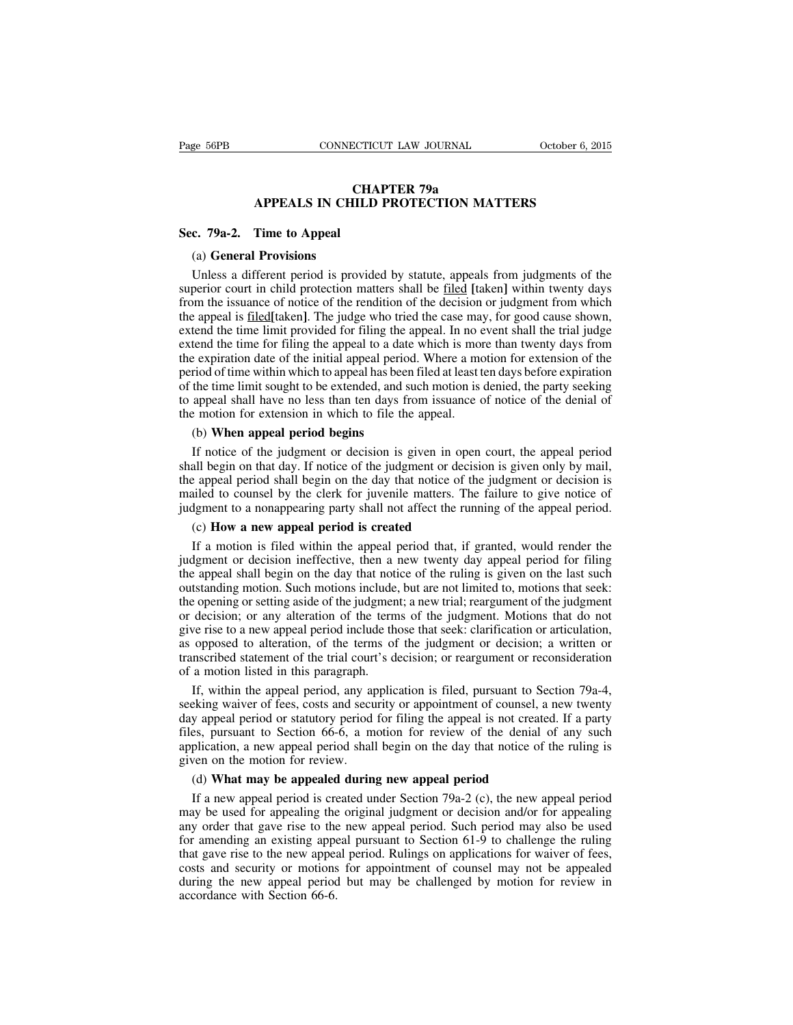# **CHAPTER 79a APPEALS IN CHILD PROTECTION MATTERS**

#### **Sec. 79a-2. Time to Appeal**

#### (a) **General Provisions**

Unless a different period is provided by statute, appeals from judgments of the superior court in child protection matters shall be filed **[**taken**]** within twenty days from the issuance of notice of the rendition of the decision or judgment from which the appeal is filed**[**taken**]**. The judge who tried the case may, for good cause shown, extend the time limit provided for filing the appeal. In no event shall the trial judge extend the time for filing the appeal to a date which is more than twenty days from the expiration date of the initial appeal period. Where a motion for extension of the period of time within which to appeal has been filed at least ten days before expiration of the time limit sought to be extended, and such motion is denied, the party seeking to appeal shall have no less than ten days from issuance of notice of the denial of the motion for extension in which to file the appeal.

#### (b) **When appeal period begins**

If notice of the judgment or decision is given in open court, the appeal period shall begin on that day. If notice of the judgment or decision is given only by mail, the appeal period shall begin on the day that notice of the judgment or decision is mailed to counsel by the clerk for juvenile matters. The failure to give notice of judgment to a nonappearing party shall not affect the running of the appeal period.

## (c) **How a new appeal period is created**

If a motion is filed within the appeal period that, if granted, would render the judgment or decision ineffective, then a new twenty day appeal period for filing the appeal shall begin on the day that notice of the ruling is given on the last such outstanding motion. Such motions include, but are not limited to, motions that seek: the opening or setting aside of the judgment; a new trial; reargument of the judgment or decision; or any alteration of the terms of the judgment. Motions that do not give rise to a new appeal period include those that seek: clarification or articulation, as opposed to alteration, of the terms of the judgment or decision; a written or transcribed statement of the trial court's decision; or reargument or reconsideration of a motion listed in this paragraph.

If, within the appeal period, any application is filed, pursuant to Section 79a-4, seeking waiver of fees, costs and security or appointment of counsel, a new twenty day appeal period or statutory period for filing the appeal is not created. If a party files, pursuant to Section 66-6, a motion for review of the denial of any such application, a new appeal period shall begin on the day that notice of the ruling is given on the motion for review.

#### (d) **What may be appealed during new appeal period**

If a new appeal period is created under Section 79a-2 (c), the new appeal period may be used for appealing the original judgment or decision and/or for appealing any order that gave rise to the new appeal period. Such period may also be used for amending an existing appeal pursuant to Section 61-9 to challenge the ruling that gave rise to the new appeal period. Rulings on applications for waiver of fees, costs and security or motions for appointment of counsel may not be appealed during the new appeal period but may be challenged by motion for review in accordance with Section 66-6.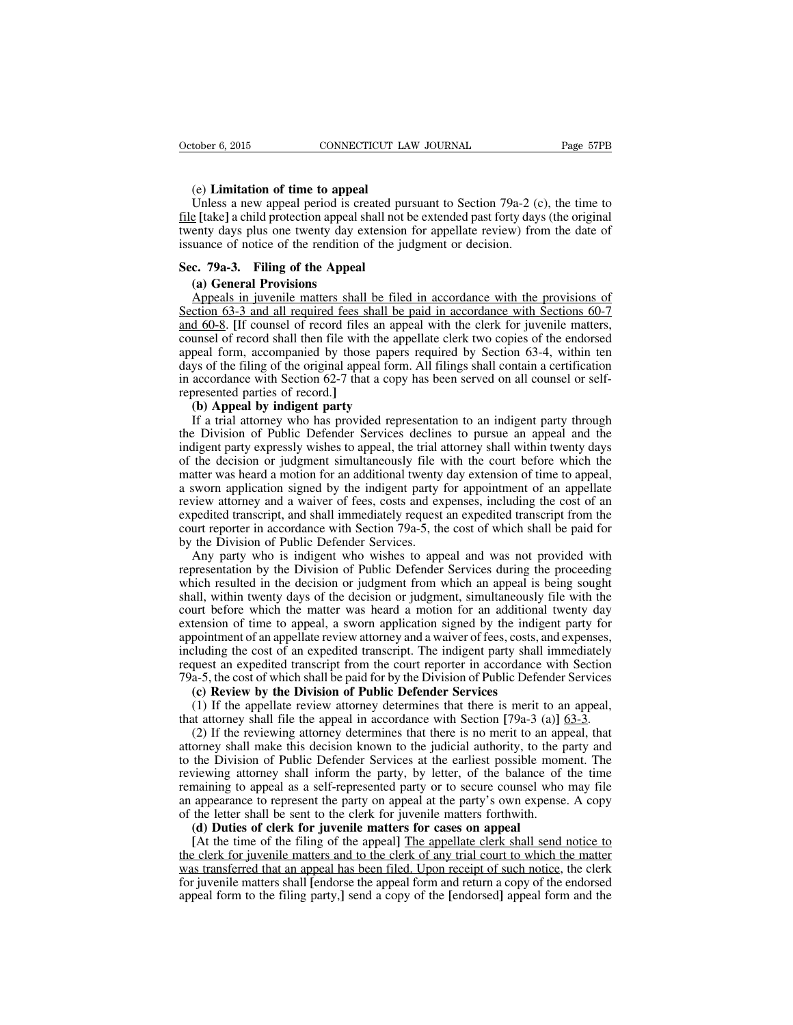#### (e) **Limitation of time to appeal**

Unless a new appeal period is created pursuant to Section 79a-2 (c), the time to file **[**take**]** a child protection appeal shall not be extended past forty days (the original twenty days plus one twenty day extension for appellate review) from the date of issuance of notice of the rendition of the judgment or decision.

## **Sec. 79a-3. Filing of the Appeal**

## **(a) General Provisions**

Appeals in juvenile matters shall be filed in accordance with the provisions of Section 63-3 and all required fees shall be paid in accordance with Sections 60-7 and 60-8. **[**If counsel of record files an appeal with the clerk for juvenile matters, counsel of record shall then file with the appellate clerk two copies of the endorsed appeal form, accompanied by those papers required by Section 63-4, within ten days of the filing of the original appeal form. All filings shall contain a certification in accordance with Section 62-7 that a copy has been served on all counsel or selfrepresented parties of record.**]**

#### **(b) Appeal by indigent party**

If a trial attorney who has provided representation to an indigent party through the Division of Public Defender Services declines to pursue an appeal and the indigent party expressly wishes to appeal, the trial attorney shall within twenty days of the decision or judgment simultaneously file with the court before which the matter was heard a motion for an additional twenty day extension of time to appeal, a sworn application signed by the indigent party for appointment of an appellate review attorney and a waiver of fees, costs and expenses, including the cost of an expedited transcript, and shall immediately request an expedited transcript from the court reporter in accordance with Section 79a-5, the cost of which shall be paid for by the Division of Public Defender Services.

Any party who is indigent who wishes to appeal and was not provided with representation by the Division of Public Defender Services during the proceeding which resulted in the decision or judgment from which an appeal is being sought shall, within twenty days of the decision or judgment, simultaneously file with the court before which the matter was heard a motion for an additional twenty day extension of time to appeal, a sworn application signed by the indigent party for appointment of an appellate review attorney and a waiver of fees, costs, and expenses, including the cost of an expedited transcript. The indigent party shall immediately request an expedited transcript from the court reporter in accordance with Section 79a-5, the cost of which shall be paid for by the Division of Public Defender Services

# **(c) Review by the Division of Public Defender Services**

(1) If the appellate review attorney determines that there is merit to an appeal, that attorney shall file the appeal in accordance with Section **[**79a-3 (a)**]** 63-3.

(2) If the reviewing attorney determines that there is no merit to an appeal, that attorney shall make this decision known to the judicial authority, to the party and to the Division of Public Defender Services at the earliest possible moment. The reviewing attorney shall inform the party, by letter, of the balance of the time remaining to appeal as a self-represented party or to secure counsel who may file an appearance to represent the party on appeal at the party's own expense. A copy of the letter shall be sent to the clerk for juvenile matters forthwith.

#### **(d) Duties of clerk for juvenile matters for cases on appeal**

**[**At the time of the filing of the appeal**]** The appellate clerk shall send notice to the clerk for juvenile matters and to the clerk of any trial court to which the matter was transferred that an appeal has been filed. Upon receipt of such notice, the clerk for juvenile matters shall **[**endorse the appeal form and return a copy of the endorsed appeal form to the filing party,**]** send a copy of the **[**endorsed**]** appeal form and the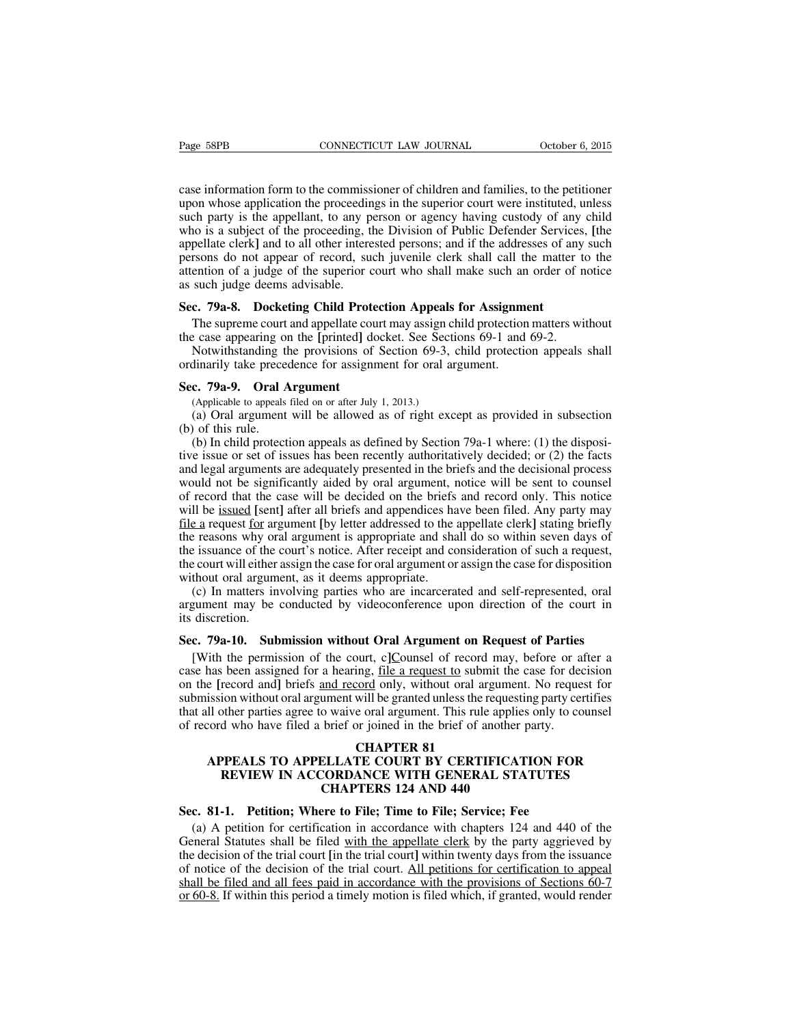case information form to the commissioner of children and families, to the petitioner upon whose application the proceedings in the superior court were instituted, unless such party is the appellant, to any person or agency having custody of any child who is a subject of the proceeding, the Division of Public Defender Services, **[**the appellate clerk**]** and to all other interested persons; and if the addresses of any such persons do not appear of record, such juvenile clerk shall call the matter to the attention of a judge of the superior court who shall make such an order of notice as such judge deems advisable.

#### **Sec. 79a-8. Docketing Child Protection Appeals for Assignment**

The supreme court and appellate court may assign child protection matters without the case appearing on the **[**printed**]** docket. See Sections 69-1 and 69-2.

Notwithstanding the provisions of Section 69-3, child protection appeals shall ordinarily take precedence for assignment for oral argument.

#### **Sec. 79a-9. Oral Argument**

(Applicable to appeals filed on or after July 1, 2013.)

(a) Oral argument will be allowed as of right except as provided in subsection (b) of this rule.

(b) In child protection appeals as defined by Section 79a-1 where: (1) the dispositive issue or set of issues has been recently authoritatively decided; or (2) the facts and legal arguments are adequately presented in the briefs and the decisional process would not be significantly aided by oral argument, notice will be sent to counsel of record that the case will be decided on the briefs and record only. This notice will be issued **[**sent**]** after all briefs and appendices have been filed. Any party may file a request for argument **[**by letter addressed to the appellate clerk**]** stating briefly the reasons why oral argument is appropriate and shall do so within seven days of the issuance of the court's notice. After receipt and consideration of such a request, the court will either assign the case for oral argument or assign the case for disposition without oral argument, as it deems appropriate.

(c) In matters involving parties who are incarcerated and self-represented, oral argument may be conducted by videoconference upon direction of the court in its discretion.

## **Sec. 79a-10. Submission without Oral Argument on Request of Parties**

[With the permission of the court, c**]**Counsel of record may, before or after a case has been assigned for a hearing, file a request to submit the case for decision on the **[**record and**]** briefs and record only, without oral argument. No request for submission without oral argument will be granted unlessthe requesting party certifies that all other parties agree to waive oral argument. This rule applies only to counsel of record who have filed a brief or joined in the brief of another party.

# **CHAPTER 81**

# **APPEALS TO APPELLATE COURT BY CERTIFICATION FOR REVIEW IN ACCORDANCE WITH GENERAL STATUTES CHAPTERS 124 AND 440**

#### **Sec. 81-1. Petition; Where to File; Time to File; Service; Fee**

(a) A petition for certification in accordance with chapters 124 and 440 of the General Statutes shall be filed with the appellate clerk by the party aggrieved by the decision of the trial court **[**in the trial court**]** within twenty days from the issuance of notice of the decision of the trial court. All petitions for certification to appeal shall be filed and all fees paid in accordance with the provisions of Sections 60-7 or 60-8. If within this period a timely motion is filed which, if granted, would render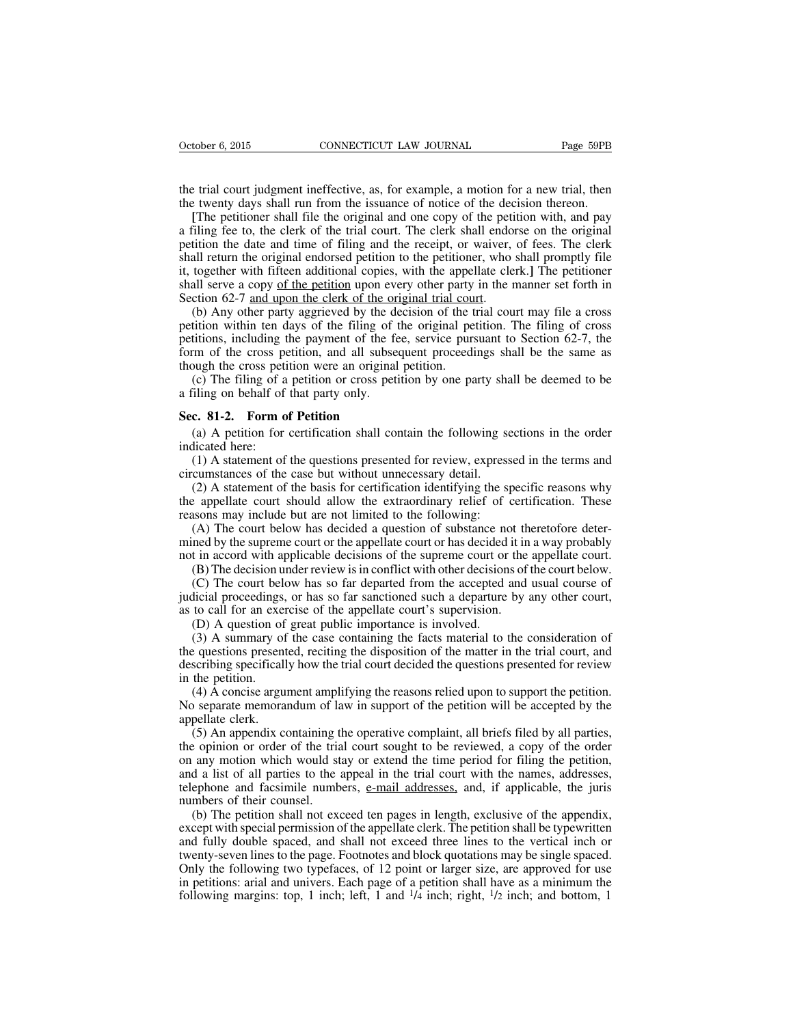the trial court judgment ineffective, as, for example, a motion for a new trial, then the twenty days shall run from the issuance of notice of the decision thereon.

**[**The petitioner shall file the original and one copy of the petition with, and pay a filing fee to, the clerk of the trial court. The clerk shall endorse on the original petition the date and time of filing and the receipt, or waiver, of fees. The clerk shall return the original endorsed petition to the petitioner, who shall promptly file it, together with fifteen additional copies, with the appellate clerk.**]** The petitioner shall serve a copy of the petition upon every other party in the manner set forth in Section 62-7 and upon the clerk of the original trial court.

(b) Any other party aggrieved by the decision of the trial court may file a cross petition within ten days of the filing of the original petition. The filing of cross petitions, including the payment of the fee, service pursuant to Section 62-7, the form of the cross petition, and all subsequent proceedings shall be the same as though the cross petition were an original petition.

(c) The filing of a petition or cross petition by one party shall be deemed to be a filing on behalf of that party only.

#### **Sec. 81-2. Form of Petition**

(a) A petition for certification shall contain the following sections in the order indicated here:

(1) A statement of the questions presented for review, expressed in the terms and circumstances of the case but without unnecessary detail.

(2) A statement of the basis for certification identifying the specific reasons why the appellate court should allow the extraordinary relief of certification. These reasons may include but are not limited to the following:

(A) The court below has decided a question of substance not theretofore determined by the supreme court or the appellate court or has decided it in a way probably not in accord with applicable decisions of the supreme court or the appellate court.

(B) The decision under review isin conflict with other decisions of the court below.

(C) The court below has so far departed from the accepted and usual course of judicial proceedings, or has so far sanctioned such a departure by any other court, as to call for an exercise of the appellate court's supervision.

(D) A question of great public importance is involved.

(3) A summary of the case containing the facts material to the consideration of the questions presented, reciting the disposition of the matter in the trial court, and describing specifically how the trial court decided the questions presented for review in the petition.

(4) A concise argument amplifying the reasons relied upon to support the petition. No separate memorandum of law in support of the petition will be accepted by the appellate clerk.

(5) An appendix containing the operative complaint, all briefs filed by all parties, the opinion or order of the trial court sought to be reviewed, a copy of the order on any motion which would stay or extend the time period for filing the petition, and a list of all parties to the appeal in the trial court with the names, addresses, telephone and facsimile numbers, e-mail addresses, and, if applicable, the juris numbers of their counsel.

(b) The petition shall not exceed ten pages in length, exclusive of the appendix, except with special permission of the appellate clerk. The petition shall be typewritten and fully double spaced, and shall not exceed three lines to the vertical inch or twenty-seven lines to the page. Footnotes and block quotations may be single spaced. Only the following two typefaces, of 12 point or larger size, are approved for use in petitions: arial and univers. Each page of a petition shall have as a minimum the following margins: top, 1 inch; left, 1 and  $\frac{1}{4}$  inch; right,  $\frac{1}{2}$  inch; and bottom, 1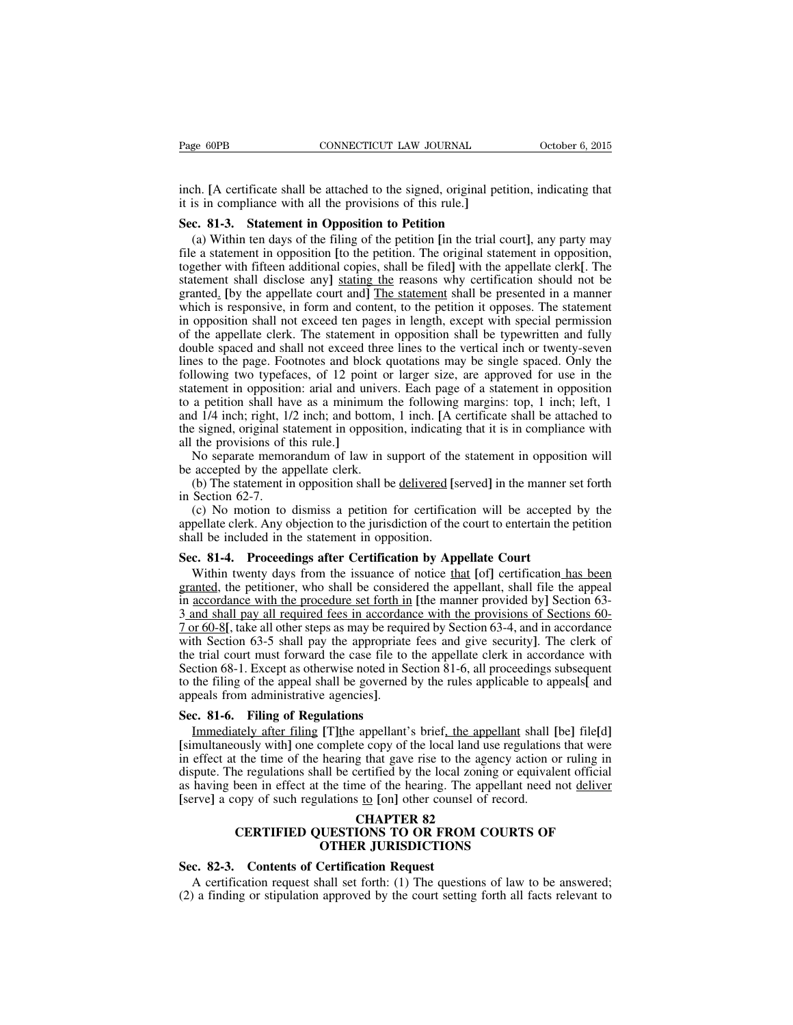inch. **[**A certificate shall be attached to the signed, original petition, indicating that it is in compliance with all the provisions of this rule.**]**

#### **Sec. 81-3. Statement in Opposition to Petition**

(a) Within ten days of the filing of the petition **[**in the trial court**]**, any party may file a statement in opposition **[**to the petition. The original statement in opposition, together with fifteen additional copies, shall be filed**]** with the appellate clerk**[**. The statement shall disclose any**]** stating the reasons why certification should not be granted. **[**by the appellate court and**]** The statement shall be presented in a manner which is responsive, in form and content, to the petition it opposes. The statement in opposition shall not exceed ten pages in length, except with special permission of the appellate clerk. The statement in opposition shall be typewritten and fully double spaced and shall not exceed three lines to the vertical inch or twenty-seven lines to the page. Footnotes and block quotations may be single spaced. Only the following two typefaces, of 12 point or larger size, are approved for use in the statement in opposition: arial and univers. Each page of a statement in opposition to a petition shall have as a minimum the following margins: top, 1 inch; left, 1 and 1/4 inch; right, 1/2 inch; and bottom, 1 inch. **[**A certificate shall be attached to the signed, original statement in opposition, indicating that it is in compliance with all the provisions of this rule.**]**

No separate memorandum of law in support of the statement in opposition will be accepted by the appellate clerk.

(b) The statement in opposition shall be delivered **[**served**]** in the manner set forth in Section 62-7.

(c) No motion to dismiss a petition for certification will be accepted by the appellate clerk. Any objection to the jurisdiction of the court to entertain the petition shall be included in the statement in opposition.

## **Sec. 81-4. Proceedings after Certification by Appellate Court**

Within twenty days from the issuance of notice that **[**of**]** certification has been granted, the petitioner, who shall be considered the appellant, shall file the appeal in accordance with the procedure set forth in **[**the manner provided by**]** Section 63- 3 and shall pay all required fees in accordance with the provisions of Sections 60- 7 or 60-8**[**, take all other steps as may be required by Section 63-4, and in accordance with Section 63-5 shall pay the appropriate fees and give security**]**. The clerk of the trial court must forward the case file to the appellate clerk in accordance with Section 68-1. Except as otherwise noted in Section 81-6, all proceedings subsequent to the filing of the appeal shall be governed by the rules applicable to appeals**[** and appeals from administrative agencies**]**.

#### **Sec. 81-6. Filing of Regulations**

Immediately after filing **[**T**]**the appellant's brief, the appellant shall **[**be**]** file**[**d**] [**simultaneously with**]** one complete copy of the local land use regulations that were in effect at the time of the hearing that gave rise to the agency action or ruling in dispute. The regulations shall be certified by the local zoning or equivalent official as having been in effect at the time of the hearing. The appellant need not deliver **[**serve**]** a copy of such regulations to **[**on**]** other counsel of record.

# **CHAPTER 82 CERTIFIED QUESTIONS TO OR FROM COURTS OF OTHER JURISDICTIONS**

## **Sec. 82-3. Contents of Certification Request**

A certification request shall set forth: (1) The questions of law to be answered; (2) a finding or stipulation approved by the court setting forth all facts relevant to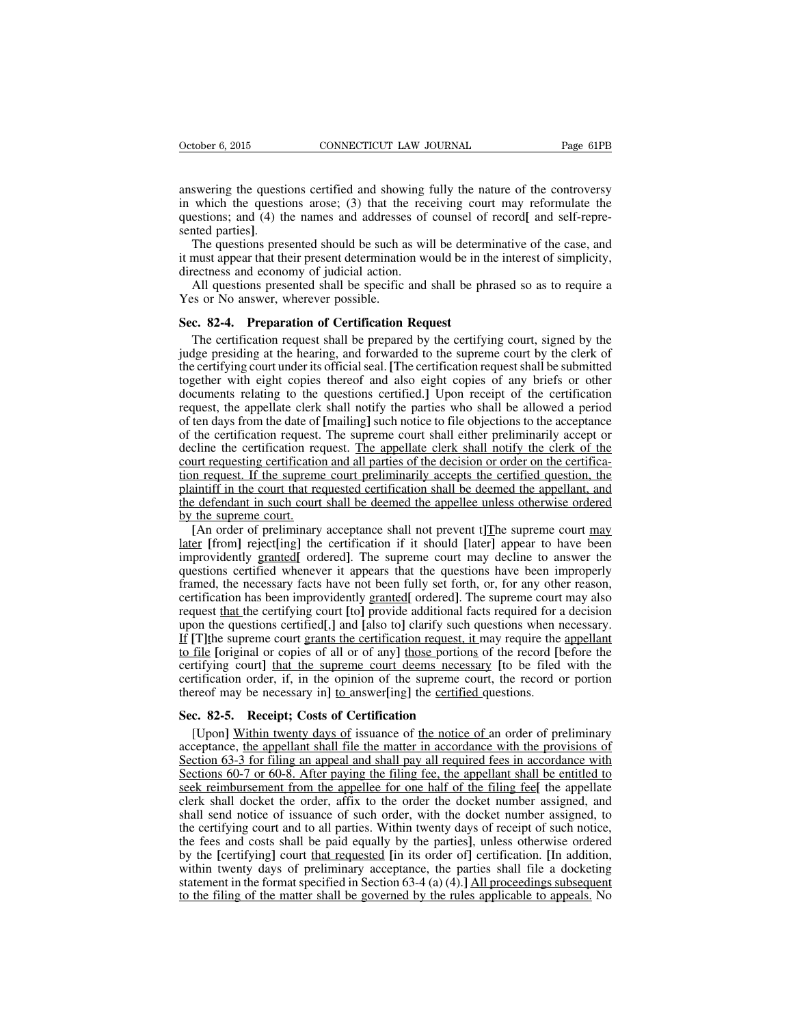answering the questions certified and showing fully the nature of the controversy in which the questions arose; (3) that the receiving court may reformulate the questions; and (4) the names and addresses of counsel of record**[** and self-represented parties**]**.

The questions presented should be such as will be determinative of the case, and it must appear that their present determination would be in the interest of simplicity, directness and economy of judicial action.

All questions presented shall be specific and shall be phrased so as to require a Yes or No answer, wherever possible.

#### **Sec. 82-4. Preparation of Certification Request**

The certification request shall be prepared by the certifying court, signed by the judge presiding at the hearing, and forwarded to the supreme court by the clerk of the certifying court under its officialseal. **[**The certification requestshall be submitted together with eight copies thereof and also eight copies of any briefs or other documents relating to the questions certified.**]** Upon receipt of the certification request, the appellate clerk shall notify the parties who shall be allowed a period of ten days from the date of **[**mailing**]** such notice to file objections to the acceptance of the certification request. The supreme court shall either preliminarily accept or decline the certification request. The appellate clerk shall notify the clerk of the court requesting certification and all parties of the decision or order on the certification request. If the supreme court preliminarily accepts the certified question, the plaintiff in the court that requested certification shall be deemed the appellant, and the defendant in such court shall be deemed the appellee unless otherwise ordered by the supreme court.

**[**An order of preliminary acceptance shall not prevent t**]**The supreme court may later **[**from**]** reject**[**ing**]** the certification if it should **[**later**]** appear to have been improvidently granted**[** ordered**]**. The supreme court may decline to answer the questions certified whenever it appears that the questions have been improperly framed, the necessary facts have not been fully set forth, or, for any other reason, certification has been improvidently granted**[** ordered**]**. The supreme court may also request that the certifying court **[**to**]** provide additional facts required for a decision upon the questions certified**[**,**]** and **[**also to**]** clarify such questions when necessary. If **[**T**]**the supreme court grants the certification request, it may require the appellant to file **[**original or copies of all or of any**]** those portions of the record **[**before the certifying court**]** that the supreme court deems necessary **[**to be filed with the certification order, if, in the opinion of the supreme court, the record or portion thereof may be necessary in**]** to answer**[**ing**]** the certified questions.

#### **Sec. 82-5. Receipt; Costs of Certification**

[Upon**]** Within twenty days of issuance of the notice of an order of preliminary acceptance, the appellant shall file the matter in accordance with the provisions of Section 63-3 for filing an appeal and shall pay all required fees in accordance with Sections 60-7 or 60-8. After paying the filing fee, the appellant shall be entitled to seek reimbursement from the appellee for one half of the filing fee**[** the appellate clerk shall docket the order, affix to the order the docket number assigned, and shall send notice of issuance of such order, with the docket number assigned, to the certifying court and to all parties. Within twenty days of receipt of such notice, the fees and costs shall be paid equally by the parties**]**, unless otherwise ordered by the **[**certifying**]** court that requested **[**in its order of**]** certification. **[**In addition, within twenty days of preliminary acceptance, the parties shall file a docketing statement in the format specified in Section 63-4 (a) (4).**]** All proceedings subsequent to the filing of the matter shall be governed by the rules applicable to appeals. No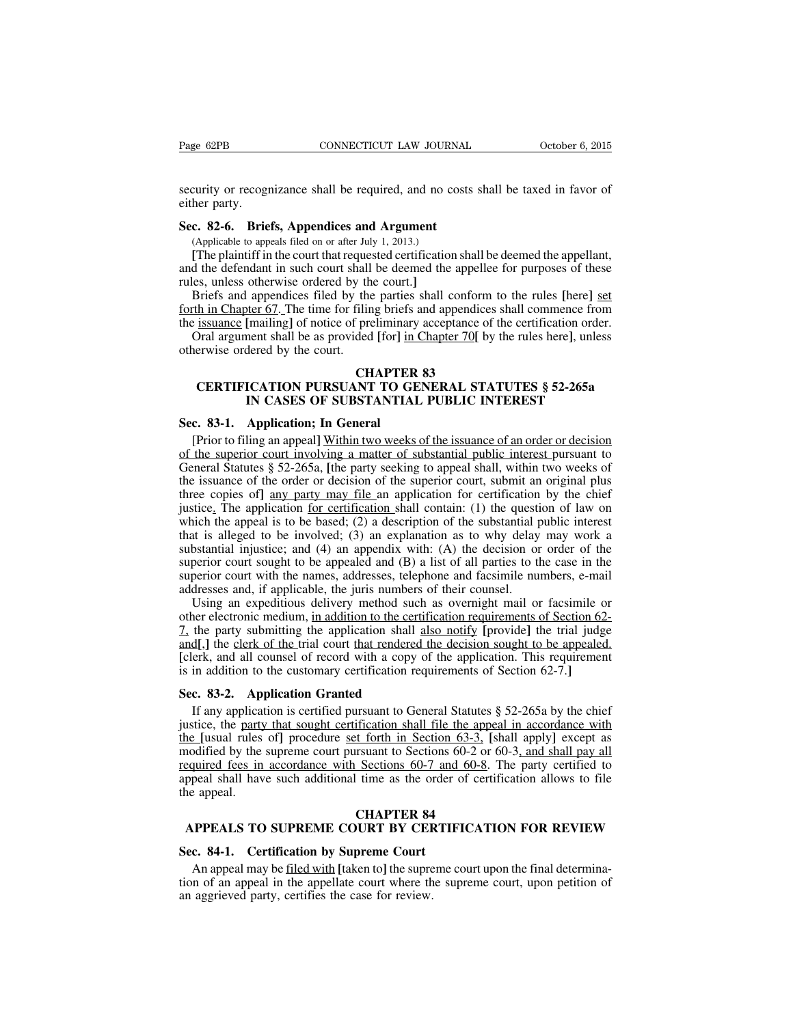security or recognizance shall be required, and no costs shall be taxed in favor of either party.

#### **Sec. 82-6. Briefs, Appendices and Argument**

(Applicable to appeals filed on or after July 1, 2013.)

**[**The plaintiff in the court that requested certification shall be deemed the appellant, and the defendant in such court shall be deemed the appellee for purposes of these rules, unless otherwise ordered by the court.**]**

Briefs and appendices filed by the parties shall conform to the rules **[**here**]** set forth in Chapter 67. The time for filing briefs and appendices shall commence from the issuance **[**mailing**]** of notice of preliminary acceptance of the certification order.

Oral argument shall be as provided **[**for**]** in Chapter 70**[** by the rules here**]**, unless otherwise ordered by the court.

# **CHAPTER 83**

# **CERTIFICATION PURSUANT TO GENERAL STATUTES § 52-265a IN CASES OF SUBSTANTIAL PUBLIC INTEREST**

#### **Sec. 83-1. Application; In General**

[Prior to filing an appeal**]** Within two weeks of the issuance of an order or decision of the superior court involving a matter of substantial public interest pursuant to General Statutes § 52-265a, **[**the party seeking to appeal shall, within two weeks of the issuance of the order or decision of the superior court, submit an original plus three copies of**]** any party may file an application for certification by the chief justice. The application for certification shall contain: (1) the question of law on which the appeal is to be based; (2) a description of the substantial public interest that is alleged to be involved; (3) an explanation as to why delay may work a substantial injustice; and (4) an appendix with: (A) the decision or order of the superior court sought to be appealed and (B) a list of all parties to the case in the superior court with the names, addresses, telephone and facsimile numbers, e-mail addresses and, if applicable, the juris numbers of their counsel.

Using an expeditious delivery method such as overnight mail or facsimile or other electronic medium, in addition to the certification requirements of Section 62- 7, the party submitting the application shall also notify **[**provide**]** the trial judge and, the clerk of the trial court that rendered the decision sought to be appealed. **[**clerk, and all counsel of record with a copy of the application. This requirement is in addition to the customary certification requirements of Section 62-7.**]**

#### **Sec. 83-2. Application Granted**

If any application is certified pursuant to General Statutes § 52-265a by the chief justice, the party that sought certification shall file the appeal in accordance with the **[**usual rules of**]** procedure set forth in Section 63-3, **[**shall apply**]** except as modified by the supreme court pursuant to Sections 60-2 or 60-3, and shall pay all required fees in accordance with Sections 60-7 and 60-8. The party certified to appeal shall have such additional time as the order of certification allows to file the appeal.

#### **CHAPTER 84**

## **APPEALS TO SUPREME COURT BY CERTIFICATION FOR REVIEW**

## **Sec. 84-1. Certification by Supreme Court**

An appeal may be filed with **[**taken to**]** the supreme court upon the final determination of an appeal in the appellate court where the supreme court, upon petition of an aggrieved party, certifies the case for review.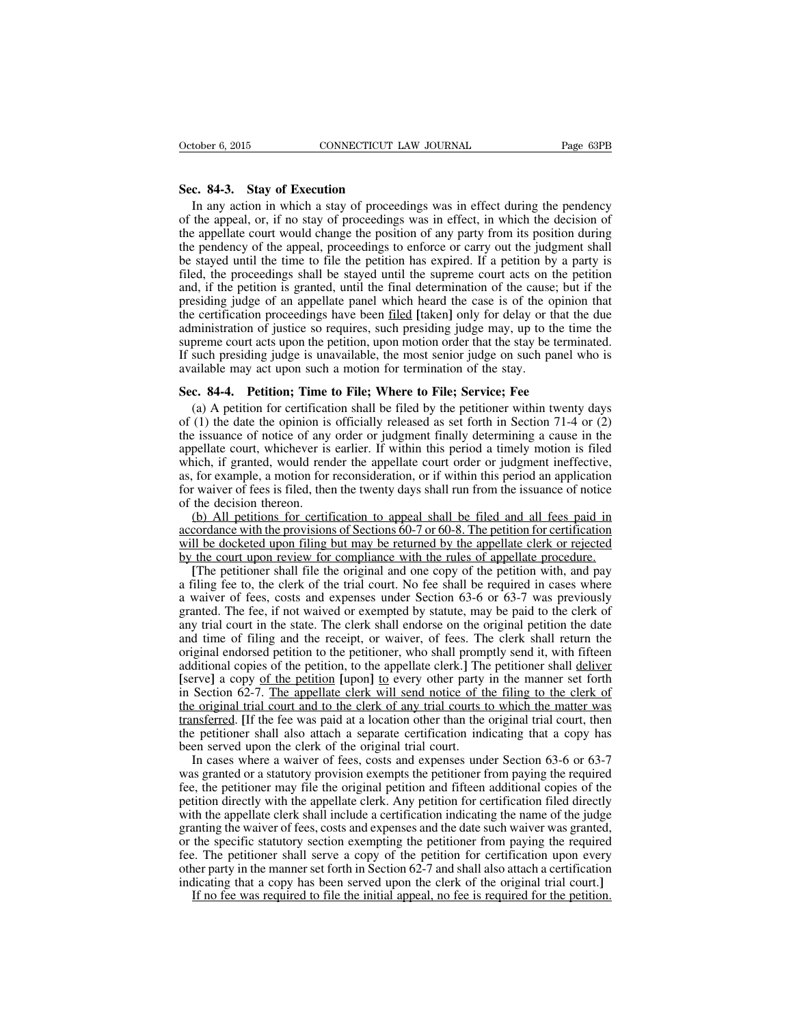#### **Sec. 84-3. Stay of Execution**

In any action in which a stay of proceedings was in effect during the pendency of the appeal, or, if no stay of proceedings was in effect, in which the decision of the appellate court would change the position of any party from its position during the pendency of the appeal, proceedings to enforce or carry out the judgment shall be stayed until the time to file the petition has expired. If a petition by a party is filed, the proceedings shall be stayed until the supreme court acts on the petition and, if the petition is granted, until the final determination of the cause; but if the presiding judge of an appellate panel which heard the case is of the opinion that the certification proceedings have been filed **[**taken**]** only for delay or that the due administration of justice so requires, such presiding judge may, up to the time the supreme court acts upon the petition, upon motion order that the stay be terminated. If such presiding judge is unavailable, the most senior judge on such panel who is available may act upon such a motion for termination of the stay.

#### **Sec. 84-4. Petition; Time to File; Where to File; Service; Fee**

(a) A petition for certification shall be filed by the petitioner within twenty days of (1) the date the opinion is officially released as set forth in Section 71-4 or (2) the issuance of notice of any order or judgment finally determining a cause in the appellate court, whichever is earlier. If within this period a timely motion is filed which, if granted, would render the appellate court order or judgment ineffective, as, for example, a motion for reconsideration, or if within this period an application for waiver of fees is filed, then the twenty days shall run from the issuance of notice of the decision thereon.

(b) All petitions for certification to appeal shall be filed and all fees paid in accordance with the provisions of Sections 60-7 or 60-8. The petition for certification will be docketed upon filing but may be returned by the appellate clerk or rejected by the court upon review for compliance with the rules of appellate procedure.

**[**The petitioner shall file the original and one copy of the petition with, and pay a filing fee to, the clerk of the trial court. No fee shall be required in cases where a waiver of fees, costs and expenses under Section 63-6 or 63-7 was previously granted. The fee, if not waived or exempted by statute, may be paid to the clerk of any trial court in the state. The clerk shall endorse on the original petition the date and time of filing and the receipt, or waiver, of fees. The clerk shall return the original endorsed petition to the petitioner, who shall promptly send it, with fifteen additional copies of the petition, to the appellate clerk.**]** The petitioner shall deliver **[**serve**]** a copy of the petition **[**upon**]** to every other party in the manner set forth in Section 62-7. The appellate clerk will send notice of the filing to the clerk of the original trial court and to the clerk of any trial courts to which the matter was transferred. **[**If the fee was paid at a location other than the original trial court, then the petitioner shall also attach a separate certification indicating that a copy has been served upon the clerk of the original trial court.

In cases where a waiver of fees, costs and expenses under Section 63-6 or 63-7 was granted or a statutory provision exempts the petitioner from paying the required fee, the petitioner may file the original petition and fifteen additional copies of the petition directly with the appellate clerk. Any petition for certification filed directly with the appellate clerk shall include a certification indicating the name of the judge granting the waiver of fees, costs and expenses and the date such waiver was granted, or the specific statutory section exempting the petitioner from paying the required fee. The petitioner shall serve a copy of the petition for certification upon every other party in the manner set forth in Section 62-7 and shall also attach a certification indicating that a copy has been served upon the clerk of the original trial court.**]**

If no fee was required to file the initial appeal, no fee is required for the petition.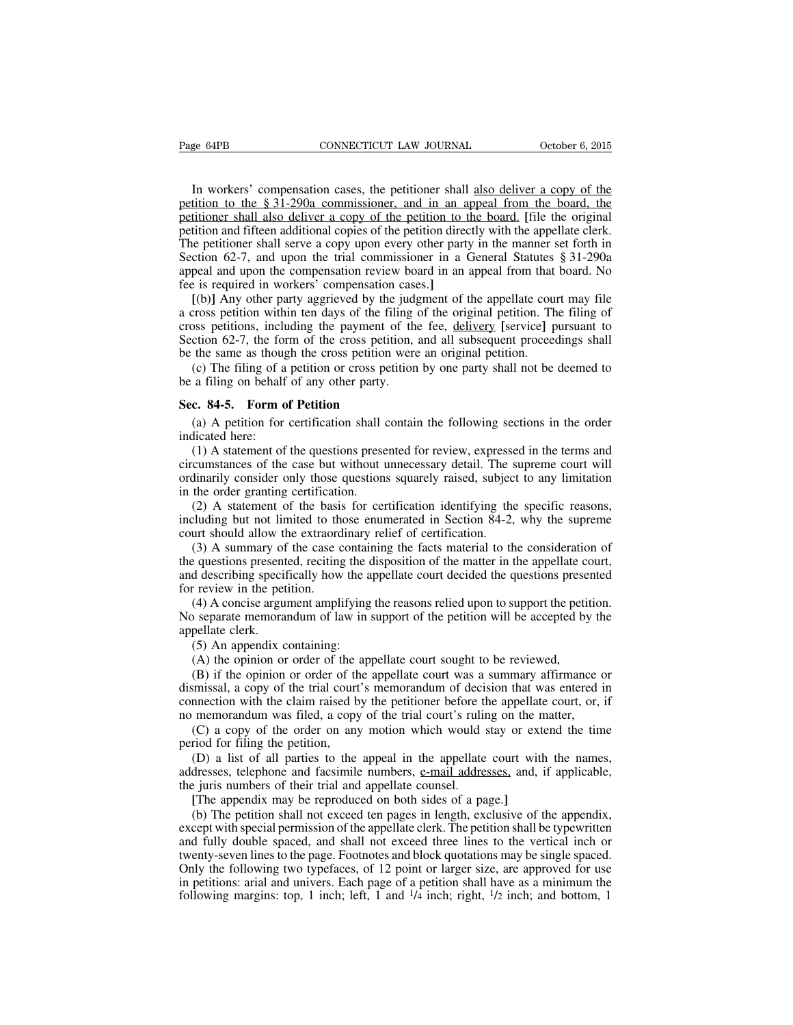In workers' compensation cases, the petitioner shall also deliver a copy of the petition to the § 31-290a commissioner, and in an appeal from the board, the petitioner shall also deliver a copy of the petition to the board. **[**file the original petition and fifteen additional copies of the petition directly with the appellate clerk. The petitioner shall serve a copy upon every other party in the manner set forth in Section 62-7, and upon the trial commissioner in a General Statutes § 31-290a appeal and upon the compensation review board in an appeal from that board. No fee is required in workers' compensation cases.**]**

**[**(b)**]** Any other party aggrieved by the judgment of the appellate court may file a cross petition within ten days of the filing of the original petition. The filing of cross petitions, including the payment of the fee, delivery **[**service**]** pursuant to Section 62-7, the form of the cross petition, and all subsequent proceedings shall be the same as though the cross petition were an original petition.

(c) The filing of a petition or cross petition by one party shall not be deemed to be a filing on behalf of any other party.

#### **Sec. 84-5. Form of Petition**

(a) A petition for certification shall contain the following sections in the order indicated here:

(1) A statement of the questions presented for review, expressed in the terms and circumstances of the case but without unnecessary detail. The supreme court will ordinarily consider only those questions squarely raised, subject to any limitation in the order granting certification.

(2) A statement of the basis for certification identifying the specific reasons, including but not limited to those enumerated in Section 84-2, why the supreme court should allow the extraordinary relief of certification.

(3) A summary of the case containing the facts material to the consideration of the questions presented, reciting the disposition of the matter in the appellate court, and describing specifically how the appellate court decided the questions presented for review in the petition.

(4) A concise argument amplifying the reasons relied upon to support the petition. No separate memorandum of law in support of the petition will be accepted by the appellate clerk.

(5) An appendix containing:

(A) the opinion or order of the appellate court sought to be reviewed,

(B) if the opinion or order of the appellate court was a summary affirmance or dismissal, a copy of the trial court's memorandum of decision that was entered in connection with the claim raised by the petitioner before the appellate court, or, if no memorandum was filed, a copy of the trial court's ruling on the matter,

(C) a copy of the order on any motion which would stay or extend the time period for filing the petition,

(D) a list of all parties to the appeal in the appellate court with the names, addresses, telephone and facsimile numbers, e-mail addresses, and, if applicable, the juris numbers of their trial and appellate counsel.

**[**The appendix may be reproduced on both sides of a page.**]**

(b) The petition shall not exceed ten pages in length, exclusive of the appendix, except with special permission of the appellate clerk. The petition shall be typewritten and fully double spaced, and shall not exceed three lines to the vertical inch or twenty-seven lines to the page. Footnotes and block quotations may be single spaced. Only the following two typefaces, of 12 point or larger size, are approved for use in petitions: arial and univers. Each page of a petition shall have as a minimum the following margins: top, 1 inch; left, 1 and  $\frac{1}{4}$  inch; right,  $\frac{1}{2}$  inch; and bottom, 1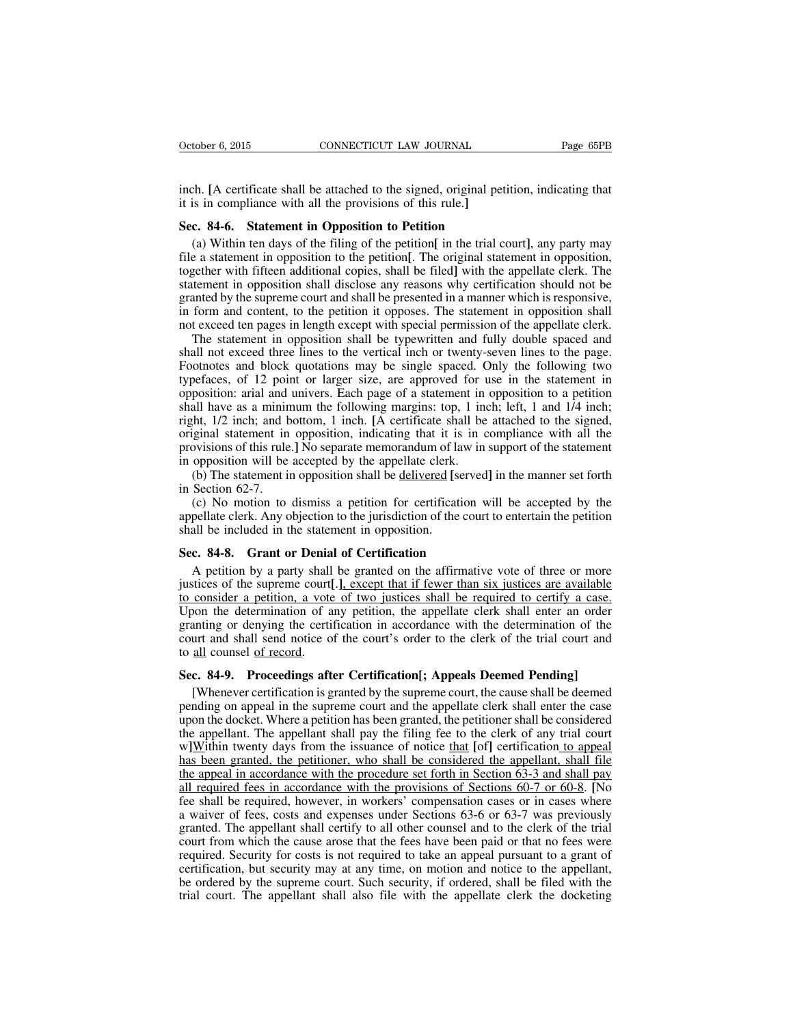inch. **[**A certificate shall be attached to the signed, original petition, indicating that it is in compliance with all the provisions of this rule.**]**

#### **Sec. 84-6. Statement in Opposition to Petition**

(a) Within ten days of the filing of the petition**[** in the trial court**]**, any party may file a statement in opposition to the petition**[**. The original statement in opposition, together with fifteen additional copies, shall be filed**]** with the appellate clerk. The statement in opposition shall disclose any reasons why certification should not be granted by the supreme court and shall be presented in a manner which is responsive, in form and content, to the petition it opposes. The statement in opposition shall not exceed ten pages in length except with special permission of the appellate clerk.

The statement in opposition shall be typewritten and fully double spaced and shall not exceed three lines to the vertical inch or twenty-seven lines to the page. Footnotes and block quotations may be single spaced. Only the following two typefaces, of 12 point or larger size, are approved for use in the statement in opposition: arial and univers. Each page of a statement in opposition to a petition shall have as a minimum the following margins: top, 1 inch; left, 1 and 1/4 inch; right, 1/2 inch; and bottom, 1 inch. **[**A certificate shall be attached to the signed, original statement in opposition, indicating that it is in compliance with all the provisions of this rule.**]** No separate memorandum of law in support of the statement in opposition will be accepted by the appellate clerk.

(b) The statement in opposition shall be delivered **[**served**]** in the manner set forth in Section 62-7.

(c) No motion to dismiss a petition for certification will be accepted by the appellate clerk. Any objection to the jurisdiction of the court to entertain the petition shall be included in the statement in opposition.

## **Sec. 84-8. Grant or Denial of Certification**

A petition by a party shall be granted on the affirmative vote of three or more justices of the supreme court**[**.**]**, except that if fewer than six justices are available to consider a petition, a vote of two justices shall be required to certify a case. Upon the determination of any petition, the appellate clerk shall enter an order granting or denying the certification in accordance with the determination of the court and shall send notice of the court's order to the clerk of the trial court and to all counsel of record.

#### **Sec. 84-9. Proceedings after Certification[; Appeals Deemed Pending]**

[Whenever certification is granted by the supreme court, the cause shall be deemed pending on appeal in the supreme court and the appellate clerk shall enter the case upon the docket. Where a petition has been granted, the petitioner shall be considered the appellant. The appellant shall pay the filing fee to the clerk of any trial court w**]**Within twenty days from the issuance of notice that **[**of**]** certification to appeal has been granted, the petitioner, who shall be considered the appellant, shall file the appeal in accordance with the procedure set forth in Section 63-3 and shall pay all required fees in accordance with the provisions of Sections 60-7 or 60-8. **[**No fee shall be required, however, in workers' compensation cases or in cases where a waiver of fees, costs and expenses under Sections 63-6 or 63-7 was previously granted. The appellant shall certify to all other counsel and to the clerk of the trial court from which the cause arose that the fees have been paid or that no fees were required. Security for costs is not required to take an appeal pursuant to a grant of certification, but security may at any time, on motion and notice to the appellant, be ordered by the supreme court. Such security, if ordered, shall be filed with the trial court. The appellant shall also file with the appellate clerk the docketing